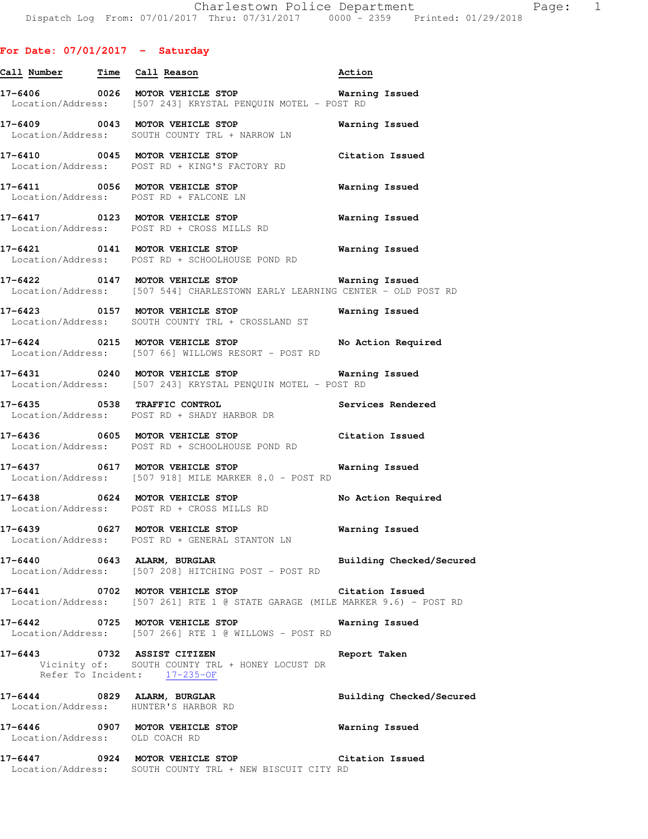| Call Number Time               | Call Reason                                                                                                                           | Action                   |
|--------------------------------|---------------------------------------------------------------------------------------------------------------------------------------|--------------------------|
|                                | Location/Address: [507 243] KRYSTAL PENQUIN MOTEL - POST RD                                                                           |                          |
|                                | 17-6409 0043 MOTOR VEHICLE STOP<br>Location/Address: SOUTH COUNTY TRL + NARROW LN                                                     | Warning Issued           |
|                                | 17-6410 0045 MOTOR VEHICLE STOP<br>Location/Address: POST RD + KING'S FACTORY RD                                                      | Citation Issued          |
|                                | 17-6411 0056 MOTOR VEHICLE STOP 6411 Warning Issued<br>Location/Address: POST RD + FALCONE LN                                         |                          |
|                                | 17-6417 0123 MOTOR VEHICLE STOP<br>Location/Address: POST RD + CROSS MILLS RD                                                         | <b>Warning Issued</b>    |
|                                | 17-6421 0141 MOTOR VEHICLE STOP<br>Location/Address: POST RD + SCHOOLHOUSE POND RD                                                    | <b>Warning Issued</b>    |
|                                | 17-6422  0147 MOTOR VEHICLE STOP <b>Warning Issued</b><br>Location/Address: [507 544] CHARLESTOWN EARLY LEARNING CENTER - OLD POST RD |                          |
|                                | 17-6423 0157 MOTOR VEHICLE STOP 6423<br>Location/Address: SOUTH COUNTY TRL + CROSSLAND ST                                             |                          |
|                                | 17-6424 0215 MOTOR VEHICLE STOP No Action Required<br>Location/Address: [507 66] WILLOWS RESORT - POST RD                             |                          |
|                                | 17-6431 0240 MOTOR VEHICLE STOP <b>Warning Issued</b><br>Location/Address: [507 243] KRYSTAL PENQUIN MOTEL - POST RD                  |                          |
|                                | 17-6435 0538 TRAFFIC CONTROL<br>Location/Address: POST RD + SHADY HARBOR DR                                                           | Services Rendered        |
|                                | 17-6436 0605 MOTOR VEHICLE STOP<br>Location/Address: POST RD + SCHOOLHOUSE POND RD                                                    | Citation Issued          |
|                                | 17-6437 0617 MOTOR VEHICLE STOP<br>Location/Address: [507 918] MILE MARKER 8.0 - POST RD                                              | Warning Issued           |
|                                | $17-6438$ 0624 MOTOR VEHICLE STOP<br>Location/Address: POST RD + CROSS MILLS RD                                                       | No Action Required       |
|                                | 17-6439 0627 MOTOR VEHICLE STOP<br>Location/Address: POST RD + GENERAL STANTON LN                                                     | Warning Issued           |
|                                | 17-6440 0643 ALARM, BURGLAR<br>Location/Address: [507 208] HITCHING POST - POST RD                                                    | Building Checked/Secured |
|                                | 17-6441 0702 MOTOR VEHICLE STOP<br>Location/Address: [507 261] RTE 1 @ STATE GARAGE (MILE MARKER 9.6) - POST RD                       | Citation Issued          |
|                                | 17-6442 0725 MOTOR VEHICLE STOP<br>Location/Address: [507 266] RTE 1 @ WILLOWS - POST RD                                              | Warning Issued           |
|                                | 17-6443 0732 ASSIST CITIZEN<br>Vicinity of: SOUTH COUNTY TRL + HONEY LOCUST DR<br>Refer To Incident: 17-235-OF                        | Report Taken             |
|                                | 17-6444 0829 ALARM, BURGLAR<br>Location/Address: HUNTER'S HARBOR RD                                                                   | Building Checked/Secured |
| Location/Address: OLD COACH RD | 17-6446 0907 MOTOR VEHICLE STOP                                                                                                       | Warning Issued           |
|                                | 17-6447 0924 MOTOR VEHICLE STOP<br>Location/Address: SOUTH COUNTY TRL + NEW BISCUIT CITY RD                                           | Citation Issued          |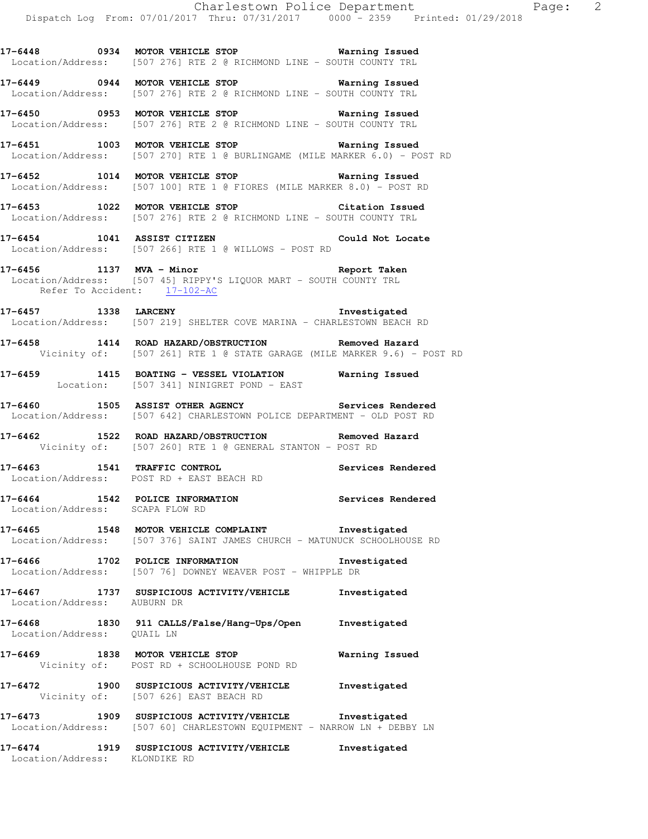**17-6448 0934 MOTOR VEHICLE STOP Warning Issued**  Location/Address: [507 276] RTE 2 @ RICHMOND LINE - SOUTH COUNTY TRL

**17-6449 0944 MOTOR VEHICLE STOP Warning Issued**  Location/Address: [507 276] RTE 2 @ RICHMOND LINE - SOUTH COUNTY TRL

**17-6450 0953 MOTOR VEHICLE STOP Warning Issued**  Location/Address: [507 276] RTE 2 @ RICHMOND LINE - SOUTH COUNTY TRL

**17-6451 1003 MOTOR VEHICLE STOP Warning Issued**  Location/Address: [507 270] RTE 1 @ BURLINGAME (MILE MARKER 6.0) - POST RD

**17-6452 1014 MOTOR VEHICLE STOP Warning Issued**  Location/Address: [507 100] RTE 1 @ FIORES (MILE MARKER 8.0) - POST RD

**17-6453 1022 MOTOR VEHICLE STOP Citation Issued**  Location/Address: [507 276] RTE 2 @ RICHMOND LINE - SOUTH COUNTY TRL

**17-6454 1041 ASSIST CITIZEN Could Not Locate**  Location/Address: [507 266] RTE 1 @ WILLOWS - POST RD

**17-6456 1137 MVA - Minor Report Taken**  Location/Address: [507 45] RIPPY'S LIQUOR MART - SOUTH COUNTY TRL Refer To Accident: 17-102-AC

**17-6457 1338 LARCENY Investigated**  Location/Address: [507 219] SHELTER COVE MARINA - CHARLESTOWN BEACH RD

**17-6458 1414 ROAD HAZARD/OBSTRUCTION Removed Hazard**  Vicinity of: [507 261] RTE 1 @ STATE GARAGE (MILE MARKER 9.6) - POST RD

**17-6459 1415 BOATING - VESSEL VIOLATION Warning Issued**  Location: [507 341] NINIGRET POND - EAST

**17-6460 1505 ASSIST OTHER AGENCY Services Rendered**  Location/Address: [507 642] CHARLESTOWN POLICE DEPARTMENT - OLD POST RD

**17-6462 1522 ROAD HAZARD/OBSTRUCTION Removed Hazard**  Vicinity of: [507 260] RTE 1 @ GENERAL STANTON - POST RD

**17-6463 1541 TRAFFIC CONTROL Services Rendered**  Location/Address: POST RD + EAST BEACH RD

**17-6464 1542 POLICE INFORMATION Services Rendered**  Location/Address: SCAPA FLOW RD

**17-6465 1548 MOTOR VEHICLE COMPLAINT Investigated**  Location/Address: [507 376] SAINT JAMES CHURCH - MATUNUCK SCHOOLHOUSE RD

**17-6466 1702 POLICE INFORMATION Investigated**  Location/Address: [507 76] DOWNEY WEAVER POST - WHIPPLE DR

**17-6467 1737 SUSPICIOUS ACTIVITY/VEHICLE Investigated**  Location/Address: AUBURN DR

**17-6468 1830 911 CALLS/False/Hang-Ups/Open Investigated**  Location/Address: QUAIL LN

**17-6469 1838 MOTOR VEHICLE STOP Warning Issued**  Vicinity of: POST RD + SCHOOLHOUSE POND RD

**17-6472 1900 SUSPICIOUS ACTIVITY/VEHICLE Investigated**  Vicinity of: [507 626] EAST BEACH RD

**17-6473 1909 SUSPICIOUS ACTIVITY/VEHICLE Investigated**  Location/Address: [507 60] CHARLESTOWN EQUIPMENT - NARROW LN + DEBBY LN

**17-6474 1919 SUSPICIOUS ACTIVITY/VEHICLE Investigated**  Location/Address: KLONDIKE RD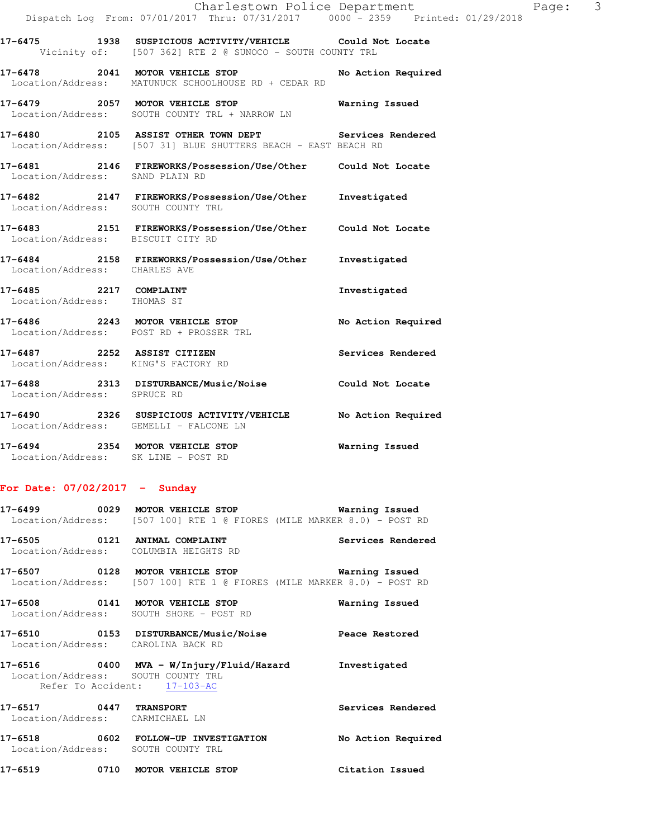|                                                       | Dispatch Log From: 07/01/2017 Thru: 07/31/2017 0000 - 2359 Printed: 01/29/2018                                          | Charlestown Police Department | Page: 3 |  |
|-------------------------------------------------------|-------------------------------------------------------------------------------------------------------------------------|-------------------------------|---------|--|
|                                                       | 17-6475 1938 SUSPICIOUS ACTIVITY/VEHICLE Could Not Locate<br>Vicinity of: [507 362] RTE 2 @ SUNOCO - SOUTH COUNTY TRL   |                               |         |  |
|                                                       | 17-6478 2041 MOTOR VEHICLE STOP<br>Location/Address: MATUNUCK SCHOOLHOUSE RD + CEDAR RD                                 | No Action Required            |         |  |
|                                                       | 17-6479 2057 MOTOR VEHICLE STOP<br>Location/Address: SOUTH COUNTY TRL + NARROW LN                                       | Warning Issued                |         |  |
|                                                       | 17-6480 2105 ASSIST OTHER TOWN DEPT Services Rendered<br>Location/Address: [507 31] BLUE SHUTTERS BEACH - EAST BEACH RD |                               |         |  |
| Location/Address: SAND PLAIN RD                       | 17-6481  2146 FIREWORKS/Possession/Use/Other  Could Not Locate                                                          |                               |         |  |
| Location/Address: SOUTH COUNTY TRL                    | 17-6482 2147 FIREWORKS/Possession/Use/Other                                                                             | Investigated                  |         |  |
| Location/Address: BISCUIT CITY RD                     | 17-6483 2151 FIREWORKS/Possession/Use/Other Could Not Locate                                                            |                               |         |  |
| Location/Address: CHARLES AVE                         | 17-6484 2158 FIREWORKS/Possession/Use/Other                                                                             | Investigated                  |         |  |
| 17-6485 2217 COMPLAINT<br>Location/Address: THOMAS ST |                                                                                                                         | Investigated                  |         |  |
|                                                       | 17-6486 2243 MOTOR VEHICLE STOP<br>Location/Address: POST RD + PROSSER TRL                                              | No Action Required            |         |  |
|                                                       | 17-6487 2252 ASSIST CITIZEN<br>Location/Address: KING'S FACTORY RD                                                      | Services Rendered             |         |  |
| Location/Address: SPRUCE RD                           | 17-6488  2313 DISTURBANCE/Music/Noise  Could Not Locate                                                                 |                               |         |  |
|                                                       | 17-6490 2326 SUSPICIOUS ACTIVITY/VEHICLE No Action Required<br>Location/Address: GEMELLI - FALCONE LN                   |                               |         |  |
|                                                       | 17-6494 2354 MOTOR VEHICLE STOP<br>Location/Address: SK LINE - POST RD                                                  | Warning Issued                |         |  |
|                                                       |                                                                                                                         |                               |         |  |

## **For Date: 07/02/2017 - Sunday**

|                                                           | Location/Address: [507 100] RTE 1 @ FIORES (MILE MARKER 8.0) - POST RD                                                          |                    |
|-----------------------------------------------------------|---------------------------------------------------------------------------------------------------------------------------------|--------------------|
|                                                           | 17-6505 0121 ANIMAL COMPLAINT<br>Location/Address: COLUMBIA HEIGHTS RD                                                          | Services Rendered  |
|                                                           | 17-6507 0128 MOTOR VEHICLE STOP 6507 Warning Issued<br>Location/Address: [507 100] RTE 1 @ FIORES (MILE MARKER 8.0) - POST RD   |                    |
|                                                           | 17-6508 0141 MOTOR VEHICLE STOP<br>Location/Address: SOUTH SHORE - POST RD                                                      | Warning Issued     |
|                                                           | 17-6510 0153 DISTURBANCE/Music/Noise<br>Location/Address: CAROLINA BACK RD                                                      | Peace Restored     |
|                                                           | 17-6516 		 0400 MVA - W/Injury/Fluid/Hazard Shrvestigated<br>Location/Address: SOUTH COUNTY TRL<br>Refer To Accident: 17-103-AC |                    |
| 17-6517 0447 TRANSPORT<br>Location/Address: CARMICHAEL LN |                                                                                                                                 | Services Rendered  |
|                                                           | 17-6518 0602 FOLLOW-UP INVESTIGATION<br>Location/Address: SOUTH COUNTY TRL                                                      | No Action Required |
|                                                           | 17-6519 0710 MOTOR VEHICLE STOP                                                                                                 | Citation Issued    |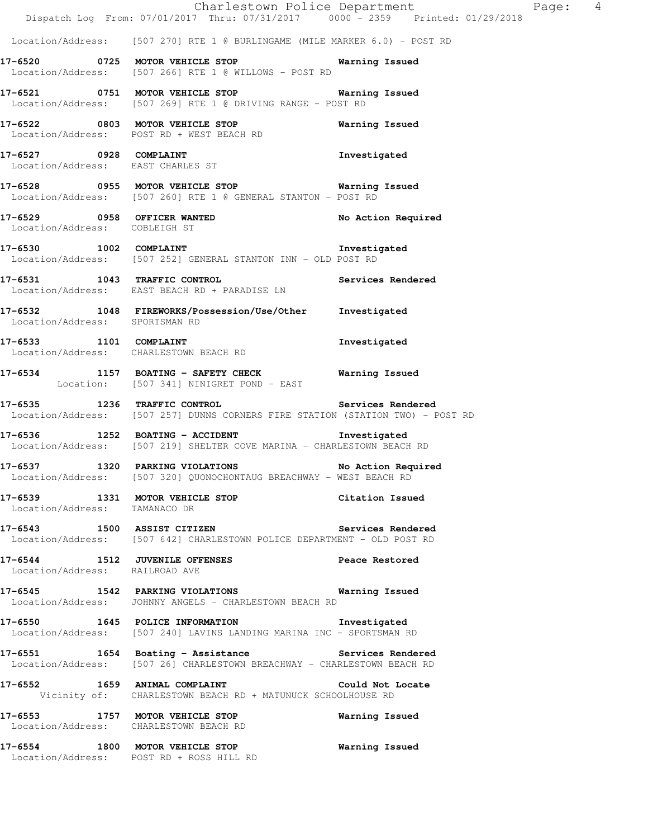|                                   | Dispatch Log From: 07/01/2017 Thru: 07/31/2017 0000 - 2359 Printed: 01/29/2018                                                   | Charlestown Police Department | Page: 4 |
|-----------------------------------|----------------------------------------------------------------------------------------------------------------------------------|-------------------------------|---------|
|                                   | Location/Address: [507 270] RTE 1 @ BURLINGAME (MILE MARKER 6.0) - POST RD                                                       |                               |         |
|                                   | 17-6520 0725 MOTOR VEHICLE STOP 6520 Warning Issued<br>Location/Address: [507 266] RTE 1 @ WILLOWS - POST RD                     |                               |         |
|                                   | 17-6521 0751 MOTOR VEHICLE STOP 677 Warning Issued<br>Location/Address: [507 269] RTE 1 @ DRIVING RANGE - POST RD                |                               |         |
|                                   | 17-6522 0803 MOTOR VEHICLE STOP<br>Location/Address: POST RD + WEST BEACH RD                                                     | Warning Issued                |         |
| Location/Address: EAST CHARLES ST | 17-6527 0928 COMPLAINT                                                                                                           | Investigated                  |         |
|                                   | 17-6528 0955 MOTOR VEHICLE STOP 6528 Warning Issued<br>Location/Address: [507 260] RTE 1 @ GENERAL STANTON - POST RD             |                               |         |
| Location/Address: COBLEIGH ST     | 17-6529 0958 OFFICER WANTED                                                                                                      | No Action Required            |         |
|                                   | 17-6530 1002 COMPLAINT 17-6530 Investigated<br>Location/Address: [507 252] GENERAL STANTON INN - OLD POST RD                     |                               |         |
|                                   | 17-6531 1043 TRAFFIC CONTROL<br>Location/Address: EAST BEACH RD + PARADISE LN                                                    | Services Rendered             |         |
| Location/Address: SPORTSMAN RD    | 17-6532 1048 FIREWORKS/Possession/Use/Other Investigated                                                                         |                               |         |
|                                   | 17-6533 1101 COMPLAINT<br>Location/Address: CHARLESTOWN BEACH RD                                                                 | Investigated                  |         |
|                                   | 17-6534 1157 BOATING - SAFETY CHECK Warning Issued<br>Location: [507 341] NINIGRET POND - EAST                                   |                               |         |
|                                   | 17-6535 1236 TRAFFIC CONTROL Services Rendered<br>Location/Address: [507 257] DUNNS CORNERS FIRE STATION (STATION TWO) - POST RD |                               |         |
|                                   | 17-6536 1252 BOATING - ACCIDENT 17-6536 Investigated<br>Location/Address: [507 219] SHELTER COVE MARINA - CHARLESTOWN BEACH RD   |                               |         |
| 17-6537 1320 PARKING VIOLATIONS   | Location/Address: [507 320] QUONOCHONTAUG BREACHWAY - WEST BEACH RD                                                              | No Action Required            |         |
| Location/Address: TAMANACO DR     | 17-6539 1331 MOTOR VEHICLE STOP Citation Issued                                                                                  |                               |         |
|                                   | 17-6543 1500 ASSIST CITIZEN Services Rendered<br>Location/Address: [507 642] CHARLESTOWN POLICE DEPARTMENT - OLD POST RD         |                               |         |
| Location/Address: RAILROAD AVE    | 17-6544 1512 JUVENILE OFFENSES Peace Restored                                                                                    |                               |         |
|                                   | 17-6545 1542 PARKING VIOLATIONS Warning Issued<br>Location/Address: JOHNNY ANGELS - CHARLESTOWN BEACH RD                         |                               |         |
|                                   | 17-6550 1645 POLICE INFORMATION 17-6550 Investigated<br>Location/Address: [507 240] LAVINS LANDING MARINA INC - SPORTSMAN RD     |                               |         |
|                                   | 17-6551 1654 Boating - Assistance Services Rendered<br>Location/Address: [507 26] CHARLESTOWN BREACHWAY - CHARLESTOWN BEACH RD   |                               |         |
|                                   | 17-6552 1659 ANIMAL COMPLAINT Could Not Locate<br>Vicinity of: CHARLESTOWN BEACH RD + MATUNUCK SCHOOLHOUSE RD                    |                               |         |
|                                   | 17-6553 1757 MOTOR VEHICLE STOP<br>Location/Address: CHARLESTOWN BEACH RD                                                        | Warning Issued                |         |
|                                   | 17-6554 1800 MOTOR VEHICLE STOP<br>Location/Address: POST RD + ROSS HILL RD                                                      | Warning Issued                |         |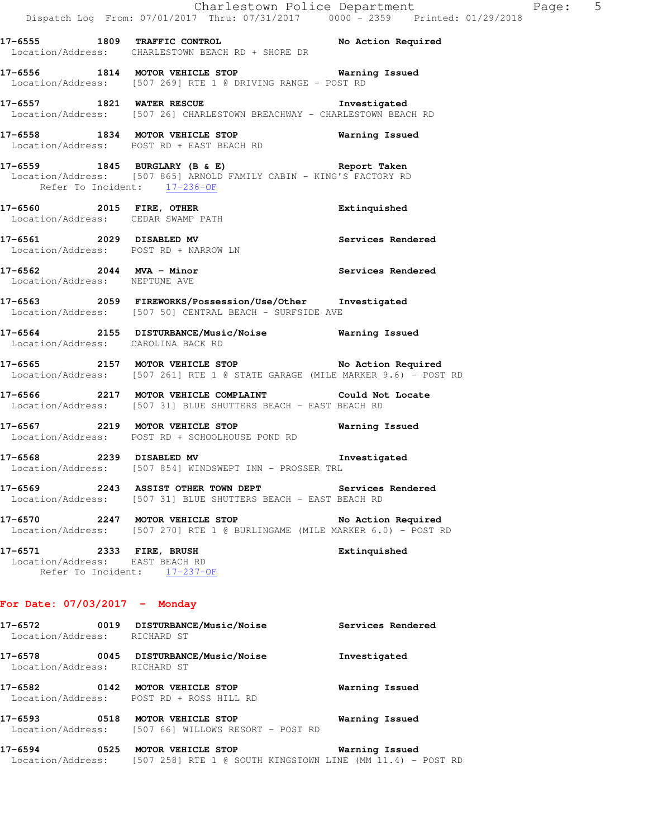**17-6555 1809 TRAFFIC CONTROL No Action Required**  Location/Address: CHARLESTOWN BEACH RD + SHORE DR

**17-6556 1814 MOTOR VEHICLE STOP Warning Issued**  Location/Address: [507 269] RTE 1 @ DRIVING RANGE - POST RD

**17-6557 1821 WATER RESCUE Investigated**  Location/Address: [507 26] CHARLESTOWN BREACHWAY - CHARLESTOWN BEACH RD

**17-6558 1834 MOTOR VEHICLE STOP Warning Issued**  Location/Address: POST RD + EAST BEACH RD

**17-6559 1845 BURGLARY (B & E) Report Taken**  Location/Address: [507 865] ARNOLD FAMILY CABIN - KING'S FACTORY RD Refer To Incident: 17-236-OF

**17-6560 2015 FIRE, OTHER Extinquished**  Location/Address: CEDAR SWAMP PATH

**17-6561 2029 DISABLED MV Services Rendered**  Location/Address: POST RD + NARROW LN

**17-6562 2044 MVA - Minor Services Rendered**  Location/Address: NEPTUNE AVE

**17-6563 2059 FIREWORKS/Possession/Use/Other Investigated**  Location/Address: [507 50] CENTRAL BEACH - SURFSIDE AVE

**17-6564 2155 DISTURBANCE/Music/Noise Warning Issued**  Location/Address: CAROLINA BACK RD

**17-6565 2157 MOTOR VEHICLE STOP No Action Required**  Location/Address: [507 261] RTE 1 @ STATE GARAGE (MILE MARKER 9.6) - POST RD

**17-6566 2217 MOTOR VEHICLE COMPLAINT Could Not Locate**  Location/Address: [507 31] BLUE SHUTTERS BEACH - EAST BEACH RD

**17-6567 2219 MOTOR VEHICLE STOP Warning Issued**  Location/Address: POST RD + SCHOOLHOUSE POND RD

**17-6568 2239 DISABLED MV Investigated**  Location/Address: [507 854] WINDSWEPT INN - PROSSER TRL

**17-6569 2243 ASSIST OTHER TOWN DEPT Services Rendered**  Location/Address: [507 31] BLUE SHUTTERS BEACH - EAST BEACH RD

**17-6570 2247 MOTOR VEHICLE STOP No Action Required**  Location/Address: [507 270] RTE 1 @ BURLINGAME (MILE MARKER 6.0) - POST RD

**17-6571 2333 FIRE, BRUSH Extinquished**  Location/Address: EAST BEACH RD Refer To Incident: 17-237-OF

### **For Date: 07/03/2017 - Monday**

| 17-6572<br>Location/Address:     | 0019 | DISTURBANCE/Music/Noise<br>RICHARD ST                          | Services Rendered |
|----------------------------------|------|----------------------------------------------------------------|-------------------|
| 17-6578<br>Location/Address:     | 0045 | DISTURBANCE/Music/Noise<br>RICHARD ST                          | Investigated      |
| 17-6582                          | 0142 | MOTOR VEHICLE STOP<br>Location/Address: POST RD + ROSS HILL RD | Warning Issued    |
| $17 - 6593$<br>Location/Address: | 0518 | MOTOR VEHICLE STOP<br>[507 66] WILLOWS RESORT - POST RD        | Warning Issued    |

**17-6594 0525 MOTOR VEHICLE STOP Warning Issued**  Location/Address: [507 258] RTE 1 @ SOUTH KINGSTOWN LINE (MM 11.4) - POST RD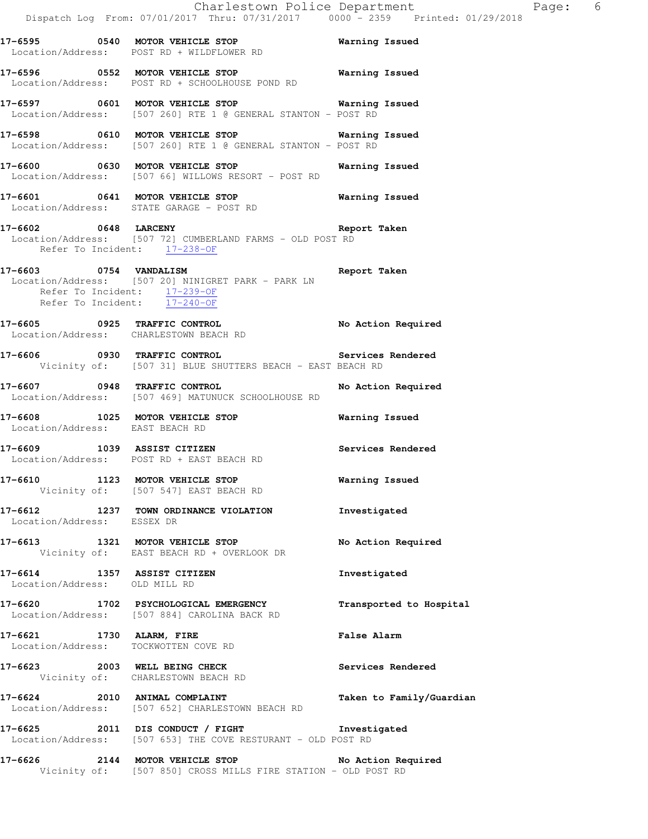**17-6595 0540 MOTOR VEHICLE STOP Warning Issued**  Location/Address: POST RD + WILDFLOWER RD **17-6596 0552 MOTOR VEHICLE STOP Warning Issued**  Location/Address: POST RD + SCHOOLHOUSE POND RD **17-6597 0601 MOTOR VEHICLE STOP Warning Issued**  Location/Address: [507 260] RTE 1 @ GENERAL STANTON - POST RD **17-6598 0610 MOTOR VEHICLE STOP Warning Issued**  Location/Address: [507 260] RTE 1 @ GENERAL STANTON - POST RD **17-6600 0630 MOTOR VEHICLE STOP Warning Issued**  Location/Address: [507 66] WILLOWS RESORT - POST RD **17-6601 0641 MOTOR VEHICLE STOP Warning Issued**  Location/Address: STATE GARAGE - POST RD **17-6602 0648 LARCENY Report Taken**  Location/Address: [507 72] CUMBERLAND FARMS - OLD POST RD Refer To Incident: 17-238-OF **17-6603 0754 VANDALISM Report Taken**  Location/Address: [507 20] NINIGRET PARK - PARK LN Refer To Incident: 17-239-OF Refer To Incident: 17-240-OF **17-6605 0925 TRAFFIC CONTROL No Action Required**  Location/Address: CHARLESTOWN BEACH RD **17-6606 0930 TRAFFIC CONTROL Services Rendered**  Vicinity of: [507 31] BLUE SHUTTERS BEACH - EAST BEACH RD **17-6607 0948 TRAFFIC CONTROL No Action Required**  Location/Address: [507 469] MATUNUCK SCHOOLHOUSE RD **17-6608 1025 MOTOR VEHICLE STOP Warning Issued**  Location/Address: EAST BEACH RD **17-6609 1039 ASSIST CITIZEN Services Rendered**  Location/Address: POST RD + EAST BEACH RD **17-6610 1123 MOTOR VEHICLE STOP Warning Issued**  Vicinity of: [507 547] EAST BEACH RD **17-6612 1237 TOWN ORDINANCE VIOLATION Investigated**  Location/Address: ESSEX DR **17-6613 1321 MOTOR VEHICLE STOP No Action Required**  Vicinity of: EAST BEACH RD + OVERLOOK DR **17-6614 1357 ASSIST CITIZEN Investigated**  Location/Address: OLD MILL RD **17-6620 1702 PSYCHOLOGICAL EMERGENCY Transported to Hospital**  Location/Address: [507 884] CAROLINA BACK RD **17-6621 1730 ALARM, FIRE False Alarm** 

 Location/Address: TOCKWOTTEN COVE RD **17-6623 2003 WELL BEING CHECK Services Rendered**  Vicinity of: CHARLESTOWN BEACH RD

**17-6624 2010 ANIMAL COMPLAINT Taken to Family/Guardian**  Location/Address: [507 652] CHARLESTOWN BEACH RD

**17-6625 2011 DIS CONDUCT / FIGHT Investigated**  Location/Address: [507 653] THE COVE RESTURANT - OLD POST RD

**17-6626 2144 MOTOR VEHICLE STOP No Action Required**  Vicinity of: [507 850] CROSS MILLS FIRE STATION - OLD POST RD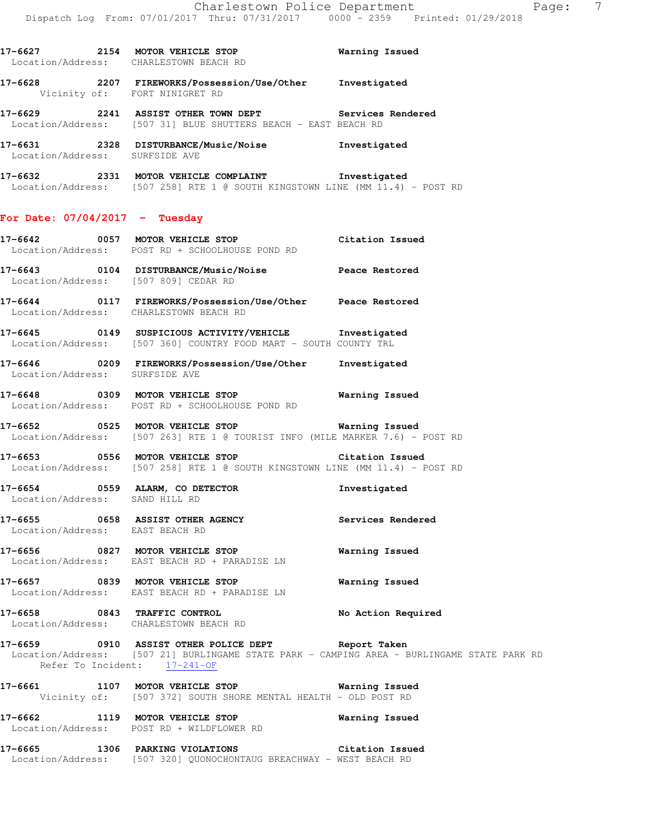**17-6627 2154 MOTOR VEHICLE STOP Warning Issued** 

**17-6628 2207 FIREWORKS/Possession/Use/Other Investigated** 

Location/Address: CHARLESTOWN BEACH RD

 Vicinity of: FORT NINIGRET RD **17-6629 2241 ASSIST OTHER TOWN DEPT Services Rendered**  Location/Address: [507 31] BLUE SHUTTERS BEACH - EAST BEACH RD **17-6631 2328 DISTURBANCE/Music/Noise Investigated**  Location/Address: SURFSIDE AVE **17-6632 2331 MOTOR VEHICLE COMPLAINT Investigated**  Location/Address: [507 258] RTE 1 @ SOUTH KINGSTOWN LINE (MM 11.4) - POST RD **For Date: 07/04/2017 - Tuesday 17-6642 0057 MOTOR VEHICLE STOP Citation Issued**  Location/Address: POST RD + SCHOOLHOUSE POND RD **17-6643 0104 DISTURBANCE/Music/Noise Peace Restored**  Location/Address: [507 809] CEDAR RD **17-6644 0117 FIREWORKS/Possession/Use/Other Peace Restored**  Location/Address: CHARLESTOWN BEACH RD **17-6645 0149 SUSPICIOUS ACTIVITY/VEHICLE Investigated**  Location/Address: [507 360] COUNTRY FOOD MART - SOUTH COUNTY TRL **17-6646 0209 FIREWORKS/Possession/Use/Other Investigated**  Location/Address: SURFSIDE AVE **17-6648 0309 MOTOR VEHICLE STOP Warning Issued**  Location/Address: POST RD + SCHOOLHOUSE POND RD **17-6652 0525 MOTOR VEHICLE STOP Warning Issued**  Location/Address: [507 263] RTE 1 @ TOURIST INFO (MILE MARKER 7.6) - POST RD **17-6653 0556 MOTOR VEHICLE STOP Citation Issued**  Location/Address: [507 258] RTE 1 @ SOUTH KINGSTOWN LINE (MM 11.4) - POST RD **17-6654 0559 ALARM, CO DETECTOR Investigated**  Location/Address: SAND HILL RD **17-6655 0658 ASSIST OTHER AGENCY Services Rendered**  Location/Address: EAST BEACH RD **17-6656 0827 MOTOR VEHICLE STOP Warning Issued**  Location/Address: EAST BEACH RD + PARADISE LN **17-6657 0839 MOTOR VEHICLE STOP Warning Issued**  Location/Address: EAST BEACH RD + PARADISE LN **17-6658 0843 TRAFFIC CONTROL No Action Required**  Location/Address: CHARLESTOWN BEACH RD **17-6659 0910 ASSIST OTHER POLICE DEPT Report Taken**  Location/Address: [507 21] BURLINGAME STATE PARK - CAMPING AREA - BURLINGAME STATE PARK RD Refer To Incident: 17-241-OF **17-6661 1107 MOTOR VEHICLE STOP Warning Issued**  Vicinity of: [507 372] SOUTH SHORE MENTAL HEALTH - OLD POST RD **17-6662 1119 MOTOR VEHICLE STOP Warning Issued**  Location/Address: POST RD + WILDFLOWER RD **17-6665 1306 PARKING VIOLATIONS Citation Issued** 

Location/Address: [507 320] QUONOCHONTAUG BREACHWAY - WEST BEACH RD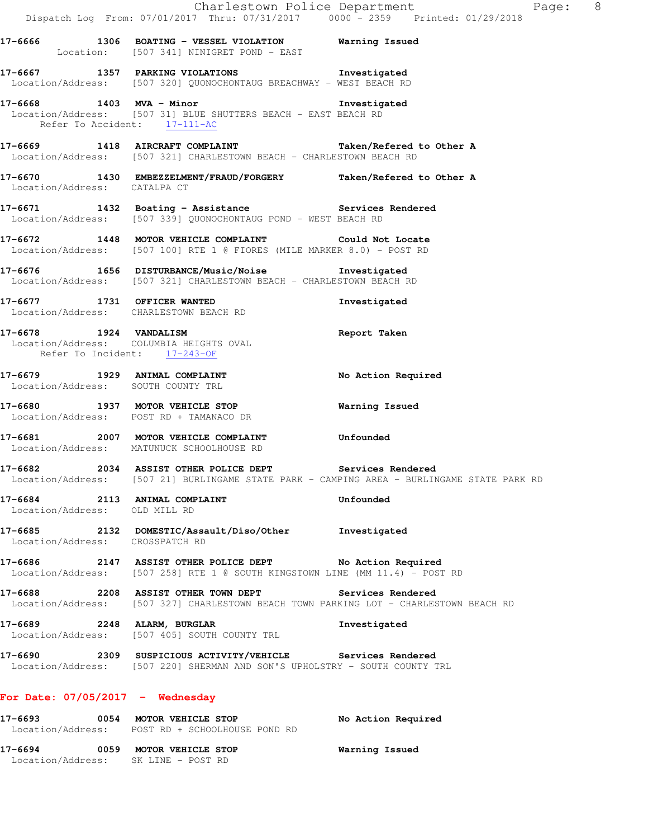|                                 | Dispatch Log From: 07/01/2017 Thru: 07/31/2017 0000 <sup>-</sup> 2359 Printed: 01/29/2018                                                                                                                        | Charlestown Police Department<br>Page: 8                                                   |  |
|---------------------------------|------------------------------------------------------------------------------------------------------------------------------------------------------------------------------------------------------------------|--------------------------------------------------------------------------------------------|--|
|                                 | 17-6666 1306 BOATING - VESSEL VIOLATION Warning Issued<br>Location: [507 341] NINIGRET POND - EAST                                                                                                               |                                                                                            |  |
|                                 | 17-6667 1357 PARKING VIOLATIONS 1nvestigated<br>Location/Address: [507 320] QUONOCHONTAUG BREACHWAY - WEST BEACH RD                                                                                              |                                                                                            |  |
|                                 | 17-6668 1403 MVA - Minor Sand American Musculin and Musculin Musculin and Musculin Musculin Musculin and Muscu<br>Location/Address: [507 31] BLUE SHUTTERS BEACH - EAST BEACH RD<br>Refer To Accident: 17-111-AC |                                                                                            |  |
|                                 | 17-6669 1418 AIRCRAFT COMPLAINT <b>Taken/Refered</b> to Other A<br>Location/Address: [507 321] CHARLESTOWN BEACH - CHARLESTOWN BEACH RD                                                                          |                                                                                            |  |
| Location/Address: CATALPA CT    | 17-6670 1430 EMBEZZELMENT/FRAUD/FORGERY Taken/Refered to Other A                                                                                                                                                 |                                                                                            |  |
|                                 | 17-6671 1432 Boating - Assistance Services Rendered<br>Location/Address: [507 339] QUONOCHONTAUG POND - WEST BEACH RD                                                                                            |                                                                                            |  |
|                                 | 17-6672 1448 MOTOR VEHICLE COMPLAINT Could Not Locate<br>Location/Address: [507 100] RTE 1 @ FIORES (MILE MARKER 8.0) - POST RD                                                                                  |                                                                                            |  |
|                                 | 17-6676 1656 DISTURBANCE/Music/Noise Investigated<br>Location/Address: [507 321] CHARLESTOWN BEACH - CHARLESTOWN BEACH RD                                                                                        |                                                                                            |  |
|                                 | 17-6677 1731 OFFICER WANTED<br>Location/Address: CHARLESTOWN BEACH RD                                                                                                                                            | Investigated                                                                               |  |
|                                 | 17-6678 1924 VANDALISM<br>Location/Address: COLUMBIA HEIGHTS OVAL<br>Refer To Incident: 17-243-OF                                                                                                                | Report Taken                                                                               |  |
|                                 | 17-6679 1929 ANIMAL COMPLAINT<br>Location/Address: SOUTH COUNTY TRL                                                                                                                                              | No Action Required                                                                         |  |
|                                 | 17-6680 1937 MOTOR VEHICLE STOP<br>Location/Address: POST RD + TAMANACO DR                                                                                                                                       | Warning Issued                                                                             |  |
|                                 | 17-6681 2007 MOTOR VEHICLE COMPLAINT<br>Location/Address: MATUNUCK SCHOOLHOUSE RD                                                                                                                                | Unfounded                                                                                  |  |
|                                 | 17-6682 2034 ASSIST OTHER POLICE DEPT Services Rendered                                                                                                                                                          | Location/Address: [507 21] BURLINGAME STATE PARK - CAMPING AREA - BURLINGAME STATE PARK RD |  |
| Location/Address: OLD MILL RD   | 17-6684 2113 ANIMAL COMPLAINT                                                                                                                                                                                    | Unfounded                                                                                  |  |
| Location/Address: CROSSPATCH RD | 17-6685 2132 DOMESTIC/Assault/Diso/Other Investigated                                                                                                                                                            |                                                                                            |  |
|                                 | 17-6686 2147 ASSIST OTHER POLICE DEPT No Action Required<br>Location/Address: [507 258] RTE 1 @ SOUTH KINGSTOWN LINE (MM 11.4) - POST RD                                                                         |                                                                                            |  |
|                                 | 17-6688 2208 ASSIST OTHER TOWN DEPT Services Rendered<br>Location/Address: [507 327] CHARLESTOWN BEACH TOWN PARKING LOT - CHARLESTOWN BEACH RD                                                                   |                                                                                            |  |
|                                 | 17-6689 2248 ALARM, BURGLAR<br>Location/Address: [507 405] SOUTH COUNTY TRL                                                                                                                                      | Investigated                                                                               |  |
|                                 | 17-6690 2309 SUSPICIOUS ACTIVITY/VEHICLE Services Rendered<br>Location/Address: [507 220] SHERMAN AND SON'S UPHOLSTRY - SOUTH COUNTY TRL                                                                         |                                                                                            |  |
|                                 | For Date: $07/05/2017$ - Wednesday                                                                                                                                                                               |                                                                                            |  |
|                                 | 17-6693 0054 MOTOR VEHICLE STOP<br>Location/Address: POST RD + SCHOOLHOUSE POND RD                                                                                                                               | No Action Required                                                                         |  |
|                                 | 17-6694 0059 MOTOR VEHICLE STOP 60 Warning Issued                                                                                                                                                                |                                                                                            |  |

Location/Address: SK LINE - POST RD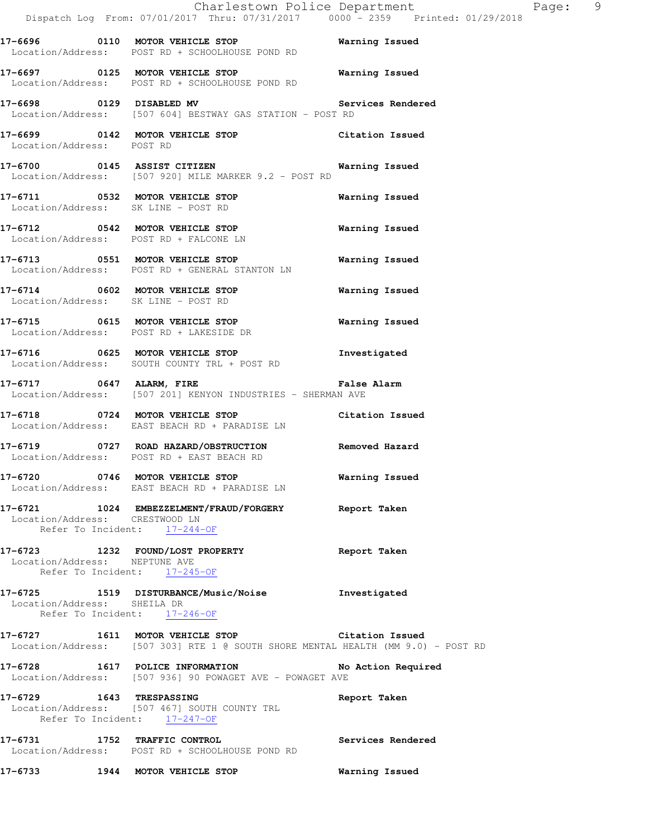|                                | Charlestown Police Department The Rage: 9<br>Dispatch Log From: 07/01/2017 Thru: 07/31/2017 0000 - 2359 Printed: 01/29/2018            |                       |  |
|--------------------------------|----------------------------------------------------------------------------------------------------------------------------------------|-----------------------|--|
|                                | Location/Address: POST RD + SCHOOLHOUSE POND RD                                                                                        |                       |  |
|                                | 17-6697 0125 MOTOR VEHICLE STOP<br>Location/Address: POST RD + SCHOOLHOUSE POND RD                                                     | <b>Warning Issued</b> |  |
|                                | 17-6698 0129 DISABLED MV Services Rendered<br>Location/Address: [507 604] BESTWAY GAS STATION - POST RD                                |                       |  |
| Location/Address: POST RD      | 17-6699 0142 MOTOR VEHICLE STOP Citation Issued                                                                                        |                       |  |
|                                | 17-6700 0145 ASSIST CITIZEN Narning Issued<br>Location/Address: [507 920] MILE MARKER 9.2 - POST RD                                    |                       |  |
|                                | 17-6711 0532 MOTOR VEHICLE STOP<br>Location/Address: SK LINE - POST RD                                                                 | Warning Issued        |  |
|                                | 17-6712 0542 MOTOR VEHICLE STOP<br>Location/Address: POST RD + FALCONE LN                                                              | <b>Warning Issued</b> |  |
|                                | 17-6713 0551 MOTOR VEHICLE STOP<br>Location/Address: POST RD + GENERAL STANTON LN                                                      | Warning Issued        |  |
|                                | 17-6714 0602 MOTOR VEHICLE STOP<br>Location/Address: SK LINE - POST RD                                                                 | Warning Issued        |  |
|                                | 17-6715 0615 MOTOR VEHICLE STOP<br>Location/Address: POST RD + LAKESIDE DR                                                             | Warning Issued        |  |
|                                | 17-6716 0625 MOTOR VEHICLE STOP<br>Location/Address: SOUTH COUNTY TRL + POST RD                                                        | Investigated          |  |
| 17-6717 0647 ALARM, FIRE       | <b>False Alarm</b><br>Location/Address: [507 201] KENYON INDUSTRIES - SHERMAN AVE                                                      |                       |  |
|                                | 17-6718 0724 MOTOR VEHICLE STOP Citation Issued<br>Location/Address: EAST BEACH RD + PARADISE LN                                       |                       |  |
|                                | 17-6719 0727 ROAD HAZARD/OBSTRUCTION Removed Hazard<br>Location/Address: POST RD + EAST BEACH RD                                       |                       |  |
|                                | 17-6720 0746 MOTOR VEHICLE STOP<br>Location/Address: EAST BEACH RD + PARADISE LN                                                       | Warning Issued        |  |
| Location/Address: CRESTWOOD LN | 17-6721 1024 EMBEZZELMENT/FRAUD/FORGERY Report Taken<br>Refer To Incident: 17-244-OF                                                   |                       |  |
| Location/Address: NEPTUNE AVE  | 17-6723 1232 FOUND/LOST PROPERTY Report Taken<br>Refer To Incident: 17-245-OF                                                          |                       |  |
| Location/Address: SHEILA DR    | 17-6725 1519 DISTURBANCE/Music/Noise Investigated<br>Refer To Incident: 17-246-OF                                                      |                       |  |
|                                | 17-6727 1611 MOTOR VEHICLE STOP 30 Citation Issued<br>Location/Address: [507 303] RTE 1 @ SOUTH SHORE MENTAL HEALTH (MM 9.0) - POST RD |                       |  |
|                                | 17-6728 1617 POLICE INFORMATION<br>Location/Address: [507 936] 90 POWAGET AVE - POWAGET AVE                                            | No Action Required    |  |
| 17-6729 1643 TRESPASSING       | Location/Address: [507 467] SOUTH COUNTY TRL<br>Refer To Incident: 17-247-OF                                                           | Report Taken          |  |
|                                | 17-6731 1752 TRAFFIC CONTROL<br>Location/Address: POST RD + SCHOOLHOUSE POND RD                                                        | Services Rendered     |  |
|                                | 17-6733 1944 MOTOR VEHICLE STOP                                                                                                        | Warning Issued        |  |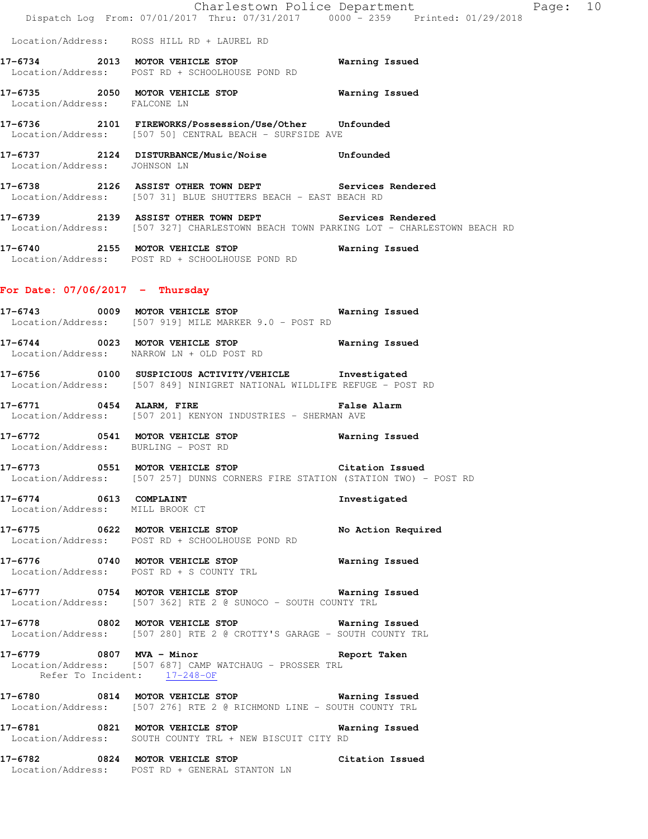|                                                           | Dispatch Log From: 07/01/2017 Thru: 07/31/2017 0000 - 2359 Printed: 01/29/2018                                                                 | Charlestown Police Department The Page: 10 |  |
|-----------------------------------------------------------|------------------------------------------------------------------------------------------------------------------------------------------------|--------------------------------------------|--|
|                                                           | Location/Address: ROSS HILL RD + LAUREL RD                                                                                                     |                                            |  |
|                                                           | 17-6734 2013 MOTOR VEHICLE STOP 6734 Warning Issued<br>Location/Address: POST RD + SCHOOLHOUSE POND RD                                         |                                            |  |
| Location/Address: FALCONE LN                              | 17-6735 2050 MOTOR VEHICLE STOP 6735 Warning Issued                                                                                            |                                            |  |
|                                                           | 17-6736 2101 FIREWORKS/Possession/Use/Other Unfounded<br>Location/Address: [507 50] CENTRAL BEACH - SURFSIDE AVE                               |                                            |  |
| Location/Address: JOHNSON LN                              | 17-6737 2124 DISTURBANCE/Music/Noise Unfounded                                                                                                 |                                            |  |
|                                                           | 17-6738 2126 ASSIST OTHER TOWN DEPT Services Rendered<br>Location/Address: [507 31] BLUE SHUTTERS BEACH - EAST BEACH RD                        |                                            |  |
|                                                           | 17-6739 2139 ASSIST OTHER TOWN DEPT Services Rendered<br>Location/Address: [507 327] CHARLESTOWN BEACH TOWN PARKING LOT - CHARLESTOWN BEACH RD |                                            |  |
|                                                           | 17-6740 2155 MOTOR VEHICLE STOP 671 Warning Issued<br>Location/Address: POST RD + SCHOOLHOUSE POND RD                                          |                                            |  |
| For Date: $07/06/2017$ - Thursday                         |                                                                                                                                                |                                            |  |
|                                                           | 17-6743 0009 MOTOR VEHICLE STOP 6743 Warning Issued<br>Location/Address: [507 919] MILE MARKER 9.0 - POST RD                                   |                                            |  |
|                                                           | 17-6744 0023 MOTOR VEHICLE STOP Warning Issued<br>Location/Address: NARROW LN + OLD POST RD                                                    |                                            |  |
|                                                           | 17-6756 0100 SUSPICIOUS ACTIVITY/VEHICLE Investigated<br>Location/Address: [507 849] NINIGRET NATIONAL WILDLIFE REFUGE - POST RD               |                                            |  |
|                                                           | 17-6771 0454 ALARM, FIRE <b>17-6771</b> Palse Alarm<br>Location/Address: [507 201] KENYON INDUSTRIES - SHERMAN AVE                             |                                            |  |
| Location/Address: BURLING - POST RD                       | 17-6772 0541 MOTOR VEHICLE STOP                                                                                                                | Warning Issued                             |  |
| 17-6773                                                   | 0551 MOTOR VEHICLE STOP<br>Location/Address: [507 257] DUNNS CORNERS FIRE STATION (STATION TWO) - POST RD                                      | Citation Issued                            |  |
| 17-6774 0613 COMPLAINT<br>Location/Address: MILL BROOK CT |                                                                                                                                                | Investigated                               |  |
|                                                           | 17-6775 0622 MOTOR VEHICLE STOP No Action Required<br>Location/Address: POST RD + SCHOOLHOUSE POND RD                                          |                                            |  |
|                                                           | 17-6776 0740 MOTOR VEHICLE STOP<br>Location/Address: POST RD + S COUNTY TRL                                                                    | <b>Warning Issued</b>                      |  |
|                                                           | 17-6777 0754 MOTOR VEHICLE STOP 6777 Warning Issued<br>Location/Address: [507 362] RTE 2 @ SUNOCO - SOUTH COUNTY TRL                           |                                            |  |
|                                                           | 17-6778 0802 MOTOR VEHICLE STOP 6778 Warning Issued<br>  Location/Address: [507 280] RTE 2 @ CROTTY'S GARAGE - SOUTH COUNTY TRL                |                                            |  |
| Refer To Incident: 17-248-OF                              | 17-6779 0807 MVA - Minor Changes of the Report Taken<br>Location/Address: [507 687] CAMP WATCHAUG - PROSSER TRL                                |                                            |  |
|                                                           | 17-6780 0814 MOTOR VEHICLE STOP 678 Warning Issued<br>Location/Address: [507 276] RTE 2 @ RICHMOND LINE - SOUTH COUNTY TRL                     |                                            |  |
|                                                           | 17-6781 0821 MOTOR VEHICLE STOP 67 Warning Issued<br>Location/Address: SOUTH COUNTY TRL + NEW BISCUIT CITY RD                                  |                                            |  |
|                                                           | 17-6782 0824 MOTOR VEHICLE STOP<br>Location/Address: POST RD + GENERAL STANTON LN                                                              | Citation Issued                            |  |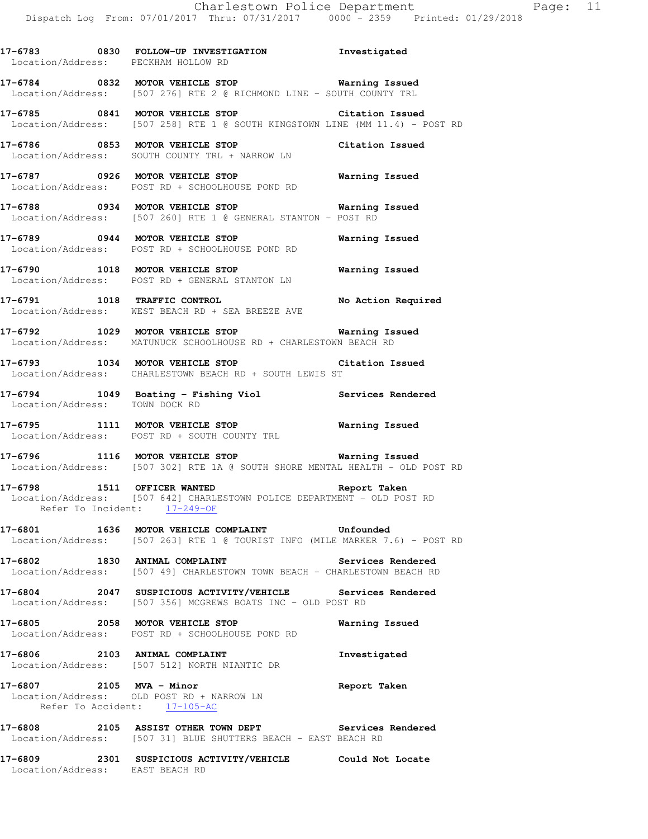**17-6783 0830 FOLLOW-UP INVESTIGATION Investigated** 

Location/Address: PECKHAM HOLLOW RD

**17-6784 0832 MOTOR VEHICLE STOP Warning Issued**  Location/Address: [507 276] RTE 2 @ RICHMOND LINE - SOUTH COUNTY TRL **17-6785 0841 MOTOR VEHICLE STOP Citation Issued**  Location/Address: [507 258] RTE 1 @ SOUTH KINGSTOWN LINE (MM 11.4) - POST RD **17-6786 0853 MOTOR VEHICLE STOP Citation Issued**  Location/Address: SOUTH COUNTY TRL + NARROW LN **17-6787 0926 MOTOR VEHICLE STOP Warning Issued**  Location/Address: POST RD + SCHOOLHOUSE POND RD **17-6788 0934 MOTOR VEHICLE STOP Warning Issued**  Location/Address: [507 260] RTE 1 @ GENERAL STANTON - POST RD **17-6789 0944 MOTOR VEHICLE STOP Warning Issued**  Location/Address: POST RD + SCHOOLHOUSE POND RD **17-6790 1018 MOTOR VEHICLE STOP Warning Issued**  Location/Address: POST RD + GENERAL STANTON LN **17-6791 1018 TRAFFIC CONTROL No Action Required**  Location/Address: WEST BEACH RD + SEA BREEZE AVE **17-6792 1029 MOTOR VEHICLE STOP Warning Issued**  Location/Address: MATUNUCK SCHOOLHOUSE RD + CHARLESTOWN BEACH RD **17-6793 1034 MOTOR VEHICLE STOP Citation Issued**  Location/Address: CHARLESTOWN BEACH RD + SOUTH LEWIS ST **17-6794 1049 Boating - Fishing Viol Services Rendered**  Location/Address: TOWN DOCK RD **17-6795 1111 MOTOR VEHICLE STOP Warning Issued**  Location/Address: POST RD + SOUTH COUNTY TRL **17-6796 1116 MOTOR VEHICLE STOP Warning Issued**  Location/Address: [507 302] RTE 1A @ SOUTH SHORE MENTAL HEALTH - OLD POST RD **17-6798 1511 OFFICER WANTED Report Taken**  Location/Address: [507 642] CHARLESTOWN POLICE DEPARTMENT - OLD POST RD Refer To Incident: 17-249-OF **17-6801 1636 MOTOR VEHICLE COMPLAINT Unfounded**  Location/Address: [507 263] RTE 1 @ TOURIST INFO (MILE MARKER 7.6) - POST RD **17-6802 1830 ANIMAL COMPLAINT Services Rendered**  Location/Address: [507 49] CHARLESTOWN TOWN BEACH - CHARLESTOWN BEACH RD **17-6804 2047 SUSPICIOUS ACTIVITY/VEHICLE Services Rendered**  Location/Address: [507 356] MCGREWS BOATS INC - OLD POST RD **17-6805 2058 MOTOR VEHICLE STOP Warning Issued**  Location/Address: POST RD + SCHOOLHOUSE POND RD 17-6806 2103 ANIMAL COMPLAINT **Investigated**  Location/Address: [507 512] NORTH NIANTIC DR **17-6807 2105 MVA - Minor Report Taken**  Location/Address: OLD POST RD + NARROW LN Refer To Accident: 17-105-AC **17-6808 2105 ASSIST OTHER TOWN DEPT Services Rendered**  Location/Address: [507 31] BLUE SHUTTERS BEACH - EAST BEACH RD **17-6809 2301 SUSPICIOUS ACTIVITY/VEHICLE Could Not Locate**  Location/Address: EAST BEACH RD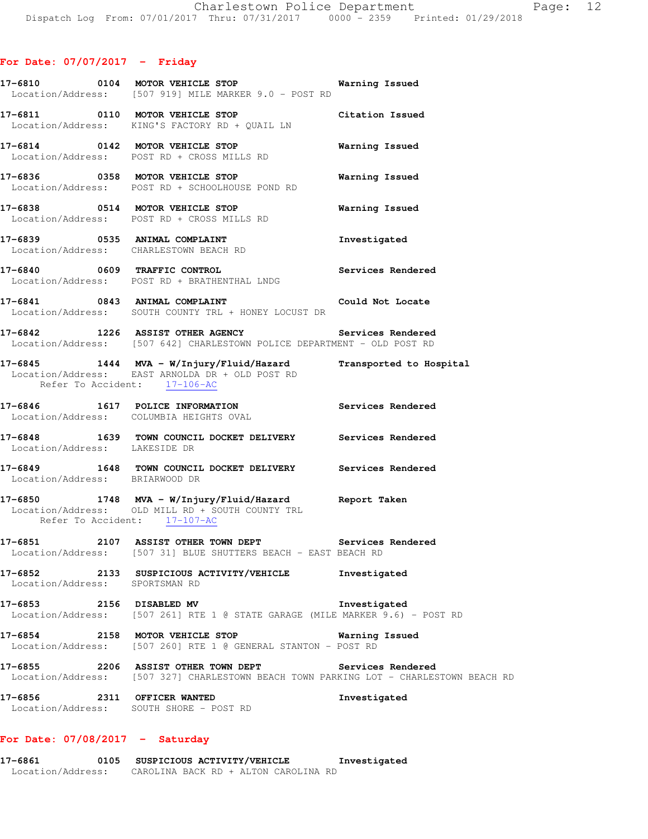|                                           | 17-6810 0104 MOTOR VEHICLE STOP <b>WATER WATER</b><br>Location/Address: [507 919] MILE MARKER 9.0 - POST RD                                                                                                   |                       |
|-------------------------------------------|---------------------------------------------------------------------------------------------------------------------------------------------------------------------------------------------------------------|-----------------------|
|                                           | 17-6811 0110 MOTOR VEHICLE STOP Citation Issued<br>Location/Address: KING'S FACTORY RD + QUAIL LN                                                                                                             |                       |
|                                           | 17-6814 0142 MOTOR VEHICLE STOP<br>Location/Address: POST RD + CROSS MILLS RD                                                                                                                                 | Warning Issued        |
|                                           | 17-6836 0358 MOTOR VEHICLE STOP<br>Location/Address: POST RD + SCHOOLHOUSE POND RD                                                                                                                            | Warning Issued        |
|                                           | 17-6838 0514 MOTOR VEHICLE STOP<br>Location/Address: POST RD + CROSS MILLS RD                                                                                                                                 | <b>Warning Issued</b> |
|                                           | 17-6839 0535 ANIMAL COMPLAINT<br>Location/Address: CHARLESTOWN BEACH RD                                                                                                                                       | Investigated          |
|                                           | 17-6840 0609 TRAFFIC CONTROL Services Rendered Location/Address: POST RD + BRATHENTHAL LNDG                                                                                                                   |                       |
|                                           | 17-6841 0843 ANIMAL COMPLAINT Could Not Locate<br>Location/Address: SOUTH COUNTY TRL + HONEY LOCUST DR                                                                                                        |                       |
|                                           | 17-6842 1226 ASSIST OTHER AGENCY Services Rendered<br>Location/Address: [507 642] CHARLESTOWN POLICE DEPARTMENT - OLD POST RD                                                                                 |                       |
| Refer To Accident: 17-106-AC              | 17-6845 1444 MVA - W/Injury/Fluid/Hazard Transported to Hospital<br>Location/Address: EAST ARNOLDA DR + OLD POST RD                                                                                           |                       |
|                                           | 17-6846 1617 POLICE INFORMATION Services Rendered<br>Location/Address: COLUMBIA HEIGHTS OVAL                                                                                                                  |                       |
| Location/Address: LAKESIDE DR             | 17-6848 1639 TOWN COUNCIL DOCKET DELIVERY Services Rendered                                                                                                                                                   |                       |
| Location/Address: BRIARWOOD DR            | 17-6849 1648 TOWN COUNCIL DOCKET DELIVERY Services Rendered                                                                                                                                                   |                       |
| Refer To Accident: 17-107-AC              | 17-6850 1748 MVA - W/Injury/Fluid/Hazard Report Taken<br>$\begin{bmatrix} \text{Location}/\text{Address:} \\ \text{NoCain} \\ \text{PoCain} \\ \text{PoCain} \\ \end{bmatrix}$ OLD MILL RD + SOUTH COUNTY TRL |                       |
|                                           | 17-6851 2107 ASSIST OTHER TOWN DEPT Services Rendered<br>Location/Address: [507 31] BLUE SHUTTERS BEACH - EAST BEACH RD                                                                                       |                       |
| 17-6852<br>Location/Address: SPORTSMAN RD | 2133 SUSPICIOUS ACTIVITY/VEHICLE Thvestigated                                                                                                                                                                 |                       |
| 17-6853 2156 DISABLED MV                  | Location/Address: [507 261] RTE 1 @ STATE GARAGE (MILE MARKER 9.6) - POST RD                                                                                                                                  | Investigated          |
|                                           | 17-6854 2158 MOTOR VEHICLE STOP<br>Location/Address: [507 260] RTE 1 @ GENERAL STANTON - POST RD                                                                                                              | <b>Warning Issued</b> |
|                                           | 17-6855 2206 ASSIST OTHER TOWN DEPT Services Rendered<br>Location/Address: [507 327] CHARLESTOWN BEACH TOWN PARKING LOT - CHARLESTOWN BEACH RD                                                                |                       |
|                                           |                                                                                                                                                                                                               |                       |

## **For Date: 07/08/2017 - Saturday**

**17-6861 0105 SUSPICIOUS ACTIVITY/VEHICLE Investigated**  Location/Address: CAROLINA BACK RD + ALTON CAROLINA RD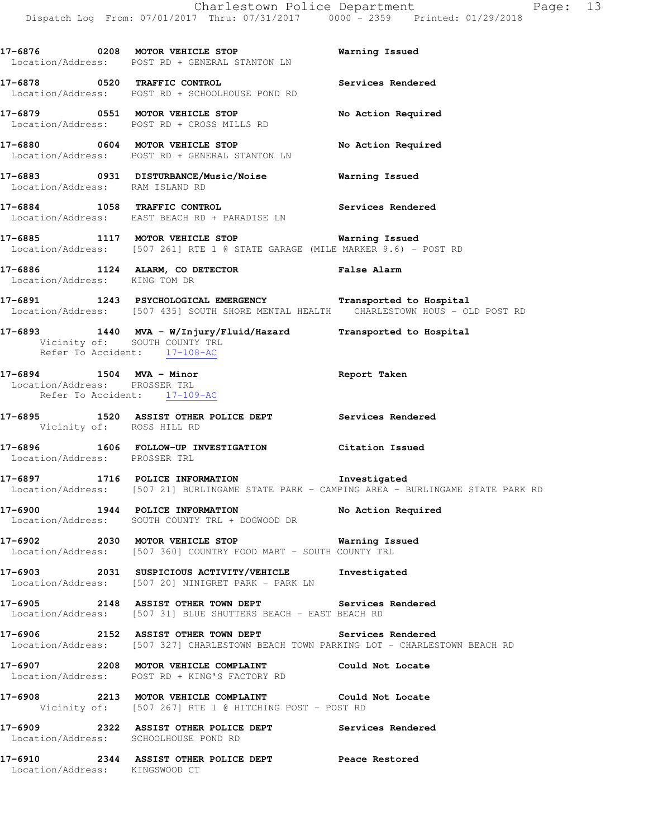**17-6876 0208 MOTOR VEHICLE STOP Warning Issued**  Location/Address: POST RD + GENERAL STANTON LN **17-6878 0520 TRAFFIC CONTROL Services Rendered**  Location/Address: POST RD + SCHOOLHOUSE POND RD **17-6879 0551 MOTOR VEHICLE STOP No Action Required**  Location/Address: POST RD + CROSS MILLS RD **17-6880 0604 MOTOR VEHICLE STOP No Action Required**  Location/Address: POST RD + GENERAL STANTON LN **17-6883 0931 DISTURBANCE/Music/Noise Warning Issued**  Location/Address: RAM ISLAND RD **17-6884 1058 TRAFFIC CONTROL Services Rendered**  Location/Address: EAST BEACH RD + PARADISE LN **17-6885 1117 MOTOR VEHICLE STOP Warning Issued**  Location/Address: [507 261] RTE 1 @ STATE GARAGE (MILE MARKER 9.6) - POST RD **17-6886 1124 ALARM, CO DETECTOR False Alarm**  Location/Address: KING TOM DR **17-6891 1243 PSYCHOLOGICAL EMERGENCY Transported to Hospital**  Location/Address: [507 435] SOUTH SHORE MENTAL HEALTH CHARLESTOWN HOUS - OLD POST RD **17-6893 1440 MVA - W/Injury/Fluid/Hazard Transported to Hospital**  Vicinity of: SOUTH COUNTY TRL Refer To Accident: 17-108-AC **17-6894 1504 MVA - Minor Report Taken**  Location/Address: PROSSER TRL Refer To Accident: 17-109-AC **17-6895 1520 ASSIST OTHER POLICE DEPT Services Rendered**  Vicinity of: ROSS HILL RD **17-6896 1606 FOLLOW-UP INVESTIGATION Citation Issued**  Location/Address: PROSSER TRL **17-6897 1716 POLICE INFORMATION Investigated**  Location/Address: [507 21] BURLINGAME STATE PARK - CAMPING AREA - BURLINGAME STATE PARK RD **17-6900 1944 POLICE INFORMATION No Action Required**  Location/Address: SOUTH COUNTY TRL + DOGWOOD DR **17-6902 2030 MOTOR VEHICLE STOP Warning Issued**  Location/Address: [507 360] COUNTRY FOOD MART - SOUTH COUNTY TRL **17-6903 2031 SUSPICIOUS ACTIVITY/VEHICLE Investigated**  Location/Address: [507 20] NINIGRET PARK - PARK LN **17-6905 2148 ASSIST OTHER TOWN DEPT Services Rendered**  Location/Address: [507 31] BLUE SHUTTERS BEACH - EAST BEACH RD **17-6906 2152 ASSIST OTHER TOWN DEPT Services Rendered**  Location/Address: [507 327] CHARLESTOWN BEACH TOWN PARKING LOT - CHARLESTOWN BEACH RD **17-6907 2208 MOTOR VEHICLE COMPLAINT Could Not Locate**  Location/Address: POST RD + KING'S FACTORY RD

**17-6908 2213 MOTOR VEHICLE COMPLAINT Could Not Locate**  Vicinity of: [507 267] RTE 1 @ HITCHING POST - POST RD

**17-6909 2322 ASSIST OTHER POLICE DEPT Services Rendered** 

**17-6910 2344 ASSIST OTHER POLICE DEPT Peace Restored**  Location/Address: KINGSWOOD CT

Location/Address: SCHOOLHOUSE POND RD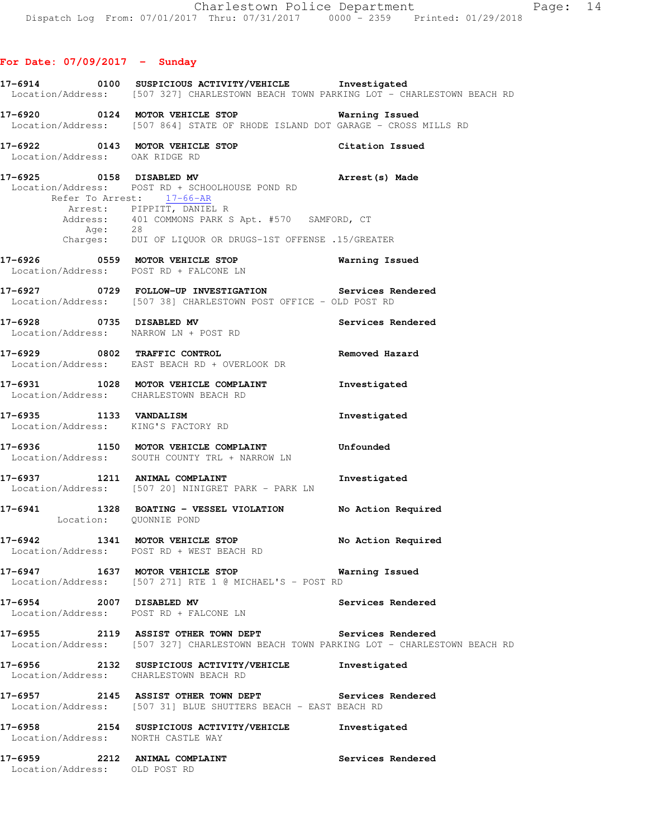**17-6914 0100 SUSPICIOUS ACTIVITY/VEHICLE Investigated**  Location/Address: [507 327] CHARLESTOWN BEACH TOWN PARKING LOT - CHARLESTOWN BEACH RD **17-6920 0124 MOTOR VEHICLE STOP Warning Issued**  Location/Address: [507 864] STATE OF RHODE ISLAND DOT GARAGE - CROSS MILLS RD **17-6922 0143 MOTOR VEHICLE STOP Citation Issued**  Location/Address: OAK RIDGE RD **17-6925 0158 DISABLED MV Arrest(s) Made**  Location/Address: POST RD + SCHOOLHOUSE POND RD Refer To Arrest: 17-66-AR Arrest: PIPPITT, DANIEL R Address: 401 COMMONS PARK S Apt. #570 SAMFORD, CT Age: 28 Charges: DUI OF LIQUOR OR DRUGS-1ST OFFENSE .15/GREATER **17-6926 0559 MOTOR VEHICLE STOP Warning Issued**  Location/Address: POST RD + FALCONE LN **17-6927 0729 FOLLOW-UP INVESTIGATION Services Rendered**  Location/Address: [507 38] CHARLESTOWN POST OFFICE - OLD POST RD **17-6928 0735 DISABLED MV Services Rendered**  Location/Address: NARROW LN + POST RD **17-6929 0802 TRAFFIC CONTROL Removed Hazard**  Location/Address: EAST BEACH RD + OVERLOOK DR **17-6931 1028 MOTOR VEHICLE COMPLAINT Investigated**  Location/Address: CHARLESTOWN BEACH RD **17-6935 1133 VANDALISM Investigated**  Location/Address: KING'S FACTORY RD **17-6936 1150 MOTOR VEHICLE COMPLAINT Unfounded**  Location/Address: SOUTH COUNTY TRL + NARROW LN **17-6937 1211 ANIMAL COMPLAINT Investigated**  Location/Address: [507 20] NINIGRET PARK - PARK LN **17-6941 1328 BOATING - VESSEL VIOLATION No Action Required**  Location: QUONNIE POND **17-6942 1341 MOTOR VEHICLE STOP No Action Required**  Location/Address: POST RD + WEST BEACH RD **17-6947 1637 MOTOR VEHICLE STOP Warning Issued**  Location/Address: [507 271] RTE 1 @ MICHAEL'S - POST RD **17-6954 2007 DISABLED MV Services Rendered**  Location/Address: POST RD + FALCONE LN **17-6955 2119 ASSIST OTHER TOWN DEPT Services Rendered**  Location/Address: [507 327] CHARLESTOWN BEACH TOWN PARKING LOT - CHARLESTOWN BEACH RD **17-6956 2132 SUSPICIOUS ACTIVITY/VEHICLE Investigated**  Location/Address: CHARLESTOWN BEACH RD **17-6957 2145 ASSIST OTHER TOWN DEPT Services Rendered**  Location/Address: [507 31] BLUE SHUTTERS BEACH - EAST BEACH RD **17-6958 2154 SUSPICIOUS ACTIVITY/VEHICLE Investigated**  Location/Address: NORTH CASTLE WAY **17-6959 2212 ANIMAL COMPLAINT Services Rendered**  Location/Address: OLD POST RD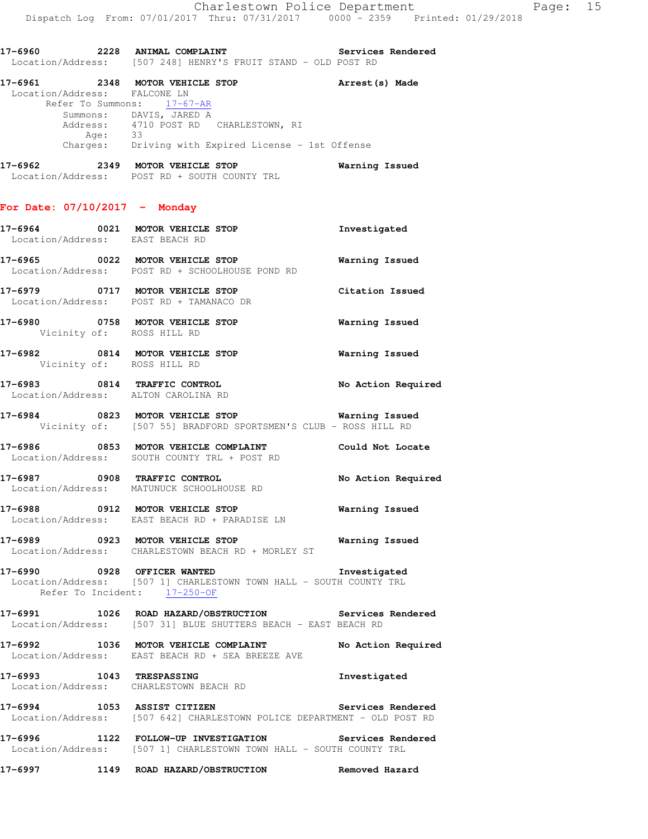|                                 | 17-6960 2228 ANIMAL COMPLAINT<br>Location/Address: [507 248] HENRY'S FRUIT STAND - OLD POST RD                                                                                                                             | Services Rendered     |
|---------------------------------|----------------------------------------------------------------------------------------------------------------------------------------------------------------------------------------------------------------------------|-----------------------|
| Location/Address: FALCONE LN    | 17-6961 2348 MOTOR VEHICLE STOP <b>Arrest</b> (s) Made<br>Refer To Summons: 17-67-AR<br>Summons: DAVIS, JARED A<br>Address: 4710 POST RD CHARLESTOWN, RI<br>Age: 33<br>Charges: Driving with Expired License - 1st Offense |                       |
|                                 | 17-6962 2349 MOTOR VEHICLE STOP<br>Location/Address: POST RD + SOUTH COUNTY TRL                                                                                                                                            | Warning Issued        |
| For Date: $07/10/2017$ - Monday |                                                                                                                                                                                                                            |                       |
| Location/Address: EAST BEACH RD | 17-6964 0021 MOTOR VEHICLE STOP                                                                                                                                                                                            | Investigated          |
|                                 | 17-6965 0022 MOTOR VEHICLE STOP<br>Location/Address: POST RD + SCHOOLHOUSE POND RD                                                                                                                                         | Warning Issued        |
|                                 | 17-6979 0717 MOTOR VEHICLE STOP<br>Location/Address: POST RD + TAMANACO DR                                                                                                                                                 | Citation Issued       |
| Vicinity of: ROSS HILL RD       | 17-6980 0758 MOTOR VEHICLE STOP                                                                                                                                                                                            | <b>Warning Issued</b> |
| Vicinity of: ROSS HILL RD       | 17-6982 0814 MOTOR VEHICLE STOP                                                                                                                                                                                            | <b>Warning Issued</b> |
|                                 | 17-6983 0814 TRAFFIC CONTROL<br>Location/Address: ALTON CAROLINA RD                                                                                                                                                        | No Action Required    |
|                                 | 17-6984 0823 MOTOR VEHICLE STOP <b>Warning Issued</b><br>Vicinity of: [507 55] BRADFORD SPORTSMEN'S CLUB - ROSS HILL RD                                                                                                    |                       |
|                                 | 17-6986 6853 MOTOR VEHICLE COMPLAINT Could Not Locate<br>Location/Address: SOUTH COUNTY TRL + POST RD                                                                                                                      |                       |
|                                 | 17-6987 0908 TRAFFIC CONTROL No Action Required<br>Location/Address: MATUNUCK SCHOOLHOUSE RD                                                                                                                               |                       |
| 17-6988                         | 0912 MOTOR VEHICLE STOP<br>Location/Address: EAST BEACH RD + PARADISE LN                                                                                                                                                   | <b>Warning Issued</b> |
|                                 | 17-6989 0923 MOTOR VEHICLE STOP<br>Location/Address: CHARLESTOWN BEACH RD + MORLEY ST                                                                                                                                      | <b>Warning Issued</b> |
|                                 | 17-6990 0928 OFFICER WANTED<br>Location/Address: [507 1] CHARLESTOWN TOWN HALL - SOUTH COUNTY TRL<br>Refer To Incident: 17-250-OF                                                                                          | Investigated          |
|                                 | 17-6991 1026 ROAD HAZARD/OBSTRUCTION Services Rendered<br>Location/Address: [507 31] BLUE SHUTTERS BEACH - EAST BEACH RD                                                                                                   |                       |
|                                 | 17-6992 1036 MOTOR VEHICLE COMPLAINT No Action Required<br>Location/Address: EAST BEACH RD + SEA BREEZE AVE                                                                                                                |                       |
|                                 | 17-6993 1043 TRESPASSING<br>Location/Address: CHARLESTOWN BEACH RD                                                                                                                                                         | Investigated          |
|                                 | 17-6994 1053 ASSIST CITIZEN<br>Location/Address: [507 642] CHARLESTOWN POLICE DEPARTMENT - OLD POST RD                                                                                                                     | Services Rendered     |
|                                 | 17-6996 1122 FOLLOW-UP INVESTIGATION Services Rendered<br>Location/Address: [507 1] CHARLESTOWN TOWN HALL - SOUTH COUNTY TRL                                                                                               |                       |
|                                 | 17-6997 1149 ROAD HAZARD/OBSTRUCTION Removed Hazard                                                                                                                                                                        |                       |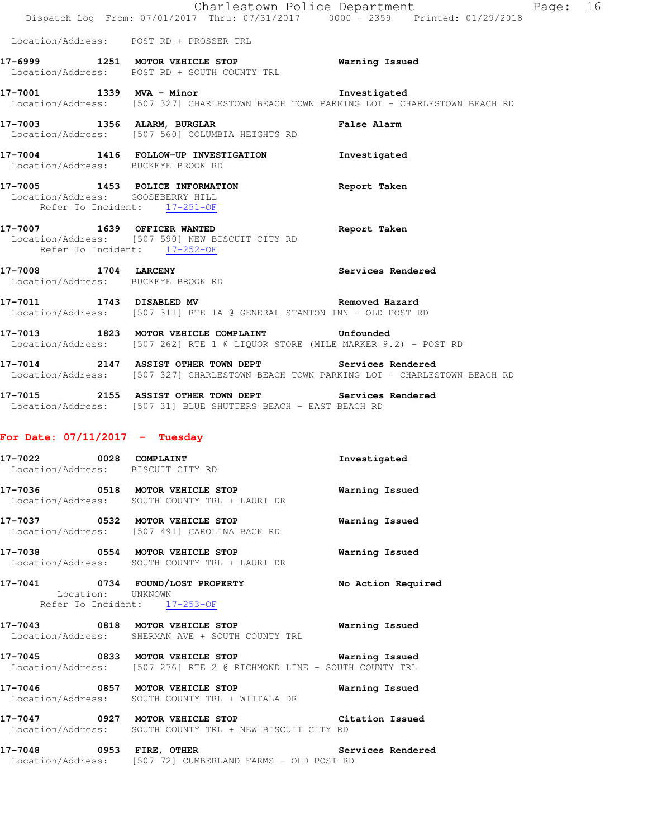|                                                                   |                                                                                                                                                | Charlestown Police Department<br>Dispatch Log From: 07/01/2017 Thru: 07/31/2017 0000 - 2359 Printed: 01/29/2018 | Page: 16 |  |
|-------------------------------------------------------------------|------------------------------------------------------------------------------------------------------------------------------------------------|-----------------------------------------------------------------------------------------------------------------|----------|--|
|                                                                   | Location/Address: POST RD + PROSSER TRL                                                                                                        |                                                                                                                 |          |  |
|                                                                   | 17-6999 1251 MOTOR VEHICLE STOP<br>Location/Address: POST RD + SOUTH COUNTY TRL                                                                | <b>Warning Issued</b>                                                                                           |          |  |
|                                                                   | 17-7001 1339 MVA - Minor<br>Location/Address: [507 327] CHARLESTOWN BEACH TOWN PARKING LOT - CHARLESTOWN BEACH RD                              | Investigated                                                                                                    |          |  |
|                                                                   | 17-7003 1356 ALARM, BURGLAR<br>Location/Address: [507 560] COLUMBIA HEIGHTS RD                                                                 | <b>False Alarm</b>                                                                                              |          |  |
| Location/Address: BUCKEYE BROOK RD                                | 17-7004 1416 FOLLOW-UP INVESTIGATION Investigated                                                                                              |                                                                                                                 |          |  |
| Location/Address: GOOSEBERRY HILL<br>Refer To Incident: 17-251-OF | 17-7005 1453 POLICE INFORMATION Report Taken                                                                                                   |                                                                                                                 |          |  |
| Refer To Incident: 17-252-OF                                      | 17-7007 1639 OFFICER WANTED<br>Location/Address: [507 590] NEW BISCUIT CITY RD                                                                 | Report Taken                                                                                                    |          |  |
| 17-7008 1704 LARCENY                                              | Location/Address: BUCKEYE BROOK RD                                                                                                             | Services Rendered                                                                                               |          |  |
|                                                                   | 17-7011 1743 DISABLED MV<br>Location/Address: [507 311] RTE 1A @ GENERAL STANTON INN - OLD POST RD                                             | Removed Hazard                                                                                                  |          |  |
|                                                                   | 17-7013 1823 MOTOR VEHICLE COMPLAINT<br>Location/Address: [507 262] RTE 1 @ LIQUOR STORE (MILE MARKER 9.2) - POST RD                           | Unfounded                                                                                                       |          |  |
|                                                                   | 17-7014 2147 ASSIST OTHER TOWN DEPT Services Rendered<br>Location/Address: [507 327] CHARLESTOWN BEACH TOWN PARKING LOT - CHARLESTOWN BEACH RD |                                                                                                                 |          |  |
|                                                                   | 17-7015 2155 ASSIST OTHER TOWN DEPT Services Rendered<br>Location/Address: [507 31] BLUE SHUTTERS BEACH - EAST BEACH RD                        |                                                                                                                 |          |  |
| For Date: $07/11/2017$ - Tuesday                                  |                                                                                                                                                |                                                                                                                 |          |  |
| 17-7022<br>Location/Address: BISCUIT CITY RD                      | 0028 COMPLAINT                                                                                                                                 | Investigated                                                                                                    |          |  |
|                                                                   | 17-7036 0518 MOTOR VEHICLE STOP<br>Location/Address: SOUTH COUNTY TRL + LAURI DR                                                               | Warning Issued                                                                                                  |          |  |
|                                                                   | 17-7037 0532 MOTOR VEHICLE STOP<br>Location/Address: [507 491] CAROLINA BACK RD                                                                | Warning Issued                                                                                                  |          |  |
|                                                                   | 17-7038 0554 MOTOR VEHICLE STOP<br>Location/Address: SOUTH COUNTY TRL + LAURI DR                                                               | Warning Issued                                                                                                  |          |  |
| Location: UNKNOWN                                                 | 17-7041 0734 FOUND/LOST PROPERTY<br>Refer To Incident: 17-253-OF                                                                               | No Action Required                                                                                              |          |  |
|                                                                   | 17-7043 0818 MOTOR VEHICLE STOP 6 Warning Issued<br>Location/Address: SHERMAN AVE + SOUTH COUNTY TRL                                           |                                                                                                                 |          |  |
|                                                                   | 17-7045 0833 MOTOR VEHICLE STOP 6 Warning Issued<br>Location/Address: [507 276] RTE 2 @ RICHMOND LINE - SOUTH COUNTY TRL                       |                                                                                                                 |          |  |
|                                                                   | 17-7046 0857 MOTOR VEHICLE STOP 6 Warning Issued<br>Location/Address: SOUTH COUNTY TRL + WIITALA DR                                            |                                                                                                                 |          |  |
|                                                                   | 17-7047 0927 MOTOR VEHICLE STOP Citation Issued<br>Location/Address: SOUTH COUNTY TRL + NEW BISCUIT CITY RD                                    |                                                                                                                 |          |  |

**17-7048 0953 FIRE, OTHER Services Rendered**  Location/Address: [507 72] CUMBERLAND FARMS - OLD POST RD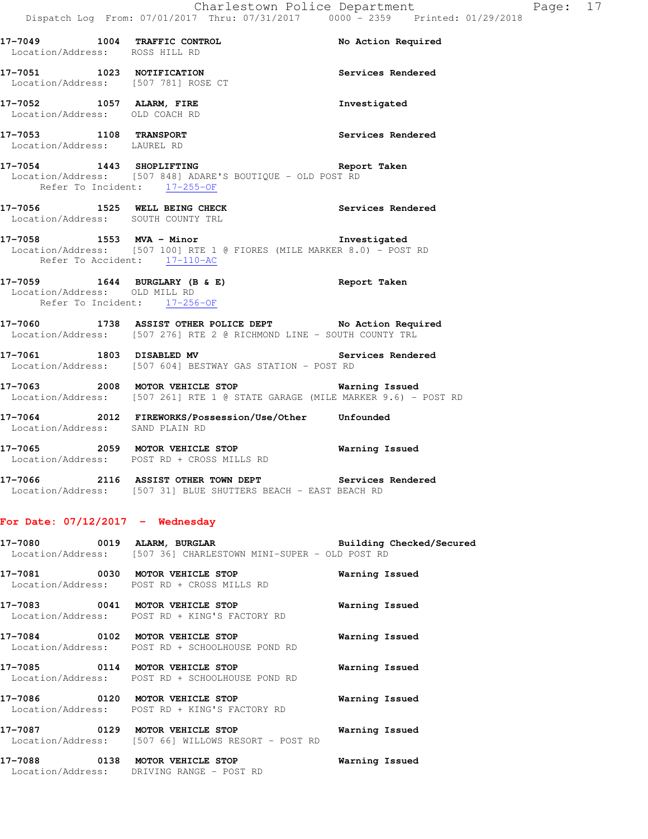Services Rendered

| Location/Address: |      | ROSS HILL RD |                   |  |
|-------------------|------|--------------|-------------------|--|
| 17–7051           | 1023 | NOTIFICATION |                   |  |
| Location/Address: |      |              | [507 781] ROSE CT |  |

**17-7052 1057 ALARM, FIRE Investigated**  Location/Address: OLD COACH RD

**17-7053 1108 TRANSPORT Services Rendered**  Location/Address: LAUREL RD

**17-7054 1443 SHOPLIFTING Report Taken**  Location/Address: [507 848] ADARE'S BOUTIQUE - OLD POST RD Refer To Incident: 17-255-OF

**17-7049 1004 TRAFFIC CONTROL No Action Required** 

**17-7056 1525 WELL BEING CHECK Services Rendered**  Location/Address: SOUTH COUNTY TRL

### **17-7058 1553 MVA - Minor Investigated**  Location/Address: [507 100] RTE 1 @ FIORES (MILE MARKER 8.0) - POST RD Refer To Accident: 17-110-AC

**17-7059 1644 BURGLARY (B & E) Report Taken**  Location/Address: OLD MILL RD Refer To Incident: 17-256-OF

**17-7060 1738 ASSIST OTHER POLICE DEPT No Action Required**  Location/Address: [507 276] RTE 2 @ RICHMOND LINE - SOUTH COUNTY TRL

**17-7061 1803 DISABLED MV Services Rendered**  Location/Address: [507 604] BESTWAY GAS STATION - POST RD

**17-7063 2008 MOTOR VEHICLE STOP Warning Issued**  Location/Address: [507 261] RTE 1 @ STATE GARAGE (MILE MARKER 9.6) - POST RD

**17-7064 2012 FIREWORKS/Possession/Use/Other Unfounded**  Location/Address: SAND PLAIN RD

**17-7065 2059 MOTOR VEHICLE STOP Warning Issued**  Location/Address: POST RD + CROSS MILLS RD

**17-7066 2116 ASSIST OTHER TOWN DEPT Services Rendered**  Location/Address: [507 31] BLUE SHUTTERS BEACH - EAST BEACH RD

### **For Date: 07/12/2017 - Wednesday**

**17-7080 0019 ALARM, BURGLAR Building Checked/Secured**  Location/Address: [507 36] CHARLESTOWN MINI-SUPER - OLD POST RD

**17-7081 0030 MOTOR VEHICLE STOP Warning Issued**  Location/Address: POST RD + CROSS MILLS RD

**17-7083 0041 MOTOR VEHICLE STOP Warning Issued**  Location/Address: POST RD + KING'S FACTORY RD

**17-7084 0102 MOTOR VEHICLE STOP Warning Issued**  Location/Address: POST RD + SCHOOLHOUSE POND RD

**17-7085 0114 MOTOR VEHICLE STOP Warning Issued**  Location/Address: POST RD + SCHOOLHOUSE POND RD

**17-7086 0120 MOTOR VEHICLE STOP Warning Issued**  Location/Address: POST RD + KING'S FACTORY RD

**17-7087 0129 MOTOR VEHICLE STOP Warning Issued**  Location/Address: [507 66] WILLOWS RESORT - POST RD

**17-7088 0138 MOTOR VEHICLE STOP Warning Issued**  Location/Address: DRIVING RANGE - POST RD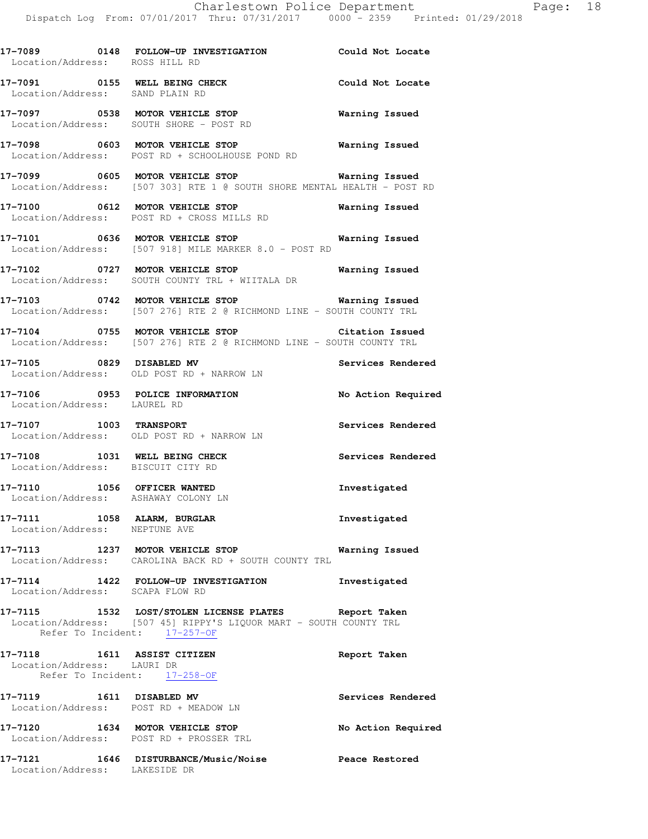| Location/Address: ROSS HILL RD                               | 17-7089 0148 FOLLOW-UP INVESTIGATION Could Not Locate                                                                                                     |                       |
|--------------------------------------------------------------|-----------------------------------------------------------------------------------------------------------------------------------------------------------|-----------------------|
| Location/Address: SAND PLAIN RD                              | 17-7091 0155 WELL BEING CHECK                                                                                                                             | Could Not Locate      |
|                                                              | 17-7097 0538 MOTOR VEHICLE STOP<br>Location/Address: SOUTH SHORE - POST RD                                                                                | <b>Warning Issued</b> |
|                                                              | Location/Address: POST RD + SCHOOLHOUSE POND RD                                                                                                           |                       |
|                                                              | Location/Address: [507 303] RTE 1 @ SOUTH SHORE MENTAL HEALTH - POST RD                                                                                   |                       |
|                                                              | 17-7100 0612 MOTOR VEHICLE STOP<br>Location/Address: POST RD + CROSS MILLS RD                                                                             | <b>Warning Issued</b> |
|                                                              | 17-7101 0636 MOTOR VEHICLE STOP<br>Location/Address: [507 918] MILE MARKER 8.0 - POST RD                                                                  | Warning Issued        |
|                                                              | 17-7102 0727 MOTOR VEHICLE STOP Warning Issued<br>Location/Address: SOUTH COUNTY TRL + WIITALA DR                                                         |                       |
|                                                              | 17-7103 0742 MOTOR VEHICLE STOP <b>Warning Issued</b><br>Location/Address: [507 276] RTE 2 @ RICHMOND LINE - SOUTH COUNTY TRL                             |                       |
|                                                              | 17-7104 0755 MOTOR VEHICLE STOP 6 Citation Issued<br>Location/Address: [507 276] RTE 2 @ RICHMOND LINE - SOUTH COUNTY TRL                                 |                       |
|                                                              | 17-7105 0829 DISABLED MV<br>Location/Address: OLD POST RD + NARROW LN                                                                                     | Services Rendered     |
| Location/Address: LAUREL RD                                  | 17-7106 0953 POLICE INFORMATION No Action Required                                                                                                        |                       |
|                                                              | 17-7107 1003 TRANSPORT<br>Location/Address: OLD POST RD + NARROW LN                                                                                       | Services Rendered     |
|                                                              | 17-7108 1031 WELL BEING CHECK<br>Location/Address: BISCUIT CITY RD                                                                                        | Services Rendered     |
|                                                              | 17-7110 1056 OFFICER WANTED<br>Location/Address: ASHAWAY COLONY LN                                                                                        | Investigated          |
| 17-7111 1058 ALARM, BURGLAR<br>Location/Address: NEPTUNE AVE |                                                                                                                                                           | Investigated          |
|                                                              | 17-7113 1237 MOTOR VEHICLE STOP<br>Location/Address: CAROLINA BACK RD + SOUTH COUNTY TRL                                                                  | Warning Issued        |
| Location/Address: SCAPA FLOW RD                              | 17-7114 1422 FOLLOW-UP INVESTIGATION                                                                                                                      | Investigated          |
|                                                              | 17-7115 1532 LOST/STOLEN LICENSE PLATES Report Taken<br>Location/Address: [507 45] RIPPY'S LIQUOR MART - SOUTH COUNTY TRL<br>Refer To Incident: 17-257-OF |                       |
| 17-7118 1611 ASSIST CITIZEN<br>Location/Address: LAURI DR    | Refer To Incident: 17-258-OF                                                                                                                              | Report Taken          |
|                                                              | 17-7119 1611 DISABLED MV<br>Location/Address: POST RD + MEADOW LN                                                                                         | Services Rendered     |
|                                                              | 17-7120 1634 MOTOR VEHICLE STOP<br>Location/Address: POST RD + PROSSER TRL                                                                                | No Action Required    |
| Location/Address: LAKESIDE DR                                | 17-7121 1646 DISTURBANCE/Music/Noise Peace Restored                                                                                                       |                       |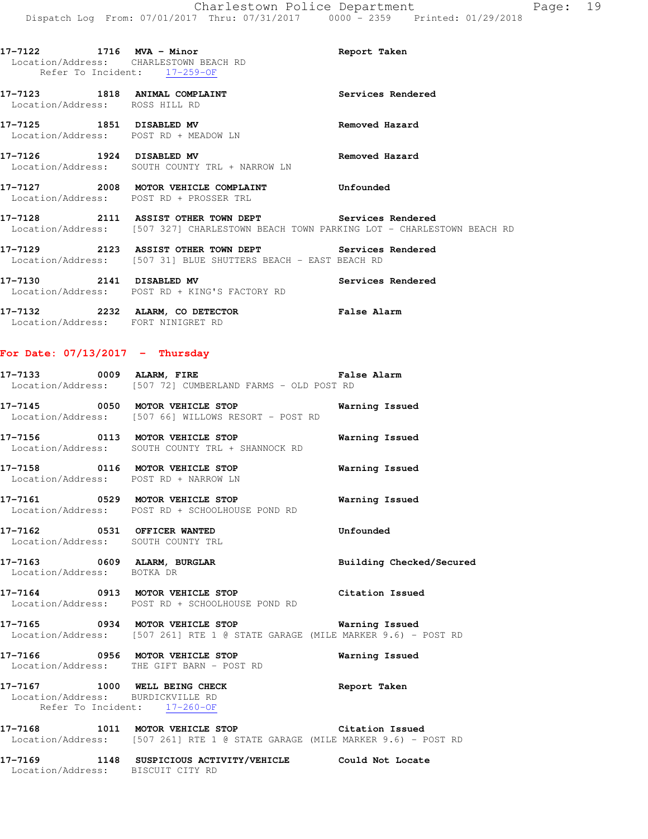**17-7122 1716 MVA - Minor Report Taken** 

Location/Address: CHARLESTOWN BEACH RD

Refer To Incident: 17-259-OF **17-7123 1818 ANIMAL COMPLAINT Services Rendered**  Location/Address: ROSS HILL RD **17-7125 1851 DISABLED MV Removed Hazard**  Location/Address: POST RD + MEADOW LN **17-7126 1924 DISABLED MV Removed Hazard**  Location/Address: SOUTH COUNTY TRL + NARROW LN **17-7127 2008 MOTOR VEHICLE COMPLAINT Unfounded**  Location/Address: POST RD + PROSSER TRL **17-7128 2111 ASSIST OTHER TOWN DEPT Services Rendered**  Location/Address: [507 327] CHARLESTOWN BEACH TOWN PARKING LOT - CHARLESTOWN BEACH RD **17-7129 2123 ASSIST OTHER TOWN DEPT Services Rendered**  Location/Address: [507 31] BLUE SHUTTERS BEACH - EAST BEACH RD **17-7130 2141 DISABLED MV Services Rendered**  Location/Address: POST RD + KING'S FACTORY RD **17-7132 2232 ALARM, CO DETECTOR False Alarm**  Location/Address: FORT NINIGRET RD **For Date: 07/13/2017 - Thursday 17-7133 0009 ALARM, FIRE False Alarm**  Location/Address: [507 72] CUMBERLAND FARMS - OLD POST RD **17-7145 0050 MOTOR VEHICLE STOP Warning Issued**  Location/Address: [507 66] WILLOWS RESORT - POST RD **17-7156 0113 MOTOR VEHICLE STOP Warning Issued**  Location/Address: SOUTH COUNTY TRL + SHANNOCK RD **17-7158 0116 MOTOR VEHICLE STOP Warning Issued**  Location/Address: POST RD + NARROW LN **17-7161 0529 MOTOR VEHICLE STOP Warning Issued**  Location/Address: POST RD + SCHOOLHOUSE POND RD **17-7162 0531 OFFICER WANTED Unfounded**  Location/Address: SOUTH COUNTY TRL **17-7163 0609 ALARM, BURGLAR Building Checked/Secured**  Location/Address: BOTKA DR

**17-7164 0913 MOTOR VEHICLE STOP Citation Issued**  Location/Address: POST RD + SCHOOLHOUSE POND RD

**17-7165 0934 MOTOR VEHICLE STOP Warning Issued**  Location/Address: [507 261] RTE 1 @ STATE GARAGE (MILE MARKER 9.6) - POST RD

**17-7166 0956 MOTOR VEHICLE STOP Warning Issued**  Location/Address: THE GIFT BARN - POST RD

**17-7167 1000 WELL BEING CHECK Report Taken**  Location/Address: BURDICKVILLE RD Refer To Incident: 17-260-OF

**17-7168 1011 MOTOR VEHICLE STOP Citation Issued**  Location/Address: [507 261] RTE 1 @ STATE GARAGE (MILE MARKER 9.6) - POST RD

**17-7169 1148 SUSPICIOUS ACTIVITY/VEHICLE Could Not Locate**  Location/Address: BISCUIT CITY RD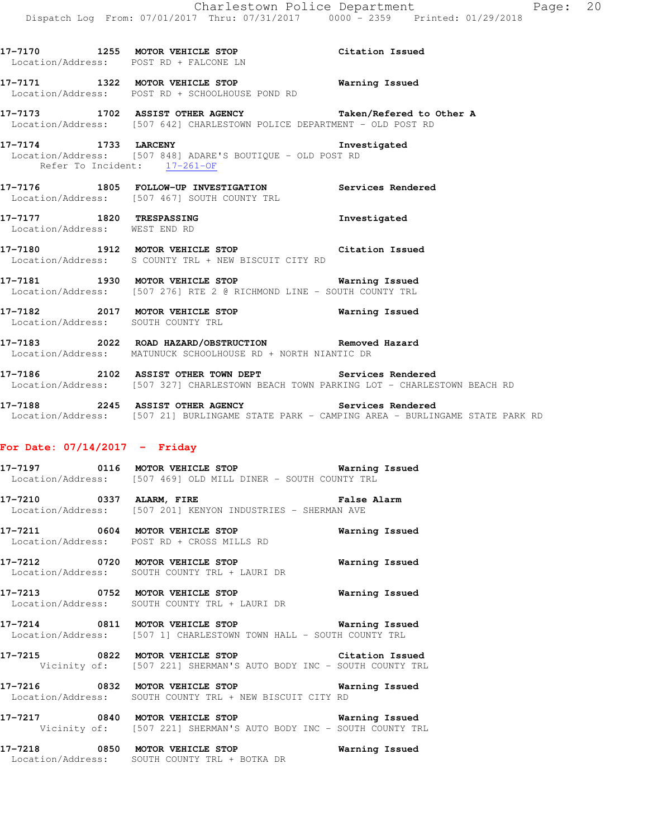|                               | 17-7170 1255 MOTOR VEHICLE STOP Citation Issued<br>Location/Address: POST RD + FALCONE LN                                                      |              |
|-------------------------------|------------------------------------------------------------------------------------------------------------------------------------------------|--------------|
|                               | 17-7171 1322 MOTOR VEHICLE STOP 17-7171 Warning Issued<br>Location/Address: POST RD + SCHOOLHOUSE POND RD                                      |              |
|                               | 17-7173 1702 ASSIST OTHER AGENCY <b>Taken/Refered to Other A</b><br>Location/Address: [507 642] CHARLESTOWN POLICE DEPARTMENT - OLD POST RD    |              |
| Refer To Incident: 17-261-OF  | 17-7174 1733 LARCENY<br>Location/Address: [507 848] ADARE'S BOUTIQUE - OLD POST RD                                                             | Investigated |
|                               | 17-7176 1805 FOLLOW-UP INVESTIGATION Services Rendered<br>Location/Address: [507 467] SOUTH COUNTY TRL                                         |              |
| Location/Address: WEST END RD | 17-7177 1820 TRESPASSING                                                                                                                       | Investigated |
|                               | 17-7180 1912 MOTOR VEHICLE STOP Citation Issued<br>Location/Address: S COUNTY TRL + NEW BISCUIT CITY RD                                        |              |
|                               | 17-7181 1930 MOTOR VEHICLE STOP <b>Warning Issued</b><br>Location/Address: [507 276] RTE 2 @ RICHMOND LINE - SOUTH COUNTY TRL                  |              |
|                               | 17-7182 2017 MOTOR VEHICLE STOP <b>Marning Issued</b><br>Location/Address: SOUTH COUNTY TRL                                                    |              |
|                               | 17-7183 2022 ROAD HAZARD/OBSTRUCTION Removed Hazard<br>Location/Address: MATUNUCK SCHOOLHOUSE RD + NORTH NIANTIC DR                            |              |
|                               | 17-7186 2102 ASSIST OTHER TOWN DEPT Services Rendered<br>Location/Address: [507 327] CHARLESTOWN BEACH TOWN PARKING LOT - CHARLESTOWN BEACH RD |              |

**17-7188 2245 ASSIST OTHER AGENCY Services Rendered**  Location/Address: [507 21] BURLINGAME STATE PARK - CAMPING AREA - BURLINGAME STATE PARK RD

### **For Date: 07/14/2017 - Friday**

**17-7197 0116 MOTOR VEHICLE STOP Warning Issued**  Location/Address: [507 469] OLD MILL DINER - SOUTH COUNTY TRL

**17-7210 0337 ALARM, FIRE False Alarm**  Location/Address: [507 201] KENYON INDUSTRIES - SHERMAN AVE

**17-7211 0604 MOTOR VEHICLE STOP Warning Issued**  Location/Address: POST RD + CROSS MILLS RD

**17-7212 0720 MOTOR VEHICLE STOP Warning Issued**  Location/Address: SOUTH COUNTY TRL + LAURI DR

**17-7213 0752 MOTOR VEHICLE STOP Warning Issued**  Location/Address: SOUTH COUNTY TRL + LAURI DR

**17-7214 0811 MOTOR VEHICLE STOP Warning Issued**  Location/Address: [507 1] CHARLESTOWN TOWN HALL - SOUTH COUNTY TRL

**17-7215 0822 MOTOR VEHICLE STOP Citation Issued**  Vicinity of: [507 221] SHERMAN'S AUTO BODY INC - SOUTH COUNTY TRL

**17-7216 0832 MOTOR VEHICLE STOP Warning Issued**  Location/Address: SOUTH COUNTY TRL + NEW BISCUIT CITY RD

**17-7217 0840 MOTOR VEHICLE STOP Warning Issued**  Vicinity of: [507 221] SHERMAN'S AUTO BODY INC - SOUTH COUNTY TRL

**17-7218 0850 MOTOR VEHICLE STOP Warning Issued**  Location/Address: SOUTH COUNTY TRL + BOTKA DR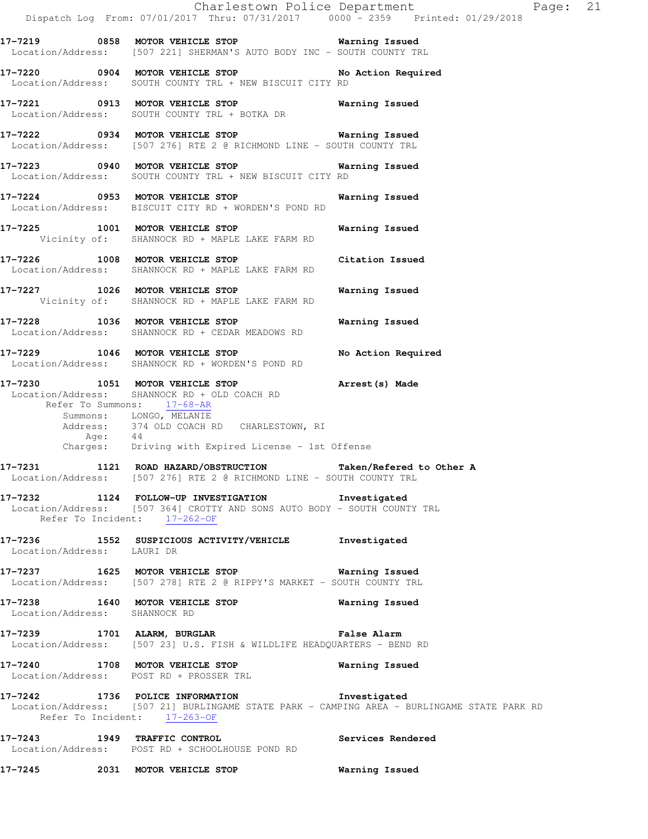|                               | Dispatch Log From: 07/01/2017 Thru: 07/31/2017 0000 - 2359 Printed: 01/29/2018                                                                                                                                                                          | Charlestown Police Department<br>Page: 21                                                  |  |
|-------------------------------|---------------------------------------------------------------------------------------------------------------------------------------------------------------------------------------------------------------------------------------------------------|--------------------------------------------------------------------------------------------|--|
|                               | 17-7219 0858 MOTOR VEHICLE STOP <b>Warning Issued</b><br>Location/Address: [507 221] SHERMAN'S AUTO BODY INC - SOUTH COUNTY TRL                                                                                                                         |                                                                                            |  |
|                               | 17-7220 0904 MOTOR VEHICLE STOP<br>Location/Address: SOUTH COUNTY TRL + NEW BISCUIT CITY RD                                                                                                                                                             | No Action Required                                                                         |  |
|                               | 17-7221 0913 MOTOR VEHICLE STOP 6 Warning Issued<br>Location/Address: SOUTH COUNTY TRL + BOTKA DR                                                                                                                                                       |                                                                                            |  |
|                               | 17-7222 0934 MOTOR VEHICLE STOP 6 Warning Issued<br>Location/Address: [507 276] RTE 2 @ RICHMOND LINE - SOUTH COUNTY TRL                                                                                                                                |                                                                                            |  |
|                               | 17-7223 0940 MOTOR VEHICLE STOP 6 Warning Issued<br>Location/Address: SOUTH COUNTY TRL + NEW BISCUIT CITY RD                                                                                                                                            |                                                                                            |  |
|                               | 17-7224 0953 MOTOR VEHICLE STOP<br>Location/Address: BISCUIT CITY RD + WORDEN'S POND RD                                                                                                                                                                 | Warning Issued                                                                             |  |
|                               | 17-7225 1001 MOTOR VEHICLE STOP<br>Vicinity of: SHANNOCK RD + MAPLE LAKE FARM RD                                                                                                                                                                        | Warning Issued                                                                             |  |
|                               | 17-7226 1008 MOTOR VEHICLE STOP Citation Issued<br>Location/Address: SHANNOCK RD + MAPLE LAKE FARM RD                                                                                                                                                   |                                                                                            |  |
|                               | 17-7227 1026 MOTOR VEHICLE STOP<br>Vicinity of: SHANNOCK RD + MAPLE LAKE FARM RD                                                                                                                                                                        | Warning Issued                                                                             |  |
|                               | 17-7228 1036 MOTOR VEHICLE STOP<br>Location/Address: SHANNOCK RD + CEDAR MEADOWS RD                                                                                                                                                                     | Warning Issued                                                                             |  |
|                               | 17-7229 1046 MOTOR VEHICLE STOP<br>Location/Address: SHANNOCK RD + WORDEN'S POND RD                                                                                                                                                                     | No Action Required                                                                         |  |
|                               | 17-7230 1051 MOTOR VEHICLE STOP<br>Location/Address: SHANNOCK RD + OLD COACH RD<br>Refer To Summons: 17-68-AR<br>Summons: LONGO, MELANIE<br>Address: 374 OLD COACH RD CHARLESTOWN, RI<br>Age: 44<br>Charges: Driving with Expired License - 1st Offense | Arrest(s) Made                                                                             |  |
| 17-7231                       | 1121 ROAD HAZARD/OBSTRUCTION<br>Location/Address: [507 276] RTE 2 @ RICHMOND LINE - SOUTH COUNTY TRL                                                                                                                                                    | Taken/Refered to Other A                                                                   |  |
|                               | 17-7232 1124 FOLLOW-UP INVESTIGATION Investigated<br>Location/Address: [507 364] CROTTY AND SONS AUTO BODY - SOUTH COUNTY TRL<br>Refer To Incident: 17-262-OF                                                                                           |                                                                                            |  |
| Location/Address: LAURI DR    | 17-7236 1552 SUSPICIOUS ACTIVITY/VEHICLE Investigated                                                                                                                                                                                                   |                                                                                            |  |
|                               | 17-7237 1625 MOTOR VEHICLE STOP 6 Warning Issued<br>Location/Address: [507 278] RTE 2 @ RIPPY'S MARKET - SOUTH COUNTY TRL                                                                                                                               |                                                                                            |  |
| Location/Address: SHANNOCK RD | 17-7238 1640 MOTOR VEHICLE STOP Warning Issued                                                                                                                                                                                                          |                                                                                            |  |
|                               | 17-7239 1701 ALARM, BURGLAR CHARM False Alarm<br>Location/Address: [507 23] U.S. FISH & WILDLIFE HEADQUARTERS - BEND RD                                                                                                                                 |                                                                                            |  |
|                               | 17-7240 1708 MOTOR VEHICLE STOP <b>WATER WATER</b><br>Location/Address: POST RD + PROSSER TRL                                                                                                                                                           |                                                                                            |  |
|                               | 17-7242 1736 POLICE INFORMATION 1nvestigated<br>Refer To Incident: 17-263-OF                                                                                                                                                                            | Location/Address: [507 21] BURLINGAME STATE PARK - CAMPING AREA - BURLINGAME STATE PARK RD |  |
| 17-7243 1949 TRAFFIC CONTROL  | Services Rendered<br>Location/Address: POST RD + SCHOOLHOUSE POND RD                                                                                                                                                                                    |                                                                                            |  |
|                               | 17-7245 2031 MOTOR VEHICLE STOP                                                                                                                                                                                                                         | <b>Warning Issued</b>                                                                      |  |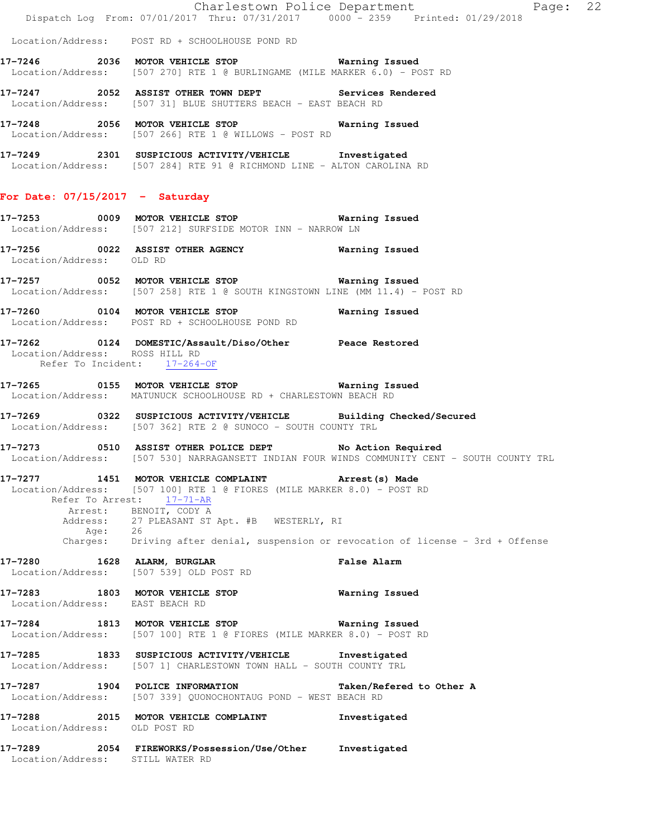Charlestown Police Department Fage: 22 Dispatch Log From: 07/01/2017 Thru: 07/31/2017 0000 - 2359 Printed: 01/29/2018 Location/Address: POST RD + SCHOOLHOUSE POND RD **17-7246 2036 MOTOR VEHICLE STOP Warning Issued**  Location/Address: [507 270] RTE 1 @ BURLINGAME (MILE MARKER 6.0) - POST RD **17-7247 2052 ASSIST OTHER TOWN DEPT Services Rendered**  Location/Address: [507 31] BLUE SHUTTERS BEACH - EAST BEACH RD **17-7248 2056 MOTOR VEHICLE STOP Warning Issued**  Location/Address: [507 266] RTE 1 @ WILLOWS - POST RD **17-7249 2301 SUSPICIOUS ACTIVITY/VEHICLE Investigated**  Location/Address: [507 284] RTE 91 @ RICHMOND LINE - ALTON CAROLINA RD **For Date: 07/15/2017 - Saturday 17-7253 0009 MOTOR VEHICLE STOP Warning Issued**  Location/Address: [507 212] SURFSIDE MOTOR INN - NARROW LN **17-7256 0022 ASSIST OTHER AGENCY Warning Issued**  Location/Address: OLD RD **17-7257 0052 MOTOR VEHICLE STOP Warning Issued**  Location/Address: [507 258] RTE 1 @ SOUTH KINGSTOWN LINE (MM 11.4) - POST RD **17-7260 0104 MOTOR VEHICLE STOP Warning Issued**  Location/Address: POST RD + SCHOOLHOUSE POND RD **17-7262 0124 DOMESTIC/Assault/Diso/Other Peace Restored**  Location/Address: ROSS HILL RD Refer To Incident: 17-264-OF **17-7265 0155 MOTOR VEHICLE STOP Warning Issued**  Location/Address: MATUNUCK SCHOOLHOUSE RD + CHARLESTOWN BEACH RD **17-7269 0322 SUSPICIOUS ACTIVITY/VEHICLE Building Checked/Secured**  Location/Address: [507 362] RTE 2 @ SUNOCO - SOUTH COUNTY TRL **17-7273 0510 ASSIST OTHER POLICE DEPT No Action Required**  Location/Address: [507 530] NARRAGANSETT INDIAN FOUR WINDS COMMUNITY CENT - SOUTH COUNTY TRL **17-7277 1451 MOTOR VEHICLE COMPLAINT Arrest(s) Made**  Location/Address: [507 100] RTE 1 @ FIORES (MILE MARKER 8.0) - POST RD Refer To Arrest: 17-71-AR Arrest: BENOIT, CODY A Address: 27 PLEASANT ST Apt. #B WESTERLY, RI Age: 26 Charges: Driving after denial, suspension or revocation of license - 3rd + Offense **17-7280 1628 ALARM, BURGLAR False Alarm**  Location/Address: [507 539] OLD POST RD **17-7283 1803 MOTOR VEHICLE STOP Warning Issued**  Location/Address: EAST BEACH RD **17-7284 1813 MOTOR VEHICLE STOP Warning Issued**  Location/Address: [507 100] RTE 1 @ FIORES (MILE MARKER 8.0) - POST RD **17-7285 1833 SUSPICIOUS ACTIVITY/VEHICLE Investigated**  Location/Address: [507 1] CHARLESTOWN TOWN HALL - SOUTH COUNTY TRL **17-7287 1904 POLICE INFORMATION Taken/Refered to Other A**  Location/Address: [507 339] QUONOCHONTAUG POND - WEST BEACH RD **17-7288 2015 MOTOR VEHICLE COMPLAINT Investigated**  Location/Address: OLD POST RD **17-7289 2054 FIREWORKS/Possession/Use/Other Investigated**  Location/Address: STILL WATER RD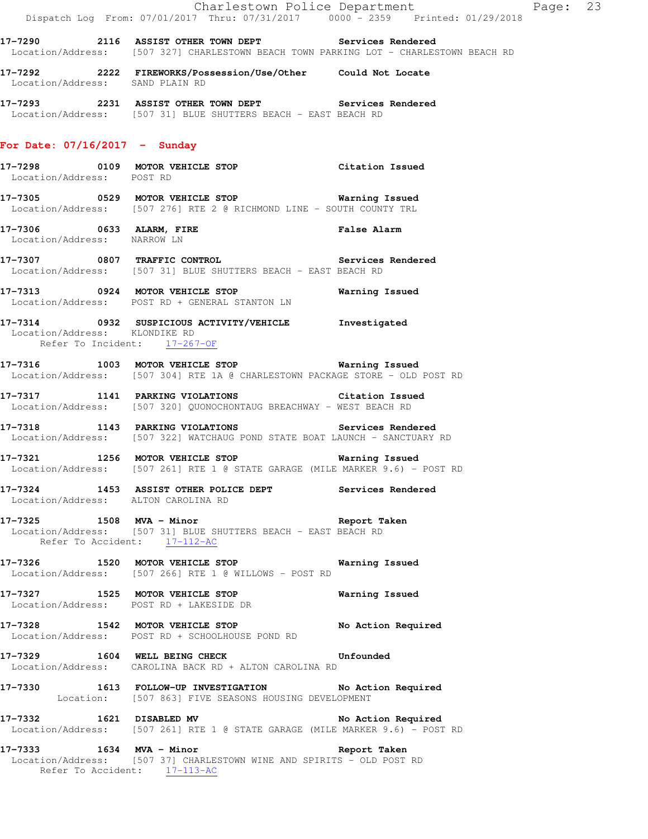|                                                               | Dispatch Log From: 07/01/2017 Thru: 07/31/2017 0000 - 2359 Printed: 01/29/2018                                                                 | Charlestown Police Department The Page: 23 |  |
|---------------------------------------------------------------|------------------------------------------------------------------------------------------------------------------------------------------------|--------------------------------------------|--|
|                                                               | 17-7290 2116 ASSIST OTHER TOWN DEPT Services Rendered<br>Location/Address: [507 327] CHARLESTOWN BEACH TOWN PARKING LOT - CHARLESTOWN BEACH RD |                                            |  |
| Location/Address: SAND PLAIN RD                               | 17-7292 2222 FIREWORKS/Possession/Use/Other Could Not Locate                                                                                   |                                            |  |
|                                                               | 17-7293 2231 ASSIST OTHER TOWN DEPT Services Rendered<br>Location/Address: [507 31] BLUE SHUTTERS BEACH - EAST BEACH RD                        |                                            |  |
| For Date: $07/16/2017 -$ Sunday                               |                                                                                                                                                |                                            |  |
| Location/Address: POST RD                                     | 17-7298 0109 MOTOR VEHICLE STOP Citation Issued                                                                                                |                                            |  |
|                                                               | 17-7305 0529 MOTOR VEHICLE STOP 6 Warning Issued<br>Location/Address: [507 276] RTE 2 @ RICHMOND LINE - SOUTH COUNTY TRL                       |                                            |  |
| Location/Address: NARROW LN                                   | 17-7306 0633 ALARM, FIRE False Alarm<br>Location/Address: NARROW LN                                                                            |                                            |  |
|                                                               | 17-7307 0807 TRAFFIC CONTROL Services Rendered<br>Location/Address: [507 31] BLUE SHUTTERS BEACH - EAST BEACH RD                               |                                            |  |
|                                                               | 17-7313 0924 MOTOR VEHICLE STOP 6 Warning Issued<br>Location/Address: POST RD + GENERAL STANTON LN                                             |                                            |  |
| Location/Address: KLONDIKE RD<br>Refer To Incident: 17-267-OF | 17-7314 0932 SUSPICIOUS ACTIVITY/VEHICLE Investigated                                                                                          |                                            |  |
|                                                               | 17-7316 1003 MOTOR VEHICLE STOP <b>WATER WATER</b><br>Location/Address: [507 304] RTE 1A @ CHARLESTOWN PACKAGE STORE - OLD POST RD             |                                            |  |
|                                                               | 17-7317 1141 PARKING VIOLATIONS Citation Issued<br>Location/Address: [507 320] QUONOCHONTAUG BREACHWAY - WEST BEACH RD                         |                                            |  |
|                                                               | 17-7318 1143 PARKING VIOLATIONS Services Rendered<br>Location/Address: [507 322] WATCHAUG POND STATE BOAT LAUNCH - SANCTUARY RD                |                                            |  |
|                                                               | 17-7321 1256 MOTOR VEHICLE STOP 6 Warning Issued<br>Location/Address: [507 261] RTE 1 @ STATE GARAGE (MILE MARKER 9.6) - POST RD               |                                            |  |
| Location/Address: ALTON CAROLINA RD                           | 17-7324 1453 ASSIST OTHER POLICE DEPT Services Rendered                                                                                        |                                            |  |
| Refer To Accident: 17-112-AC                                  | 17-7325 1508 MVA - Minor and Seport Taken<br>Location/Address: [507 31] BLUE SHUTTERS BEACH - EAST BEACH RD                                    |                                            |  |
|                                                               | 17-7326 1520 MOTOR VEHICLE STOP 6 Warning Issued<br>Location/Address: [507 266] RTE 1 @ WILLOWS - POST RD                                      |                                            |  |
|                                                               | 17-7327 1525 MOTOR VEHICLE STOP 6 Warning Issued<br>Location/Address: POST RD + LAKESIDE DR                                                    |                                            |  |
|                                                               | 17-7328 1542 MOTOR VEHICLE STOP No Action Required<br>Location/Address: POST RD + SCHOOLHOUSE POND RD                                          |                                            |  |
|                                                               | 17-7329 1604 WELL BEING CHECK CHECK Unfounded<br>Location/Address: CAROLINA BACK RD + ALTON CAROLINA RD                                        |                                            |  |
|                                                               | 17-7330 1613 FOLLOW-UP INVESTIGATION No Action Required<br>Location: [507 863] FIVE SEASONS HOUSING DEVELOPMENT                                |                                            |  |
|                                                               | 17-7332 1621 DISABLED MV No Action Required<br>Location/Address: [507 261] RTE 1 @ STATE GARAGE (MILE MARKER 9.6) - POST RD                    |                                            |  |
|                                                               | 17-7333 1634 MVA - Minor<br>Location/Address: [507 37] CHARLESTOWN WINE AND SPIRITS - OLD POST RD<br>Refer To Accident: 17-113-AC              | Report Taken                               |  |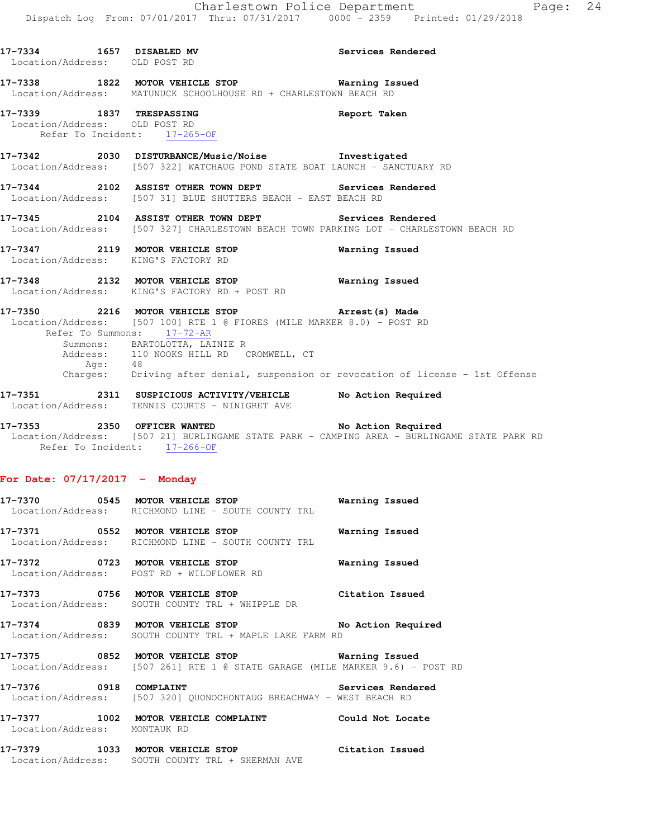| Location/Address: OLD POST RD                                 | 17-7334 1657 DISABLED MV 3ervices Rendered                                                                                                                                                                                                            |                                                                                  |
|---------------------------------------------------------------|-------------------------------------------------------------------------------------------------------------------------------------------------------------------------------------------------------------------------------------------------------|----------------------------------------------------------------------------------|
|                                                               | 17-7338 1822 MOTOR VEHICLE STOP <b>State of Search American</b> Issued<br>Location/Address: MATUNUCK SCHOOLHOUSE RD + CHARLESTOWN BEACH RD                                                                                                            |                                                                                  |
| Location/Address: OLD POST RD<br>Refer To Incident: 17-265-OF | 17-7339 1837 TRESPASSING Report Taken                                                                                                                                                                                                                 |                                                                                  |
|                                                               | 17-7342 2030 DISTURBANCE/Music/Noise Showstigated<br>Location/Address: [507 322] WATCHAUG POND STATE BOAT LAUNCH - SANCTUARY RD                                                                                                                       |                                                                                  |
|                                                               | 17-7344 2102 ASSIST OTHER TOWN DEPT Services Rendered<br>Location/Address: [507 31] BLUE SHUTTERS BEACH - EAST BEACH RD                                                                                                                               |                                                                                  |
|                                                               | 17-7345 2104 ASSIST OTHER TOWN DEPT Services Rendered<br>Location/Address: [507 327] CHARLESTOWN BEACH TOWN PARKING LOT - CHARLESTOWN BEACH RD                                                                                                        |                                                                                  |
| Location/Address: KING'S FACTORY RD                           | 17-7347 2119 MOTOR VEHICLE STOP <b>Warning Issued</b>                                                                                                                                                                                                 |                                                                                  |
|                                                               | 17-7348 2132 MOTOR VEHICLE STOP <b>Warning Issued</b><br>Location/Address: KING'S FACTORY RD + POST RD                                                                                                                                                |                                                                                  |
| Age: 48                                                       | 17-7350 2216 MOTOR VEHICLE STOP <b>Example 28 Arrest (s)</b> Made<br>Location/Address: [507 100] RTE 1 @ FIORES (MILE MARKER 8.0) - POST RD<br>Refer To Summons: 17-72-AR<br>Summons: BARTOLOTTA, LAINIE R<br>Address: 110 NOOKS HILL RD CROMWELL, CT | Charges: Driving after denial, suspension or revocation of license - 1st Offense |
|                                                               | 17-7351 2311 SUSPICIOUS ACTIVITY/VEHICLE No Action Required<br>Location/Address: TENNIS COURTS - NINIGRET AVE                                                                                                                                         |                                                                                  |

**17-7353 2350 OFFICER WANTED No Action Required**  Location/Address: [507 21] BURLINGAME STATE PARK - CAMPING AREA - BURLINGAME STATE PARK RD Refer To Incident: 17-266-OF

### **For Date: 07/17/2017 - Monday**

| 17-7370<br>Location/Address: | 0545 | MOTOR VEHICLE STOP<br>RICHMOND LINE – SOUTH COUNTY TRL | Warning Issued  |
|------------------------------|------|--------------------------------------------------------|-----------------|
| 17-7371<br>Location/Address: | 0552 | MOTOR VEHICLE STOP<br>RICHMOND LINE – SOUTH COUNTY TRL | Warning Issued  |
| 17–7372<br>Location/Address: | 0723 | MOTOR VEHICLE STOP<br>POST RD + WILDFLOWER RD          | Warning Issued  |
| 17-7373<br>Location/Address: | 0756 | MOTOR VEHICLE STOP<br>SOUTH COUNTY TRI, + WHIPPLE DR   | Citation Issued |

**17-7374 0839 MOTOR VEHICLE STOP No Action Required**  Location/Address: SOUTH COUNTY TRL + MAPLE LAKE FARM RD

**17-7375 0852 MOTOR VEHICLE STOP Warning Issued**  Location/Address: [507 261] RTE 1 @ STATE GARAGE (MILE MARKER 9.6) - POST RD

**17-7376 0918 COMPLAINT Services Rendered**  Location/Address: [507 320] QUONOCHONTAUG BREACHWAY - WEST BEACH RD

**17-7377 1002 MOTOR VEHICLE COMPLAINT Could Not Locate**  Location/Address: MONTAUK RD

**17-7379 1033 MOTOR VEHICLE STOP Citation Issued**  Location/Address: SOUTH COUNTY TRL + SHERMAN AVE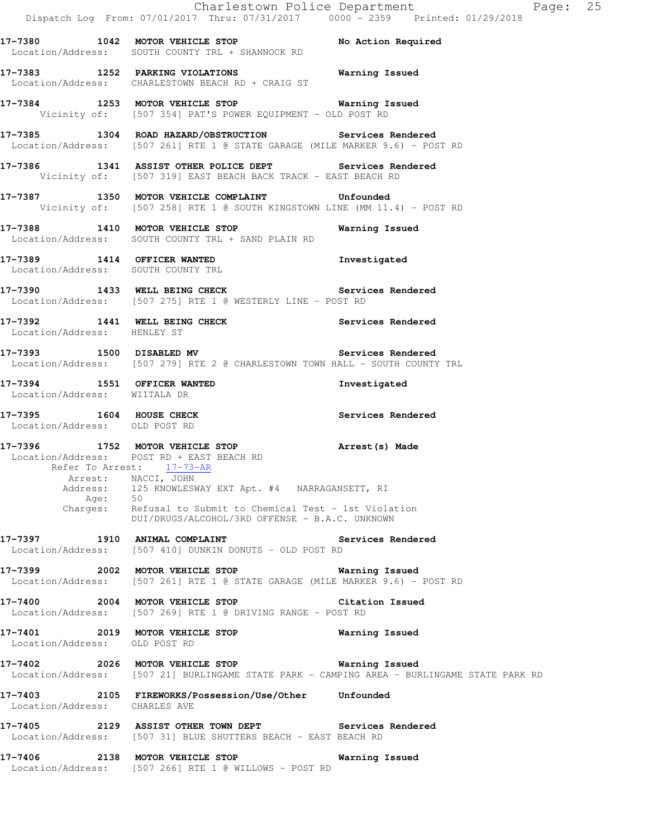|                                                           | Dispatch Log From: 07/01/2017 Thru: 07/31/2017 0000 - 2359 Printed: 01/29/2018                                                                                                                                                                                                                                  | Charlestown Police Department<br>Page: 25                                                  |  |
|-----------------------------------------------------------|-----------------------------------------------------------------------------------------------------------------------------------------------------------------------------------------------------------------------------------------------------------------------------------------------------------------|--------------------------------------------------------------------------------------------|--|
|                                                           | 17-7380 1042 MOTOR VEHICLE STOP No Action Required<br>Location/Address: SOUTH COUNTY TRL + SHANNOCK RD                                                                                                                                                                                                          |                                                                                            |  |
|                                                           | 17-7383 1252 PARKING VIOLATIONS Narning Issued<br>Location/Address: CHARLESTOWN BEACH RD + CRAIG ST                                                                                                                                                                                                             |                                                                                            |  |
|                                                           | 17-7384 1253 MOTOR VEHICLE STOP Warning Issued<br>Vicinity of: [507 354] PAT'S POWER EQUIPMENT - OLD POST RD                                                                                                                                                                                                    |                                                                                            |  |
|                                                           | 17-7385 1304 ROAD HAZARD/OBSTRUCTION Services Rendered<br>Location/Address: [507 261] RTE 1 @ STATE GARAGE (MILE MARKER 9.6) - POST RD                                                                                                                                                                          |                                                                                            |  |
|                                                           | 17-7386 1341 ASSIST OTHER POLICE DEPT Services Rendered<br>Vicinity of: [507 319] EAST BEACH BACK TRACK - EAST BEACH RD                                                                                                                                                                                         |                                                                                            |  |
|                                                           | 17-7387 1350 MOTOR VEHICLE COMPLAINT Unfounded<br>Vicinity of: [507 258] RTE 1 @ SOUTH KINGSTOWN LINE (MM 11.4) - POST RD                                                                                                                                                                                       |                                                                                            |  |
|                                                           | 17-7388 1410 MOTOR VEHICLE STOP 6 Warning Issued<br>Location/Address: SOUTH COUNTY TRL + SAND PLAIN RD                                                                                                                                                                                                          |                                                                                            |  |
| Location/Address: SOUTH COUNTY TRL                        | 17-7389 1414 OFFICER WANTED                                                                                                                                                                                                                                                                                     | Investigated                                                                               |  |
|                                                           | 17-7390 1433 WELL BEING CHECK Services Rendered<br>Location/Address: [507 275] RTE 1 @ WESTERLY LINE - POST RD                                                                                                                                                                                                  |                                                                                            |  |
| Location/Address: HENLEY ST                               | 17-7392 1441 WELL BEING CHECK Services Rendered                                                                                                                                                                                                                                                                 |                                                                                            |  |
|                                                           | 17-7393 1500 DISABLED MV<br>Location/Address: [507 279] RTE 2 @ CHARLESTOWN TOWN HALL - SOUTH COUNTY TRL                                                                                                                                                                                                        | Services Rendered                                                                          |  |
| Location/Address: WIITALA DR                              | 17-7394 1551 OFFICER WANTED                                                                                                                                                                                                                                                                                     | Investigated                                                                               |  |
| 17-7395 1604 HOUSE CHECK<br>Location/Address: OLD POST RD |                                                                                                                                                                                                                                                                                                                 | Services Rendered                                                                          |  |
| Age:                                                      | 17-7396 1752 MOTOR VEHICLE STOP<br>Location/Address: POST RD + EAST BEACH RD<br>Refer To Arrest: 17-73-AR<br>Arrest: NACCI, JOHN<br>Address: 125 KNOWLESWAY EXT Apt. #4 NARRAGANSETT, RI<br>50<br>Charges: Refusal to Submit to Chemical Test - 1st Violation<br>DUI/DRUGS/ALCOHOL/3RD OFFENSE - B.A.C. UNKNOWN | Arrest (s) Made                                                                            |  |
|                                                           | 17-7397 1910 ANIMAL COMPLAINT<br>Location/Address: [507 410] DUNKIN DONUTS - OLD POST RD                                                                                                                                                                                                                        | <b>Services Rendered</b>                                                                   |  |
|                                                           | 17-7399 2002 MOTOR VEHICLE STOP <b>Warning Issued</b><br>Location/Address: [507 261] RTE 1 @ STATE GARAGE (MILE MARKER 9.6) - POST RD                                                                                                                                                                           |                                                                                            |  |
|                                                           | 17-7400 2004 MOTOR VEHICLE STOP<br>Location/Address: [507 269] RTE 1 @ DRIVING RANGE - POST RD                                                                                                                                                                                                                  | Citation Issued                                                                            |  |
| Location/Address: OLD POST RD                             | 17-7401 2019 MOTOR VEHICLE STOP                                                                                                                                                                                                                                                                                 | Warning Issued                                                                             |  |
|                                                           | 17-7402 2026 MOTOR VEHICLE STOP <b>Warning Issued</b>                                                                                                                                                                                                                                                           | Location/Address: [507 21] BURLINGAME STATE PARK - CAMPING AREA - BURLINGAME STATE PARK RD |  |
| Location/Address: CHARLES AVE                             | 17-7403  2105 FIREWORKS/Possession/Use/Other Unfounded                                                                                                                                                                                                                                                          |                                                                                            |  |
|                                                           | 17-7405 2129 ASSIST OTHER TOWN DEPT Services Rendered<br>Location/Address: [507 31] BLUE SHUTTERS BEACH - EAST BEACH RD                                                                                                                                                                                         |                                                                                            |  |
|                                                           | 17-7406 2138 MOTOR VEHICLE STOP<br>Location/Address: [507 266] RTE 1 @ WILLOWS - POST RD                                                                                                                                                                                                                        | Warning Issued                                                                             |  |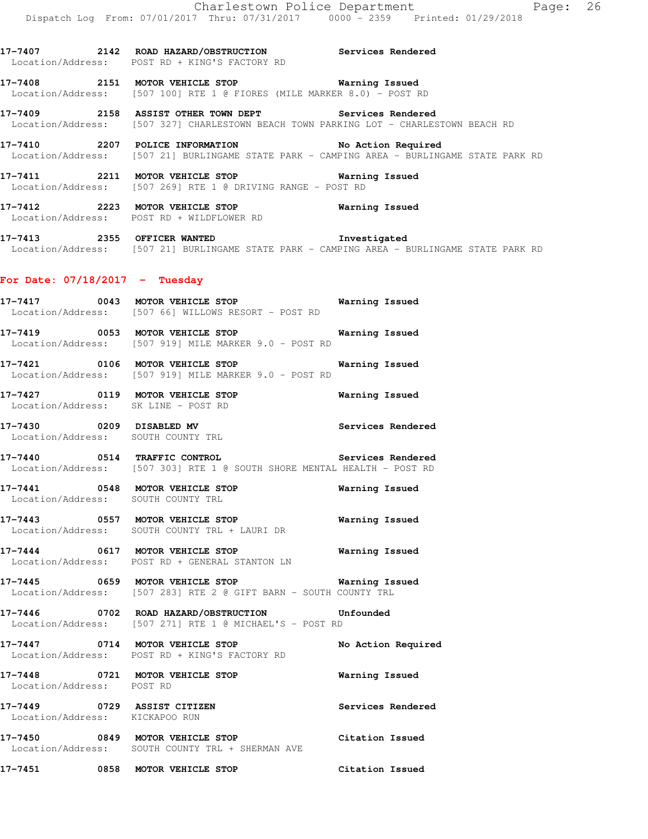**17-7407 2142 ROAD HAZARD/OBSTRUCTION Services Rendered**  Location/Address: POST RD + KING'S FACTORY RD **17-7408 2151 MOTOR VEHICLE STOP Warning Issued**  Location/Address: [507 100] RTE 1 @ FIORES (MILE MARKER 8.0) - POST RD

**17-7409 2158 ASSIST OTHER TOWN DEPT Services Rendered**  Location/Address: [507 327] CHARLESTOWN BEACH TOWN PARKING LOT - CHARLESTOWN BEACH RD

**17-7410 2207 POLICE INFORMATION No Action Required**  Location/Address: [507 21] BURLINGAME STATE PARK - CAMPING AREA - BURLINGAME STATE PARK RD

**17-7411 2211 MOTOR VEHICLE STOP Warning Issued**  Location/Address: [507 269] RTE 1 @ DRIVING RANGE - POST RD

**17-7412 2223 MOTOR VEHICLE STOP Warning Issued**  Location/Address: POST RD + WILDFLOWER RD

**17-7413 2355 OFFICER WANTED Investigated**  Location/Address: [507 21] BURLINGAME STATE PARK - CAMPING AREA - BURLINGAME STATE PARK RD

### **For Date: 07/18/2017 - Tuesday**

**17-7417 0043 MOTOR VEHICLE STOP Warning Issued**  Location/Address: [507 66] WILLOWS RESORT - POST RD **17-7419 0053 MOTOR VEHICLE STOP Warning Issued**  Location/Address: [507 919] MILE MARKER 9.0 - POST RD

**17-7421 0106 MOTOR VEHICLE STOP Warning Issued**  Location/Address: [507 919] MILE MARKER 9.0 - POST RD

**17-7427 0119 MOTOR VEHICLE STOP Warning Issued**  Location/Address: SK LINE - POST RD

**17-7430 0209 DISABLED MV Services Rendered**  Location/Address: SOUTH COUNTY TRL

**17-7440 0514 TRAFFIC CONTROL Services Rendered**  Location/Address: [507 303] RTE 1 @ SOUTH SHORE MENTAL HEALTH - POST RD

**17-7441 0548 MOTOR VEHICLE STOP Warning Issued**  Location/Address: SOUTH COUNTY TRL

**17-7443 0557 MOTOR VEHICLE STOP Warning Issued**  Location/Address: SOUTH COUNTY TRL + LAURI DR

**17-7444 0617 MOTOR VEHICLE STOP Warning Issued**  Location/Address: POST RD + GENERAL STANTON LN

**17-7445 0659 MOTOR VEHICLE STOP Warning Issued**  Location/Address: [507 283] RTE 2 @ GIFT BARN - SOUTH COUNTY TRL

**17-7446 0702 ROAD HAZARD/OBSTRUCTION Unfounded**  Location/Address: [507 271] RTE 1 @ MICHAEL'S - POST RD

**17-7447 0714 MOTOR VEHICLE STOP No Action Required**  Location/Address: POST RD + KING'S FACTORY RD

**17-7448 0721 MOTOR VEHICLE STOP Warning Issued**  Location/Address: POST RD **17-7449 0729 ASSIST CITIZEN Services Rendered** 

 Location/Address: KICKAPOO RUN **17-7450 0849 MOTOR VEHICLE STOP Citation Issued**  Location/Address: SOUTH COUNTY TRL + SHERMAN AVE

**17-7451 0858 MOTOR VEHICLE STOP Citation Issued**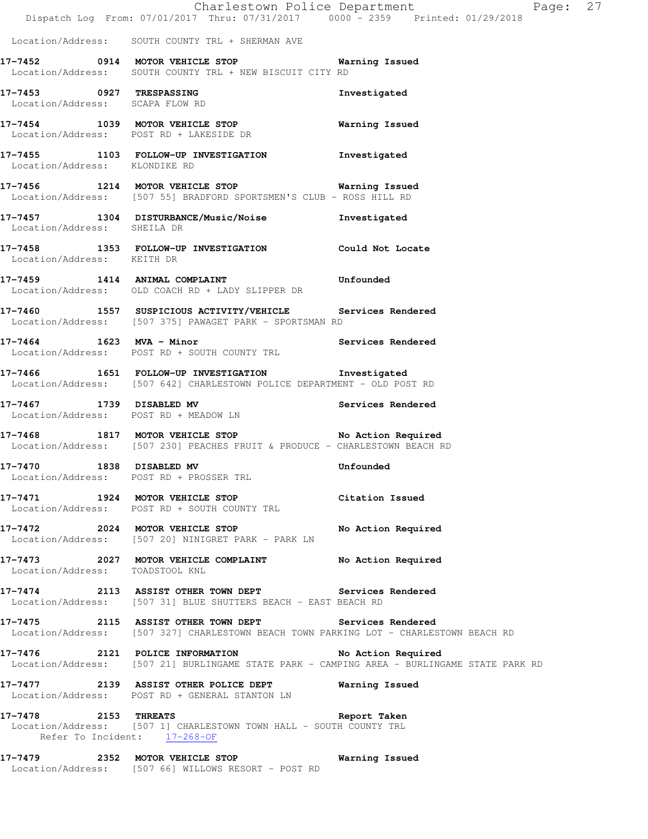|                                                             | Dispatch Log From: 07/01/2017 Thru: 07/31/2017 0000 - 2359 Printed: 01/29/2018                                                                   | Charlestown Police Department | Page: 27 |  |
|-------------------------------------------------------------|--------------------------------------------------------------------------------------------------------------------------------------------------|-------------------------------|----------|--|
|                                                             | Location/Address: SOUTH COUNTY TRL + SHERMAN AVE                                                                                                 |                               |          |  |
|                                                             | 17-7452 0914 MOTOR VEHICLE STOP Warning Issued<br>Location/Address: SOUTH COUNTY TRL + NEW BISCUIT CITY RD                                       |                               |          |  |
| 17-7453 0927 TRESPASSING<br>Location/Address: SCAPA FLOW RD |                                                                                                                                                  | Investigated                  |          |  |
|                                                             | 17-7454 1039 MOTOR VEHICLE STOP<br>Location/Address: POST RD + LAKESIDE DR                                                                       | <b>Warning Issued</b>         |          |  |
| Location/Address: KLONDIKE RD                               | 17-7455 1103 FOLLOW-UP INVESTIGATION Investigated                                                                                                |                               |          |  |
|                                                             | 17-7456 1214 MOTOR VEHICLE STOP 6 Warning Issued<br>Location/Address: [507 55] BRADFORD SPORTSMEN'S CLUB - ROSS HILL RD                          |                               |          |  |
| Location/Address: SHEILA DR                                 | 17-7457 1304 DISTURBANCE/Music/Noise Investigated                                                                                                |                               |          |  |
| Location/Address: KEITH DR                                  | 17-7458 1353 FOLLOW-UP INVESTIGATION Could Not Locate                                                                                            |                               |          |  |
|                                                             | 17-7459 1414 ANIMAL COMPLAINT COMPRET PRODUCED Unfounded<br>Location/Address: OLD COACH RD + LADY SLIPPER DR                                     |                               |          |  |
|                                                             | 17-7460 1557 SUSPICIOUS ACTIVITY/VEHICLE Services Rendered<br>Location/Address: [507 375] PAWAGET PARK - SPORTSMAN RD                            |                               |          |  |
|                                                             | 17-7464 1623 MVA - Minor Services Rendered<br>Location/Address: POST RD + SOUTH COUNTY TRL                                                       |                               |          |  |
|                                                             | 17-7466 1651 FOLLOW-UP INVESTIGATION Investigated<br>Location/Address: [507 642] CHARLESTOWN POLICE DEPARTMENT - OLD POST RD                     |                               |          |  |
|                                                             | 17-7467 1739 DISABLED MV Services Rendered<br>Location/Address: POST RD + MEADOW LN                                                              |                               |          |  |
|                                                             | 17-7468 1817 MOTOR VEHICLE STOP No Action Required<br>Location/Address: [507 230] PEACHES FRUIT & PRODUCE - CHARLESTOWN BEACH RD                 |                               |          |  |
| 17-7470 1838 DISABLED MV                                    | Location/Address: POST RD + PROSSER TRL                                                                                                          | Unfounded                     |          |  |
|                                                             | 17-7471 1924 MOTOR VEHICLE STOP Citation Issued<br>Location/Address: POST RD + SOUTH COUNTY TRL                                                  |                               |          |  |
|                                                             | 17-7472 2024 MOTOR VEHICLE STOP No Action Required<br>Location/Address: [507 20] NINIGRET PARK - PARK LN                                         |                               |          |  |
| Location/Address: TOADSTOOL KNL                             | 17-7473 2027 MOTOR VEHICLE COMPLAINT No Action Required                                                                                          |                               |          |  |
|                                                             | 17-7474 2113 ASSIST OTHER TOWN DEPT Services Rendered<br>Location/Address: [507 31] BLUE SHUTTERS BEACH - EAST BEACH RD                          |                               |          |  |
|                                                             | 17-7475 2115 ASSIST OTHER TOWN DEPT Services Rendered<br>Location/Address: [507 327] CHARLESTOWN BEACH TOWN PARKING LOT - CHARLESTOWN BEACH RD   |                               |          |  |
|                                                             | 17-7476 2121 POLICE INFORMATION No Action Required<br>Location/Address: [507 21] BURLINGAME STATE PARK - CAMPING AREA - BURLINGAME STATE PARK RD |                               |          |  |
|                                                             | 17-7477 2139 ASSIST OTHER POLICE DEPT Warning Issued<br>Location/Address: POST RD + GENERAL STANTON LN                                           |                               |          |  |
|                                                             | 17-7478 2153 THREATS 2008 Report Taken<br>Location/Address: [507 1] CHARLESTOWN TOWN HALL - SOUTH COUNTY TRL<br>Refer To Incident: 17-268-OF     |                               |          |  |
|                                                             | 17-7479 2352 MOTOR VEHICLE STOP 6 Warning Issued<br>Location/Address: [507 66] WILLOWS RESORT - POST RD                                          |                               |          |  |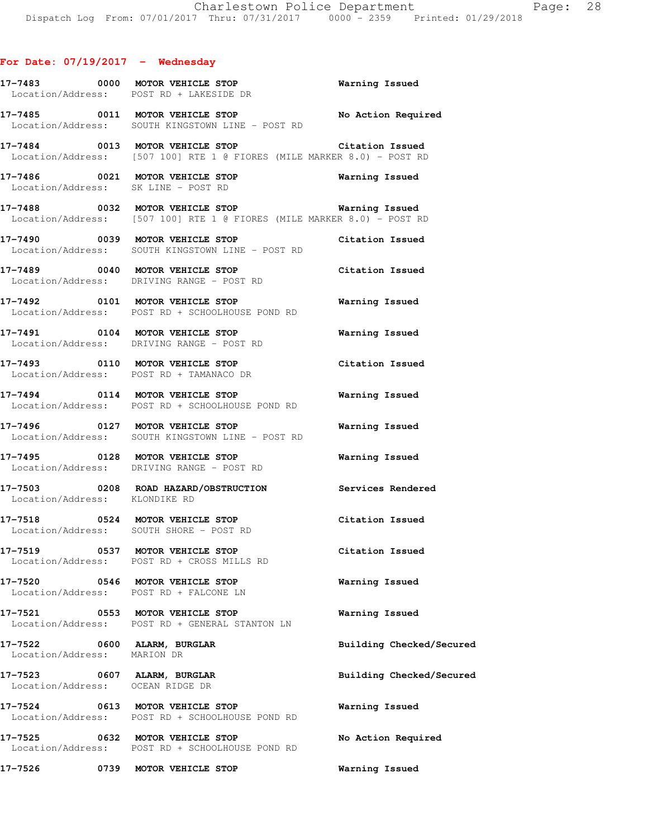|                                                                 | 17-7483 0000 MOTOR VEHICLE STOP<br>Location/Address: POST RD + LAKESIDE DR                                                  | <b>Warning Issued</b>    |
|-----------------------------------------------------------------|-----------------------------------------------------------------------------------------------------------------------------|--------------------------|
|                                                                 | 17-7485 0011 MOTOR VEHICLE STOP<br>Location/Address: SOUTH KINGSTOWN LINE - POST RD                                         | No Action Required       |
|                                                                 | 17-7484 0013 MOTOR VEHICLE STOP Citation Issued<br>Location/Address: [507 100] RTE 1 @ FIORES (MILE MARKER 8.0) - POST RD   |                          |
|                                                                 | 17-7486 0021 MOTOR VEHICLE STOP<br>Location/Address: SK LINE - POST RD                                                      | <b>Warning Issued</b>    |
|                                                                 | 17-7488 6032 MOTOR VEHICLE STOP 60 Warning Issued<br>Location/Address: [507 100] RTE 1 @ FIORES (MILE MARKER 8.0) - POST RD |                          |
|                                                                 | 17-7490 0039 MOTOR VEHICLE STOP Citation Issued<br>Location/Address: SOUTH KINGSTOWN LINE - POST RD                         |                          |
|                                                                 | 17-7489 0040 MOTOR VEHICLE STOP Citation Issued<br>Location/Address: DRIVING RANGE - POST RD                                |                          |
|                                                                 | 17-7492 0101 MOTOR VEHICLE STOP<br>Location/Address: POST RD + SCHOOLHOUSE POND RD                                          | Warning Issued           |
|                                                                 | 17-7491  0104 MOTOR VEHICLE STOP    Varning Issued<br>Location/Address: DRIVING RANGE - POST RD                             |                          |
|                                                                 | 17-7493 0110 MOTOR VEHICLE STOP<br>Location/Address: POST RD + TAMANACO DR                                                  | Citation Issued          |
|                                                                 | 17-7494 0114 MOTOR VEHICLE STOP<br>Location/Address: POST RD + SCHOOLHOUSE POND RD                                          | <b>Warning Issued</b>    |
|                                                                 | 17-7496 0127 MOTOR VEHICLE STOP<br>Location/Address: SOUTH KINGSTOWN LINE - POST RD                                         | <b>Warning Issued</b>    |
|                                                                 | 17-7495 0128 MOTOR VEHICLE STOP Warning Issued<br>Location/Address: DRIVING RANGE - POST RD                                 |                          |
| Location/Address: KLONDIKE RD                                   | 17-7503 0208 ROAD HAZARD/OBSTRUCTION Services Rendered                                                                      |                          |
|                                                                 | 17-7518 0524 MOTOR VEHICLE STOP<br>Location/Address: SOUTH SHORE - POST RD                                                  | Citation Issued          |
|                                                                 | 17-7519 0537 MOTOR VEHICLE STOP<br>Location/Address: POST RD + CROSS MILLS RD                                               | Citation Issued          |
|                                                                 | 17-7520 0546 MOTOR VEHICLE STOP<br>Location/Address: POST RD + FALCONE LN                                                   | Warning Issued           |
|                                                                 | 17-7521 0553 MOTOR VEHICLE STOP<br>Location/Address: POST RD + GENERAL STANTON LN                                           | Warning Issued           |
| 17-7522 0600 ALARM, BURGLAR<br>Location/Address: MARION DR      |                                                                                                                             | Building Checked/Secured |
| 17-7523 0607 ALARM, BURGLAR<br>Location/Address: OCEAN RIDGE DR |                                                                                                                             | Building Checked/Secured |
|                                                                 | 17-7524 0613 MOTOR VEHICLE STOP<br>Location/Address: POST RD + SCHOOLHOUSE POND RD                                          | Warning Issued           |
|                                                                 | 17-7525 0632 MOTOR VEHICLE STOP<br>Location/Address: POST RD + SCHOOLHOUSE POND RD                                          | No Action Required       |
| 17–7526                                                         | 0739 MOTOR VEHICLE STOP                                                                                                     | Warning Issued           |
|                                                                 |                                                                                                                             |                          |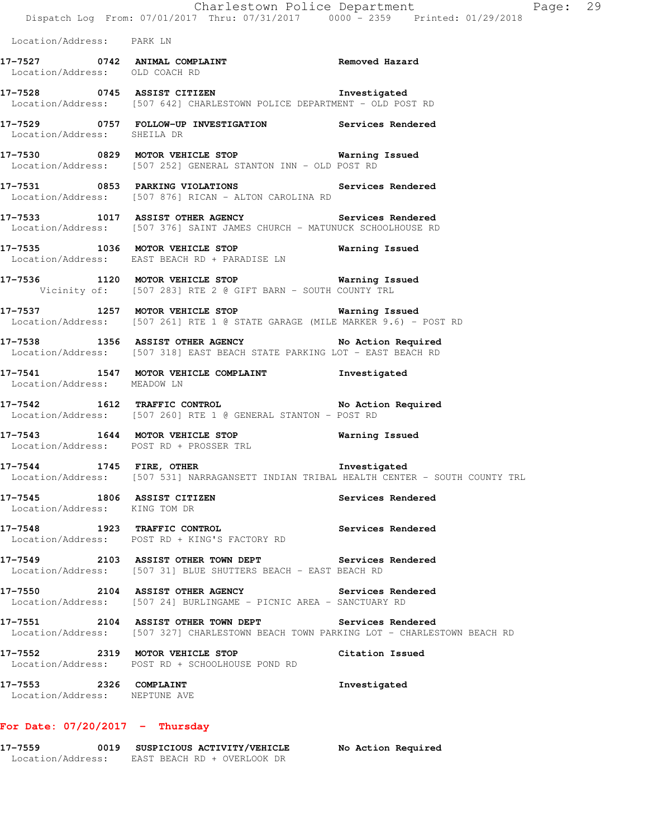|                                                         | Dispatch Log From: 07/01/2017 Thru: 07/31/2017 0000 <sup>-</sup> 2359 Printed: 01/29/2018                                                      | Charlestown Police Department<br>Page: 29 |
|---------------------------------------------------------|------------------------------------------------------------------------------------------------------------------------------------------------|-------------------------------------------|
| Location/Address: PARK LN                               |                                                                                                                                                |                                           |
| Location/Address: OLD COACH RD                          | 17-7527 0742 ANIMAL COMPLAINT COMERCITY Removed Hazard                                                                                         |                                           |
|                                                         | 17-7528 0745 ASSIST CITIZEN 17-7528<br>Location/Address: [507 642] CHARLESTOWN POLICE DEPARTMENT - OLD POST RD                                 |                                           |
| Location/Address: SHEILA DR                             | 17-7529 0757 FOLLOW-UP INVESTIGATION Services Rendered                                                                                         |                                           |
|                                                         | 17-7530 0829 MOTOR VEHICLE STOP Warning Issued<br>Location/Address: [507 252] GENERAL STANTON INN - OLD POST RD                                |                                           |
|                                                         | 17-7531 0853 PARKING VIOLATIONS<br>Location/Address: [507 876] RICAN - ALTON CAROLINA RD                                                       | Services Rendered                         |
|                                                         | 17-7533 1017 ASSIST OTHER AGENCY Services Rendered<br>Location/Address: [507 376] SAINT JAMES CHURCH - MATUNUCK SCHOOLHOUSE RD                 |                                           |
|                                                         | 17-7535 1036 MOTOR VEHICLE STOP <b>Warning Issued</b><br>Location/Address: EAST BEACH RD + PARADISE LN                                         |                                           |
|                                                         | 17-7536 1120 MOTOR VEHICLE STOP Warning Issued<br>Vicinity of: [507 283] RTE 2 @ GIFT BARN - SOUTH COUNTY TRL                                  |                                           |
|                                                         | 17-7537 1257 MOTOR VEHICLE STOP 6 Warning Issued<br>Location/Address: [507 261] RTE 1 @ STATE GARAGE (MILE MARKER 9.6) - POST RD               |                                           |
|                                                         | 17-7538 1356 ASSIST OTHER AGENCY No Action Required<br>Location/Address: [507 318] EAST BEACH STATE PARKING LOT - EAST BEACH RD                |                                           |
| Location/Address: MEADOW LN                             | 17-7541 1547 MOTOR VEHICLE COMPLAINT Threstigated                                                                                              |                                           |
|                                                         | 17-7542 1612 TRAFFIC CONTROL No Action Required<br>Location/Address: [507 260] RTE 1 @ GENERAL STANTON - POST RD                               |                                           |
|                                                         | 17-7543 1644 MOTOR VEHICLE STOP <b>Warning Issued</b><br>Location/Address: POST RD + PROSSER TRL                                               |                                           |
| 17-7544 1745 FIRE, OTHER                                | Location/Address: [507 531] NARRAGANSETT INDIAN TRIBAL HEALTH CENTER - SOUTH COUNTY TRL                                                        | Investigated                              |
| Location/Address: KING TOM DR                           | 17-7545 1806 ASSIST CITIZEN                                                                                                                    | Services Rendered                         |
|                                                         | 17-7548 1923 TRAFFIC CONTROL<br>Location/Address: POST RD + KING'S FACTORY RD                                                                  | Services Rendered                         |
|                                                         | 17-7549 2103 ASSIST OTHER TOWN DEPT Services Rendered<br>Location/Address: [507 31] BLUE SHUTTERS BEACH - EAST BEACH RD                        |                                           |
|                                                         | 17-7550 2104 ASSIST OTHER AGENCY Services Rendered<br>Location/Address: [507 24] BURLINGAME - PICNIC AREA - SANCTUARY RD                       |                                           |
|                                                         | 17-7551 2104 ASSIST OTHER TOWN DEPT Services Rendered<br>Location/Address: [507 327] CHARLESTOWN BEACH TOWN PARKING LOT - CHARLESTOWN BEACH RD |                                           |
|                                                         | 17-7552 2319 MOTOR VEHICLE STOP<br>Location/Address: POST RD + SCHOOLHOUSE POND RD                                                             | Citation Issued                           |
| 17-7553 2326 COMPLAINT<br>Location/Address: NEPTUNE AVE |                                                                                                                                                | Investigated                              |
|                                                         |                                                                                                                                                |                                           |

# **For Date: 07/20/2017 - Thursday**

| 17-7559           | 0019 | SUSPICIOUS ACTIVITY/VEHICLE | No Action Required |
|-------------------|------|-----------------------------|--------------------|
| Location/Address: |      | EAST BEACH RD + OVERLOOK DR |                    |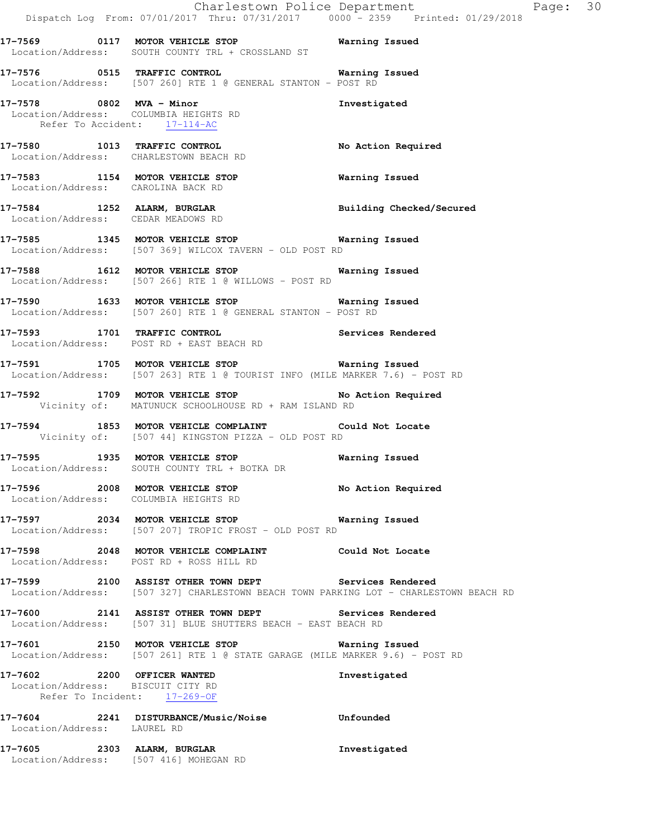|                                                                                                  | Dispatch Log From: 07/01/2017 Thru: 07/31/2017   0000 <sup>-</sup> -2359   Printed: 01/29/2018                                                 | Charlestown Police Department | Page: 30 |  |
|--------------------------------------------------------------------------------------------------|------------------------------------------------------------------------------------------------------------------------------------------------|-------------------------------|----------|--|
|                                                                                                  | 17-7569 0117 MOTOR VEHICLE STOP 6 Warning Issued<br>Location/Address: SOUTH COUNTY TRL + CROSSLAND ST                                          |                               |          |  |
|                                                                                                  | 17-7576 0515 TRAFFIC CONTROL 17-7576 Warning Issued<br>Location/Address: [507 260] RTE 1 @ GENERAL STANTON - POST RD                           |                               |          |  |
| Location/Address: COLUMBIA HEIGHTS RD<br>Refer To Accident: 17-114-AC                            | 17-7578 0802 MVA - Minor                                                                                                                       | Investigated                  |          |  |
| Location/Address: CHARLESTOWN BEACH RD                                                           | 17-7580 1013 TRAFFIC CONTROL                                                                                                                   | No Action Required            |          |  |
| Location/Address: CAROLINA BACK RD                                                               | 17-7583 1154 MOTOR VEHICLE STOP 6 Warning Issued                                                                                               |                               |          |  |
| Location/Address: CEDAR MEADOWS RD                                                               | 17-7584 1252 ALARM, BURGLAR 2008 Building Checked/Secured                                                                                      |                               |          |  |
|                                                                                                  | 17-7585 1345 MOTOR VEHICLE STOP 6 Warning Issued<br>Location/Address: [507 369] WILCOX TAVERN - OLD POST RD                                    |                               |          |  |
|                                                                                                  | 17-7588 1612 MOTOR VEHICLE STOP 17-7588<br>Location/Address: [507 266] RTE 1 @ WILLOWS - POST RD                                               |                               |          |  |
|                                                                                                  | 17-7590 1633 MOTOR VEHICLE STOP 17-7590 Warning Issued<br>Location/Address: [507 260] RTE 1 @ GENERAL STANTON - POST RD                        |                               |          |  |
|                                                                                                  | 17-7593 1701 TRAFFIC CONTROL 17-7593 Services Rendered<br>Location/Address: POST RD + EAST BEACH RD                                            |                               |          |  |
|                                                                                                  | 17-7591 1705 MOTOR VEHICLE STOP 17-7591 Warning Issued<br>Location/Address: [507 263] RTE 1 @ TOURIST INFO (MILE MARKER 7.6) - POST RD         |                               |          |  |
|                                                                                                  | 17-7592 1709 MOTOR VEHICLE STOP NO Action Required<br>Vicinity of: MATUNUCK SCHOOLHOUSE RD + RAM ISLAND RD                                     |                               |          |  |
|                                                                                                  | 17-7594 1853 MOTOR VEHICLE COMPLAINT Could Not Locate<br>Vicinity of: [507 44] KINGSTON PIZZA - OLD POST RD                                    |                               |          |  |
|                                                                                                  | 17-7595 1935 MOTOR VEHICLE STOP 6 Warning Issued<br>Location/Address: SOUTH COUNTY TRL + BOTKA DR                                              |                               |          |  |
|                                                                                                  | 17-7596 2008 MOTOR VEHICLE STOP No Action Required<br>Location/Address: COLUMBIA HEIGHTS RD                                                    |                               |          |  |
|                                                                                                  | 17-7597 2034 MOTOR VEHICLE STOP 6 Warning Issued<br>Location/Address: [507 207] TROPIC FROST - OLD POST RD                                     |                               |          |  |
|                                                                                                  | 17-7598 2048 MOTOR VEHICLE COMPLAINT Could Not Locate<br>Location/Address: POST RD + ROSS HILL RD                                              |                               |          |  |
|                                                                                                  | 17-7599 2100 ASSIST OTHER TOWN DEPT Services Rendered<br>Location/Address: [507 327] CHARLESTOWN BEACH TOWN PARKING LOT - CHARLESTOWN BEACH RD |                               |          |  |
|                                                                                                  | 17-7600 2141 ASSIST OTHER TOWN DEPT Services Rendered<br>Location/Address: [507 31] BLUE SHUTTERS BEACH - EAST BEACH RD                        |                               |          |  |
|                                                                                                  | 17-7601 2150 MOTOR VEHICLE STOP <b>Warning Issued</b><br>Location/Address: [507 261] RTE 1 @ STATE GARAGE (MILE MARKER 9.6) - POST RD          |                               |          |  |
| 17-7602 2200 OFFICER WANTED<br>Location/Address: BISCUIT CITY RD<br>Refer To Incident: 17-269-OF |                                                                                                                                                | Investigated                  |          |  |
| Location/Address: LAUREL RD                                                                      | 17-7604 2241 DISTURBANCE/Music/Noise Unfounded                                                                                                 |                               |          |  |
| 17-7605 2303 ALARM, BURGLAR<br>Location/Address: [507 416] MOHEGAN RD                            |                                                                                                                                                | Investigated                  |          |  |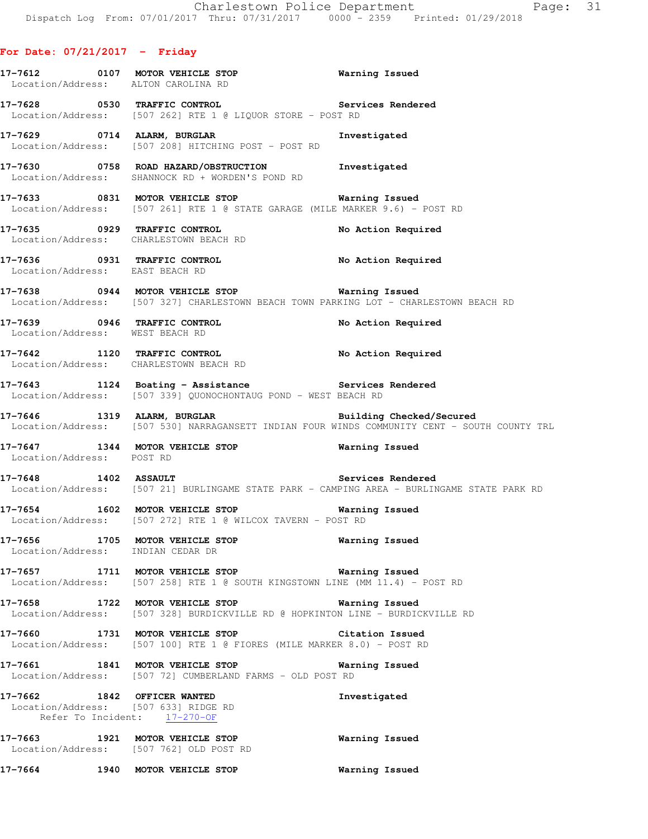# **For Date: 07/21/2017 - Friday**

|                                                                      | 17-7612 0107 MOTOR VEHICLE STOP <b>WATER</b> Warning Issued<br>Location/Address: ALTON CAROLINA RD                                             |                                                                                              |
|----------------------------------------------------------------------|------------------------------------------------------------------------------------------------------------------------------------------------|----------------------------------------------------------------------------------------------|
|                                                                      | 17-7628 		 0530 TRAFFIC CONTROL 			 Services Rendered<br>Location/Address: [507 262] RTE 1 @ LIQUOR STORE - POST RD                            |                                                                                              |
|                                                                      | 17-7629 0714 ALARM, BURGLAR<br>Location/Address: [507 208] HITCHING POST - POST RD                                                             | Investigated                                                                                 |
|                                                                      | 17-7630 0758 ROAD HAZARD/OBSTRUCTION Investigated<br>Location/Address: SHANNOCK RD + WORDEN'S POND RD                                          |                                                                                              |
|                                                                      | 17-7633 0831 MOTOR VEHICLE STOP 6 Warning Issued<br>Location/Address: [507 261] RTE 1 @ STATE GARAGE (MILE MARKER 9.6) - POST RD               |                                                                                              |
|                                                                      | 17-7635 0929 TRAFFIC CONTROL<br>Location/Address: CHARLESTOWN BEACH RD                                                                         | No Action Required                                                                           |
| Location/Address: EAST BEACH RD                                      | 17-7636 0931 TRAFFIC CONTROL No Action Required                                                                                                |                                                                                              |
|                                                                      | 17-7638 0944 MOTOR VEHICLE STOP <b>Warning Issued</b><br>Location/Address: [507 327] CHARLESTOWN BEACH TOWN PARKING LOT - CHARLESTOWN BEACH RD |                                                                                              |
| Location/Address: WEST BEACH RD                                      | 17-7639 0946 TRAFFIC CONTROL<br>Location/Address: WEST BEACH RD                                                                                | No Action Required                                                                           |
|                                                                      | 17-7642 1120 TRAFFIC CONTROL No Action Required Location/Address: CHARLESTOWN BEACH RD                                                         |                                                                                              |
|                                                                      | 17-7643 1124 Boating - Assistance Services Rendered<br>Location/Address: [507 339] QUONOCHONTAUG POND - WEST BEACH RD                          |                                                                                              |
|                                                                      | 17-7646 1319 ALARM, BURGLAR BURGLAR Building Checked/Secured                                                                                   | Location/Address: [507 530] NARRAGANSETT INDIAN FOUR WINDS COMMUNITY CENT - SOUTH COUNTY TRL |
| Location/Address: POST RD                                            | 17-7647 1344 MOTOR VEHICLE STOP 6 Warning Issued                                                                                               |                                                                                              |
|                                                                      | 17-7648 1402 ASSAULT Services Rendered                                                                                                         | Location/Address: [507 21] BURLINGAME STATE PARK - CAMPING AREA - BURLINGAME STATE PARK RD   |
|                                                                      | 17-7654 1602 MOTOR VEHICLE STOP <b>WATER WATER</b><br>Location/Address: [507 272] RTE 1 @ WILCOX TAVERN - POST RD                              |                                                                                              |
| 17-7656 1705 MOTOR VEHICLE STOP<br>Location/Address: INDIAN CEDAR DR |                                                                                                                                                | Warning Issued                                                                               |
|                                                                      | 17-7657 1711 MOTOR VEHICLE STOP 6 Warning Issued<br>Location/Address: [507 258] RTE 1 @ SOUTH KINGSTOWN LINE (MM 11.4) - POST RD               |                                                                                              |
|                                                                      | 17-7658 1722 MOTOR VEHICLE STOP 6 Warning Issued<br>Location/Address: [507 328] BURDICKVILLE RD @ HOPKINTON LINE - BURDICKVILLE RD             |                                                                                              |
|                                                                      | 17-7660 1731 MOTOR VEHICLE STOP<br>Location/Address: [507 100] RTE 1 @ FIORES (MILE MARKER 8.0) - POST RD                                      | Citation Issued                                                                              |
|                                                                      | 17-7661 1841 MOTOR VEHICLE STOP<br>Location/Address: [507 72] CUMBERLAND FARMS - OLD POST RD                                                   | Warning Issued                                                                               |
| 17-7662 1842 OFFICER WANTED<br>Location/Address: [507 633] RIDGE RD  | Refer To Incident: 17-270-OF                                                                                                                   | Investigated                                                                                 |
|                                                                      | 17-7663 1921 MOTOR VEHICLE STOP<br>Location/Address: [507 762] OLD POST RD                                                                     | Warning Issued                                                                               |
|                                                                      | 17-7664 1940 MOTOR VEHICLE STOP                                                                                                                | Warning Issued                                                                               |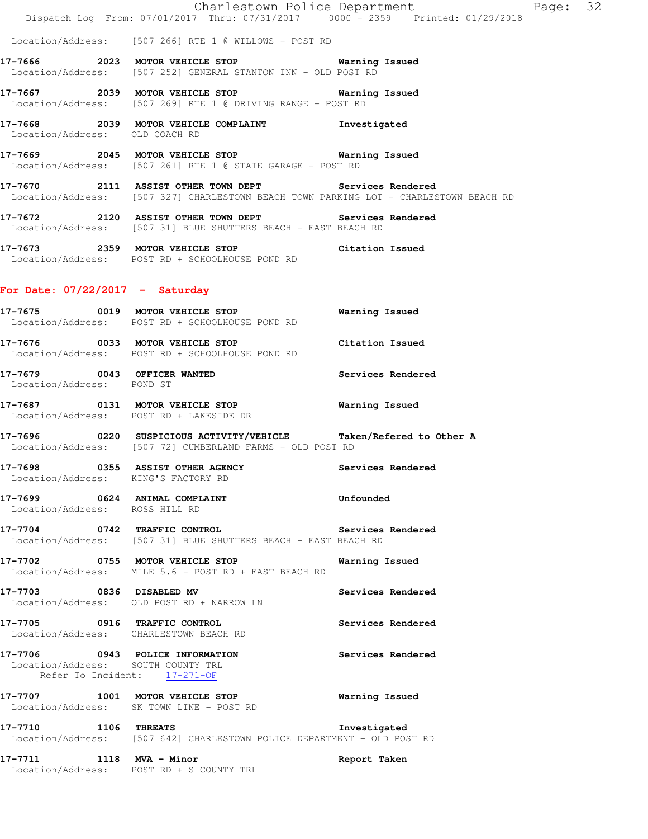|                                                                                                       | Dispatch Log From: 07/01/2017 Thru: 07/31/2017 0000 - 2359 Printed: 01/29/2018                                                                 | Charlestown Police Department | Page: 32 |  |
|-------------------------------------------------------------------------------------------------------|------------------------------------------------------------------------------------------------------------------------------------------------|-------------------------------|----------|--|
|                                                                                                       | Location/Address: [507 266] RTE 1 @ WILLOWS - POST RD                                                                                          |                               |          |  |
|                                                                                                       | 17-7666 2023 MOTOR VEHICLE STOP 6 Warning Issued<br>Location/Address: [507 252] GENERAL STANTON INN - OLD POST RD                              |                               |          |  |
|                                                                                                       | 17-7667 2039 MOTOR VEHICLE STOP 6 Warning Issued<br>Location/Address: [507 269] RTE 1 @ DRIVING RANGE - POST RD                                |                               |          |  |
| Location/Address: OLD COACH RD                                                                        | 17-7668 2039 MOTOR VEHICLE COMPLAINT 1nvestigated                                                                                              |                               |          |  |
|                                                                                                       | 17-7669 2045 MOTOR VEHICLE STOP 6 Warning Issued<br>Location/Address: [507 261] RTE 1 @ STATE GARAGE - POST RD                                 |                               |          |  |
|                                                                                                       | 17-7670 2111 ASSIST OTHER TOWN DEPT Services Rendered<br>Location/Address: [507 327] CHARLESTOWN BEACH TOWN PARKING LOT - CHARLESTOWN BEACH RD |                               |          |  |
|                                                                                                       | 17-7672 2120 ASSIST OTHER TOWN DEPT Services Rendered<br>Location/Address: [507 31] BLUE SHUTTERS BEACH - EAST BEACH RD                        |                               |          |  |
|                                                                                                       | 17-7673 2359 MOTOR VEHICLE STOP Citation Issued<br>Location/Address: POST RD + SCHOOLHOUSE POND RD                                             |                               |          |  |
| For Date: $07/22/2017 - Saturday$                                                                     |                                                                                                                                                |                               |          |  |
|                                                                                                       | 17-7675 0019 MOTOR VEHICLE STOP <b>WAY</b> Warning Issued<br>Location/Address: POST RD + SCHOOLHOUSE POND RD                                   |                               |          |  |
|                                                                                                       | 17-7676 0033 MOTOR VEHICLE STOP Citation Issued<br>Location/Address: POST RD + SCHOOLHOUSE POND RD                                             |                               |          |  |
| Location/Address: POND ST                                                                             | 17-7679 0043 OFFICER WANTED Services Rendered                                                                                                  |                               |          |  |
| Location/Address: POST RD + LAKESIDE DR                                                               | 17-7687 0131 MOTOR VEHICLE STOP 6 Warning Issued                                                                                               |                               |          |  |
|                                                                                                       | 17-7696 0220 SUSPICIOUS ACTIVITY/VEHICLE Taken/Refered to Other A<br>Location/Address: [507 72] CUMBERLAND FARMS - OLD POST RD                 |                               |          |  |
| Location/Address: KING'S FACTORY RD                                                                   | 17-7698 0355 ASSIST OTHER AGENCY                                                                                                               | Services Rendered             |          |  |
| Location/Address: ROSS HILL RD                                                                        | 17-7699 0624 ANIMAL COMPLAINT                                                                                                                  | Unfounded                     |          |  |
|                                                                                                       | 17-7704 0742 TRAFFIC CONTROL Services Rendered<br>Location/Address: [507 31] BLUE SHUTTERS BEACH - EAST BEACH RD                               |                               |          |  |
|                                                                                                       | 17-7702 0755 MOTOR VEHICLE STOP<br>Location/Address: MILE 5.6 - POST RD + EAST BEACH RD                                                        | Warning Issued                |          |  |
| 17-7703 0836 DISABLED MV                                                                              | Location/Address: OLD POST RD + NARROW LN                                                                                                      | Services Rendered             |          |  |
| 17-7705 0916 TRAFFIC CONTROL                                                                          | Location/Address: CHARLESTOWN BEACH RD                                                                                                         | Services Rendered             |          |  |
| 17-7706 0943 POLICE INFORMATION<br>Location/Address: SOUTH COUNTY TRL<br>Refer To Incident: 17-271-OF |                                                                                                                                                | Services Rendered             |          |  |
| Location/Address: SK TOWN LINE - POST RD                                                              | 17-7707 1001 MOTOR VEHICLE STOP                                                                                                                | Warning Issued                |          |  |

**17-7710 1106 THREATS Investigated**  Location/Address: [507 642] CHARLESTOWN POLICE DEPARTMENT - OLD POST RD

**17-7711 1118 MVA - Minor Report Taken**  Location/Address: POST RD + S COUNTY TRL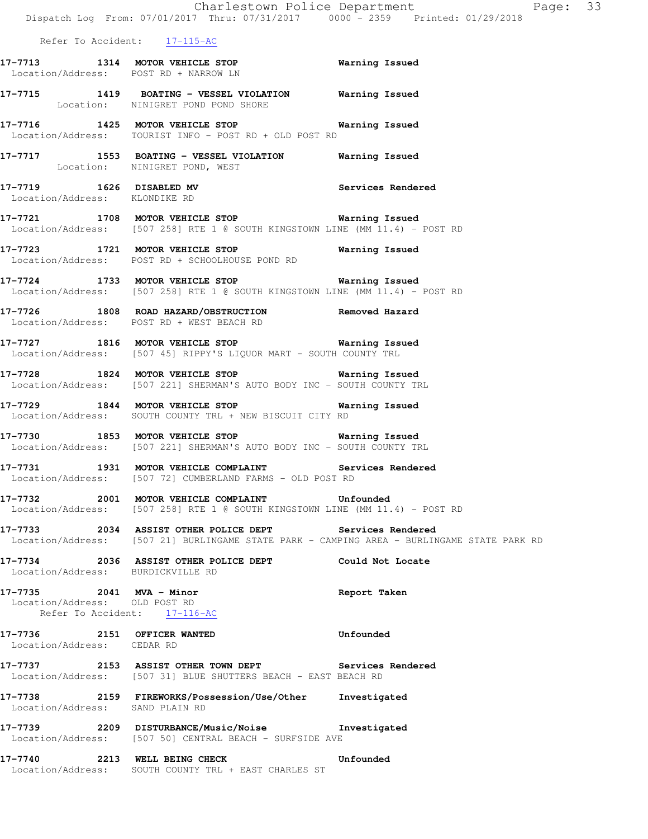|                                                           | Dispatch Log From: 07/01/2017 Thru: 07/31/2017 0000 - 2359 Printed: 01/29/2018                                                                        |                   |
|-----------------------------------------------------------|-------------------------------------------------------------------------------------------------------------------------------------------------------|-------------------|
| Refer To Accident: 17-115-AC                              |                                                                                                                                                       |                   |
|                                                           | 17-7713 1314 MOTOR VEHICLE STOP 6 Warning Issued<br>Location/Address: POST RD + NARROW LN                                                             |                   |
|                                                           | 17-7715 1419 BOATING - VESSEL VIOLATION Warning Issued<br>Location: NINIGRET POND POND SHORE                                                          |                   |
|                                                           | 17-7716 1425 MOTOR VEHICLE STOP 6 Warning Issued<br>Location/Address: TOURIST INFO - POST RD + OLD POST RD                                            |                   |
|                                                           | 17-7717 1553 BOATING - VESSEL VIOLATION Narning Issued<br>Location: NINIGRET POND, WEST                                                               |                   |
| Location/Address: KLONDIKE RD                             | 17-7719 1626 DISABLED MV                                                                                                                              | Services Rendered |
|                                                           | 17-7721 1708 MOTOR VEHICLE STOP Warning Issued<br>Location/Address: [507 258] RTE 1 @ SOUTH KINGSTOWN LINE (MM 11.4) - POST RD                        |                   |
|                                                           | 17-7723 1721 MOTOR VEHICLE STOP <b>Exam Property</b> Warning Issued<br>Location/Address: POST RD + SCHOOLHOUSE POND RD                                |                   |
|                                                           | 17-7724 1733 MOTOR VEHICLE STOP <b>Exam Example 18</b> Warning Issued<br>Location/Address: [507 258] RTE 1 @ SOUTH KINGSTOWN LINE (MM 11.4) - POST RD |                   |
|                                                           | 17-7726 1808 ROAD HAZARD/OBSTRUCTION Removed Hazard<br>Location/Address: POST RD + WEST BEACH RD                                                      |                   |
|                                                           | 17-7727 1816 MOTOR VEHICLE STOP <b>Warning Issued</b><br>Location/Address: [507 45] RIPPY'S LIQUOR MART - SOUTH COUNTY TRL                            |                   |
|                                                           | 17-7728 1824 MOTOR VEHICLE STOP <b>Warning Issued</b><br>Location/Address: [507 221] SHERMAN'S AUTO BODY INC - SOUTH COUNTY TRL                       |                   |
|                                                           | 17-7729 1844 MOTOR VEHICLE STOP 6 Warning Issued<br>Location/Address: SOUTH COUNTY TRL + NEW BISCUIT CITY RD                                          |                   |
|                                                           | 17-7730 1853 MOTOR VEHICLE STOP <b>Warning Issued</b><br>Location/Address: [507 221] SHERMAN'S AUTO BODY INC - SOUTH COUNTY TRL                       |                   |
|                                                           | 17-7731 1931 MOTOR VEHICLE COMPLAINT Services Rendered<br>Location/Address: [507 72] CUMBERLAND FARMS - OLD POST RD                                   |                   |
| 17–7732                                                   | 2001 MOTOR VEHICLE COMPLAINT <b>12000</b> Unfounded<br>Location/Address: [507 258] RTE 1 @ SOUTH KINGSTOWN LINE (MM 11.4) - POST RD                   |                   |
|                                                           | 17-7733 2034 ASSIST OTHER POLICE DEPT Services Rendered<br>Location/Address: [507 21] BURLINGAME STATE PARK - CAMPING AREA - BURLINGAME STATE PARK RD |                   |
| Location/Address: BURDICKVILLE RD                         | 17-7734 2036 ASSIST OTHER POLICE DEPT Could Not Locate                                                                                                |                   |
| 17-7735 2041 MVA - Minor<br>Location/Address: OLD POST RD | Refer To Accident: 17-116-AC                                                                                                                          | Report Taken      |
| 17-7736 2151 OFFICER WANTED<br>Location/Address: CEDAR RD |                                                                                                                                                       | Unfounded         |
|                                                           | 17-7737 2153 ASSIST OTHER TOWN DEPT Services Rendered<br>Location/Address: [507 31] BLUE SHUTTERS BEACH - EAST BEACH RD                               |                   |
| Location/Address: SAND PLAIN RD                           | 17-7738 2159 FIREWORKS/Possession/Use/Other Investigated                                                                                              |                   |
|                                                           | 17-7739 2209 DISTURBANCE/Music/Noise Chrostigated<br>Location/Address: [507 50] CENTRAL BEACH - SURFSIDE AVE                                          |                   |
|                                                           | 17-7740 2213 WELL BEING CHECK CHECT Unfounded<br>Location/Address: SOUTH COUNTY TRL + EAST CHARLES ST                                                 |                   |
|                                                           |                                                                                                                                                       |                   |

Charlestown Police Department Page: 33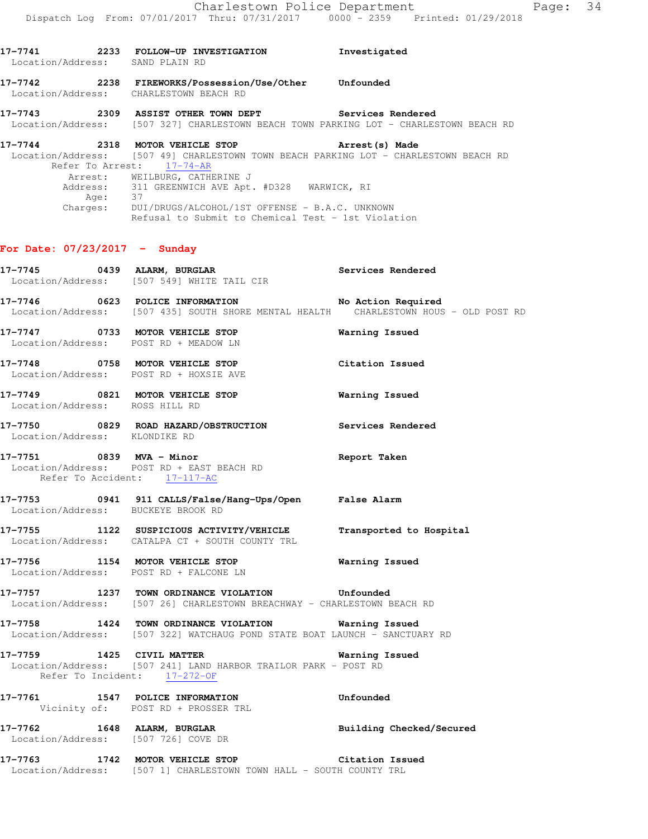| 17-7741<br>Location/Address: SAND PLAIN RD | 2233 | FOLLOW-UP INVESTIGATION                                                                                                                    | Investigated      |
|--------------------------------------------|------|--------------------------------------------------------------------------------------------------------------------------------------------|-------------------|
| 17–7742                                    | 2238 | FIREWORKS/Possession/Use/Other<br>Location/Address: CHARLESTOWN BEACH RD                                                                   | Unfounded         |
| 17–7743                                    | 2309 | ASSIST OTHER TOWN DEPT<br>Location/Address: [507 327] CHARLESTOWN BEACH TOWN PARKING LOT - CHARLESTOWN BEACH RD                            | Services Rendered |
| 17-7744<br>Refer To Arrest:                | 2318 | MOTOR VEHICLE STOP<br>Location/Address: [507 49] CHARLESTOWN TOWN BEACH PARKING LOT - CHARLESTOWN BEACH RD<br>$17 - 74 - AR$               | Arrest (s) Made   |
| Charges:                                   | Age: | Arrest: WEILBURG, CATHERINE J<br>Address: 311 GREENWICH AVE Apt. #D328 WARWICK, RI<br>37<br>DUI/DRUGS/ALCOHOL/1ST OFFENSE - B.A.C. UNKNOWN |                   |

Refusal to Submit to Chemical Test - 1st Violation

### **For Date: 07/23/2017 - Sunday**

|                                    | 17-7745 0439 ALARM, BURGLAR Services Rendered Location/Address: [507 549] WHITE TAIL CIR                                                   |                          |
|------------------------------------|--------------------------------------------------------------------------------------------------------------------------------------------|--------------------------|
|                                    | 17-7746 0623 POLICE INFORMATION No Action Required<br>Location/Address: [507 435] SOUTH SHORE MENTAL HEALTH CHARLESTOWN HOUS - OLD POST RD |                          |
|                                    | 17-7747 0733 MOTOR VEHICLE STOP<br>Location/Address: POST RD + MEADOW LN                                                                   | <b>Warning Issued</b>    |
|                                    | 17-7748 0758 MOTOR VEHICLE STOP<br>Location/Address: POST RD + HOXSIE AVE                                                                  | Citation Issued          |
| Location/Address: ROSS HILL RD     | 17-7749 0821 MOTOR VEHICLE STOP <b>Warning Issued</b>                                                                                      |                          |
| Location/Address: KLONDIKE RD      | 17-7750 0829 ROAD HAZARD/OBSTRUCTION Services Rendered                                                                                     |                          |
| Refer To Accident: 17-117-AC       | 17-7751 0839 MVA - Minor<br>Location/Address: POST RD + EAST BEACH RD                                                                      | Report Taken             |
| Location/Address: BUCKEYE BROOK RD | 17-7753       0941  911 CALLS/False/Hang-Ups/Open     False Alarm                                                                          |                          |
|                                    | 17-7755 1122 SUSPICIOUS ACTIVITY/VEHICLE Transported to Hospital<br>Location/Address: CATALPA CT + SOUTH COUNTY TRL                        |                          |
|                                    | 17-7756 1154 MOTOR VEHICLE STOP <b>Warning Issued</b><br>Location/Address: POST RD + FALCONE LN                                            |                          |
|                                    | 17-7757 1237 TOWN ORDINANCE VIOLATION Unfounded<br>Location/Address: [507 26] CHARLESTOWN BREACHWAY - CHARLESTOWN BEACH RD                 |                          |
|                                    | 17-7758 1424 TOWN ORDINANCE VIOLATION Warning Issued<br>Location/Address: [507 322] WATCHAUG POND STATE BOAT LAUNCH - SANCTUARY RD         |                          |
| Refer To Incident: 17-272-OF       | 17-7759 1425 CIVIL MATTER<br>Location/Address: [507 241] LAND HARBOR TRAILOR PARK - POST RD                                                | Warning Issued           |
|                                    | 17-7761 1547 POLICE INFORMATION<br>Vicinity of: POST RD + PROSSER TRL                                                                      | Unfounded                |
|                                    | 17-7762 1648 ALARM, BURGLAR<br>Location/Address: [507 726] COVE DR                                                                         | Building Checked/Secured |
|                                    | 17-7763 1742 MOTOR VEHICLE STOP Citation Issued<br>Location/Address: [507 1] CHARLESTOWN TOWN HALL - SOUTH COUNTY TRL                      |                          |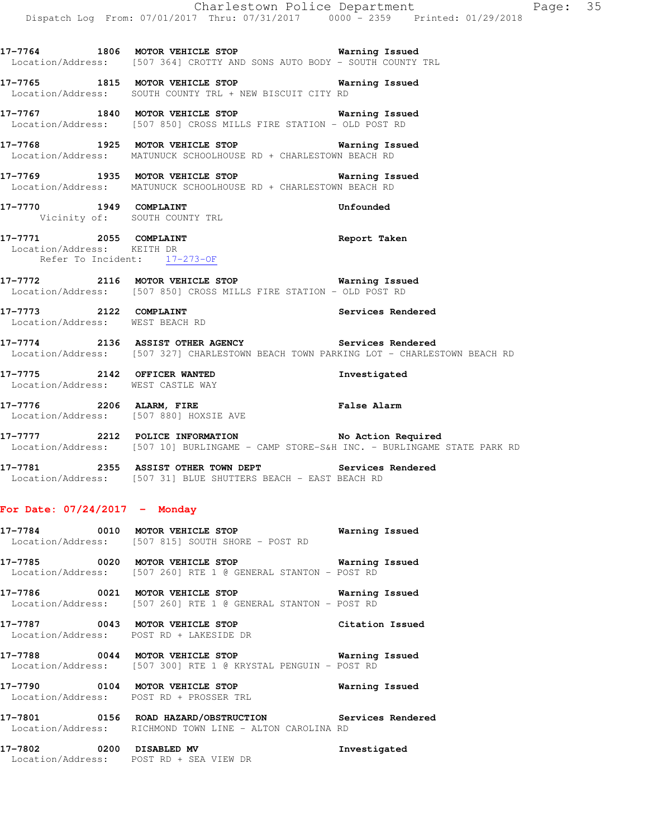**17-7765 1815 MOTOR VEHICLE STOP Warning Issued**  Location/Address: SOUTH COUNTY TRL + NEW BISCUIT CITY RD

**17-7767 1840 MOTOR VEHICLE STOP Warning Issued**  Location/Address: [507 850] CROSS MILLS FIRE STATION - OLD POST RD

**17-7768 1925 MOTOR VEHICLE STOP Warning Issued**  Location/Address: MATUNUCK SCHOOLHOUSE RD + CHARLESTOWN BEACH RD

- **17-7769 1935 MOTOR VEHICLE STOP Warning Issued**  Location/Address: MATUNUCK SCHOOLHOUSE RD + CHARLESTOWN BEACH RD
- **17-7770 1949 COMPLAINT Unfounded**  Vicinity of: SOUTH COUNTY TRL

**17-7771 2055 COMPLAINT Report Taken**  Location/Address: KEITH DR Refer To Incident: 17-273-OF

**17-7772 2116 MOTOR VEHICLE STOP Warning Issued**  Location/Address: [507 850] CROSS MILLS FIRE STATION - OLD POST RD

**17-7773 2122 COMPLAINT Services Rendered**  Location/Address: WEST BEACH RD

**17-7774 2136 ASSIST OTHER AGENCY Services Rendered**  Location/Address: [507 327] CHARLESTOWN BEACH TOWN PARKING LOT - CHARLESTOWN BEACH RD

**17-7775 2142 OFFICER WANTED Investigated**  Location/Address: WEST CASTLE WAY

**17-7776 2206 ALARM, FIRE False Alarm**  Location/Address: [507 880] HOXSIE AVE

Location/Address: POST RD + SEA VIEW DR

**17-7777 2212 POLICE INFORMATION No Action Required**  Location/Address: [507 10] BURLINGAME - CAMP STORE-S&H INC. - BURLINGAME STATE PARK RD

**17-7781 2355 ASSIST OTHER TOWN DEPT Services Rendered**  Location/Address: [507 31] BLUE SHUTTERS BEACH - EAST BEACH RD

### **For Date: 07/24/2017 - Monday**

|         | 17-7784 0010 MOTOR VEHICLE STOP<br>Location/Address: [507 815] SOUTH SHORE - POST RD                                     | Warning Issued |
|---------|--------------------------------------------------------------------------------------------------------------------------|----------------|
|         | Location/Address: [507 260] RTE 1 @ GENERAL STANTON - POST RD                                                            |                |
|         | Location/Address: [507 260] RTE 1 @ GENERAL STANTON - POST RD                                                            |                |
|         | 17-7787 0043 MOTOR VEHICLE STOP Citation Issued<br>Location/Address: POST RD + LAKESIDE DR                               |                |
|         | Location/Address: [507 300] RTE 1 @ KRYSTAL PENGUIN - POST RD                                                            |                |
|         | 17-7790 0104 MOTOR VEHICLE STOP<br>Location/Address: POST RD + PROSSER TRL                                               | Warning Issued |
|         | 17-7801   0156   ROAD HAZARD/OBSTRUCTION   Services Rendered<br>Location/Address: RICHMOND TOWN LINE - ALTON CAROLINA RD |                |
| 17-7802 | 0200 DISABLED MV                                                                                                         | Investigated   |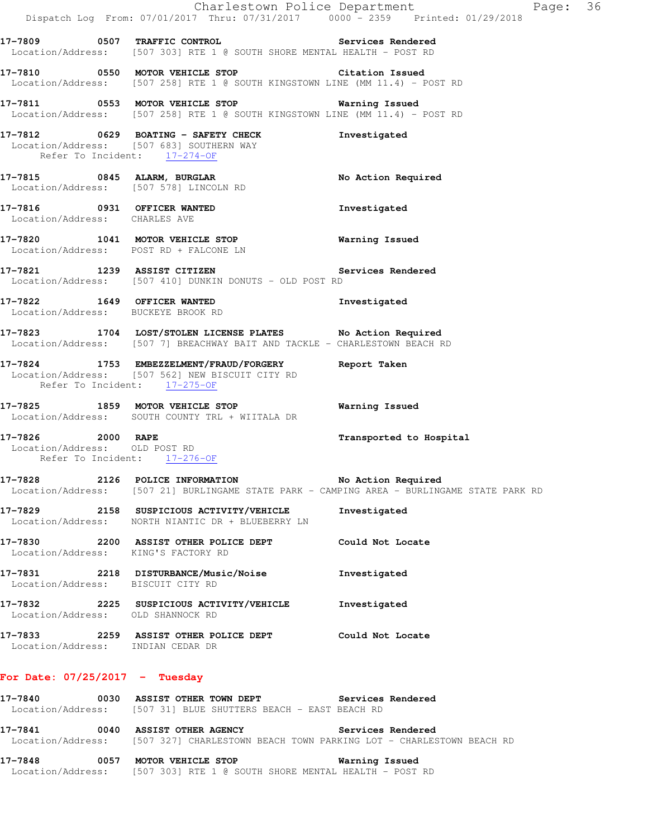|                                  |                                                                                                                                          | Charlestown Police Department<br>Page: 36<br>Dispatch Log From: 07/01/2017 Thru: 07/31/2017 0000 <sup>-</sup> 2359 Printed: 01/29/2018 |  |
|----------------------------------|------------------------------------------------------------------------------------------------------------------------------------------|----------------------------------------------------------------------------------------------------------------------------------------|--|
|                                  | 17-7809 0507 TRAFFIC CONTROL 2000 Services Rendered<br>Location/Address: [507 303] RTE 1 @ SOUTH SHORE MENTAL HEALTH - POST RD           |                                                                                                                                        |  |
|                                  | 17-7810 0550 MOTOR VEHICLE STOP Citation Issued<br>Location/Address: [507 258] RTE 1 @ SOUTH KINGSTOWN LINE (MM 11.4) - POST RD          |                                                                                                                                        |  |
|                                  | 17-7811 0553 MOTOR VEHICLE STOP 6 Warning Issued<br>Location/Address: [507 258] RTE 1 @ SOUTH KINGSTOWN LINE (MM 11.4) - POST RD         |                                                                                                                                        |  |
|                                  | 17-7812 0629 BOATING - SAFETY CHECK<br>Location/Address: [507 683] SOUTHERN WAY<br>Refer To Incident: 17-274-OF                          | Investigated                                                                                                                           |  |
|                                  | 17-7815 0845 ALARM, BURGLAR<br>Location/Address: [507 578] LINCOLN RD                                                                    | No Action Required                                                                                                                     |  |
| Location/Address: CHARLES AVE    | 17-7816 0931 OFFICER WANTED                                                                                                              | Investigated                                                                                                                           |  |
|                                  | 17-7820 1041 MOTOR VEHICLE STOP 6 Warning Issued<br>Location/Address: POST RD + FALCONE LN                                               |                                                                                                                                        |  |
|                                  | 17-7821 1239 ASSIST CITIZEN 5ervices Rendered<br>Location/Address: [507 410] DUNKIN DONUTS - OLD POST RD                                 |                                                                                                                                        |  |
|                                  | 17-7822 1649 OFFICER WANTED<br>Location/Address: BUCKEYE BROOK RD                                                                        | Investigated                                                                                                                           |  |
|                                  | 17-7823 1704 LOST/STOLEN LICENSE PLATES No Action Required<br>Location/Address: [507 7] BREACHWAY BAIT AND TACKLE - CHARLESTOWN BEACH RD |                                                                                                                                        |  |
|                                  | 17-7824 1753 EMBEZZELMENT/FRAUD/FORGERY<br>Location/Address: [507 562] NEW BISCUIT CITY RD<br>Refer To Incident: 17-275-OF               | Report Taken                                                                                                                           |  |
|                                  | 17-7825 1859 MOTOR VEHICLE STOP<br>Location/Address: SOUTH COUNTY TRL + WIITALA DR                                                       | Warning Issued                                                                                                                         |  |
| 17-7826 2000 RAPE                | Location/Address: OLD POST RD<br>Refer To Incident: 17-276-OF                                                                            | Transported to Hospital                                                                                                                |  |
|                                  | 17-7828 2126 POLICE INFORMATION No Action Required                                                                                       | Location/Address: [507 21] BURLINGAME STATE PARK - CAMPING AREA - BURLINGAME STATE PARK RD                                             |  |
|                                  | 17-7829 2158 SUSPICIOUS ACTIVITY/VEHICLE<br>Location/Address: NORTH NIANTIC DR + BLUEBERRY LN                                            | Investigated                                                                                                                           |  |
|                                  | 17-7830 2200 ASSIST OTHER POLICE DEPT Could Not Locate<br>Location/Address: KING'S FACTORY RD                                            |                                                                                                                                        |  |
|                                  | 17-7831 2218 DISTURBANCE/Music/Noise Investigated<br>Location/Address: BISCUIT CITY RD                                                   |                                                                                                                                        |  |
|                                  | 17-7832 2225 SUSPICIOUS ACTIVITY/VEHICLE<br>Location/Address: OLD SHANNOCK RD                                                            | Investigated                                                                                                                           |  |
|                                  | 17-7833 2259 ASSIST OTHER POLICE DEPT Could Not Locate<br>Location/Address: INDIAN CEDAR DR                                              |                                                                                                                                        |  |
| For Date: $07/25/2017$ - Tuesday |                                                                                                                                          |                                                                                                                                        |  |
|                                  | 17-7840 6030 ASSIST OTHER TOWN DEPT Services Rendered<br>Location/Address: [507 31] BLUE SHUTTERS BEACH - EAST BEACH RD                  |                                                                                                                                        |  |
|                                  | 17-7841 0040 ASSIST OTHER AGENCY Services Rendered                                                                                       | Location/Address: [507 327] CHARLESTOWN BEACH TOWN PARKING LOT - CHARLESTOWN BEACH RD                                                  |  |
|                                  | 17-7848 0057 MOTOR VEHICLE STOP<br>Location/Address: [507 303] RTE 1 @ SOUTH SHORE MENTAL HEALTH - POST RD                               | Warning Issued                                                                                                                         |  |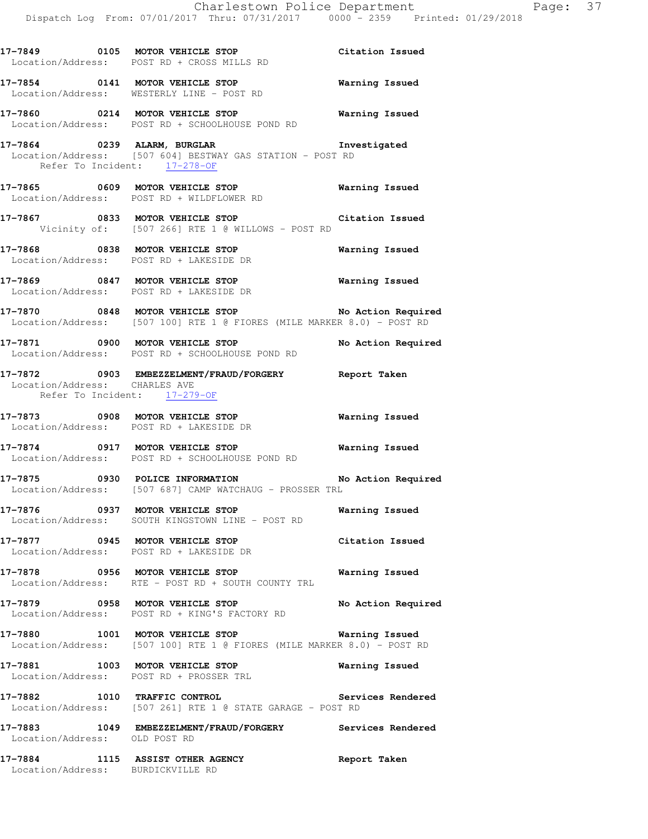|                                                               | 17-7849 0105 MOTOR VEHICLE STOP<br>Location/Address: POST RD + CROSS MILLS RD                                                   | Citation Issued       |
|---------------------------------------------------------------|---------------------------------------------------------------------------------------------------------------------------------|-----------------------|
|                                                               | 17-7854 0141 MOTOR VEHICLE STOP <b>WATER WATER</b><br>Location/Address: WESTERLY LINE - POST RD                                 |                       |
|                                                               | 17-7860 0214 MOTOR VEHICLE STOP 6 Warning Issued<br>Location/Address: POST RD + SCHOOLHOUSE POND RD                             |                       |
| Refer To Incident: 17-278-OF                                  | 17-7864 0239 ALARM, BURGLAR 17-7864 Investigated<br>Location/Address: [507 604] BESTWAY GAS STATION - POST RD                   |                       |
|                                                               | 17-7865 0609 MOTOR VEHICLE STOP MArning Issued<br>Location/Address: POST RD + WILDFLOWER RD                                     |                       |
|                                                               | 17-7867 0833 MOTOR VEHICLE STOP Citation Issued<br>Vicinity of: [507 266] RTE 1 @ WILLOWS - POST RD                             |                       |
|                                                               | 17-7868 0838 MOTOR VEHICLE STOP 6 Warning Issued<br>Location/Address: POST RD + LAKESIDE DR                                     |                       |
|                                                               | 17-7869 0847 MOTOR VEHICLE STOP<br>Location/Address: POST RD + LAKESIDE DR                                                      | <b>Warning Issued</b> |
|                                                               | 17-7870 0848 MOTOR VEHICLE STOP No Action Required<br>Location/Address: [507 100] RTE 1 @ FIORES (MILE MARKER 8.0) - POST RD    |                       |
|                                                               | 17-7871 0900 MOTOR VEHICLE STOP No Action Required<br>Location/Address: POST RD + SCHOOLHOUSE POND RD                           |                       |
| Location/Address: CHARLES AVE<br>Refer To Incident: 17-279-OF | 17-7872 0903 EMBEZZELMENT/FRAUD/FORGERY Report Taken                                                                            |                       |
|                                                               | Location/Address: POST RD + LAKESIDE DR                                                                                         |                       |
|                                                               | 17-7874 0917 MOTOR VEHICLE STOP<br>Location/Address: POST RD + SCHOOLHOUSE POND RD                                              | Warning Issued        |
|                                                               | 17-7875 0930 POLICE INFORMATION<br>Location/Address: [507 687] CAMP WATCHAUG - PROSSER TRL                                      | No Action Required    |
|                                                               | Location/Address: SOUTH KINGSTOWN LINE - POST RD                                                                                |                       |
|                                                               | 17-7877 0945 MOTOR VEHICLE STOP<br>Location/Address: POST RD + LAKESIDE DR                                                      | Citation Issued       |
|                                                               | Location/Address: RTE - POST RD + SOUTH COUNTY TRL                                                                              |                       |
|                                                               | 17-7879 0958 MOTOR VEHICLE STOP<br>Location/Address: POST RD + KING'S FACTORY RD                                                | No Action Required    |
|                                                               | 17-7880 1001 MOTOR VEHICLE STOP <b>Warning Issued</b><br>Location/Address: [507 100] RTE 1 @ FIORES (MILE MARKER 8.0) - POST RD |                       |
|                                                               | 17-7881 1003 MOTOR VEHICLE STOP<br>Location/Address: POST RD + PROSSER TRL                                                      | Warning Issued        |
|                                                               | 17-7882 1010 TRAFFIC CONTROL Serv:<br>Location/Address: [507 261] RTE 1 @ STATE GARAGE - POST RD                                | Services Rendered     |
| Location/Address: OLD POST RD                                 | 17-7883 1049 EMBEZZELMENT/FRAUD/FORGERY Services Rendered                                                                       |                       |
| Location/Address: BURDICKVILLE RD                             | 17-7884 1115 ASSIST OTHER AGENCY                                                                                                | Report Taken          |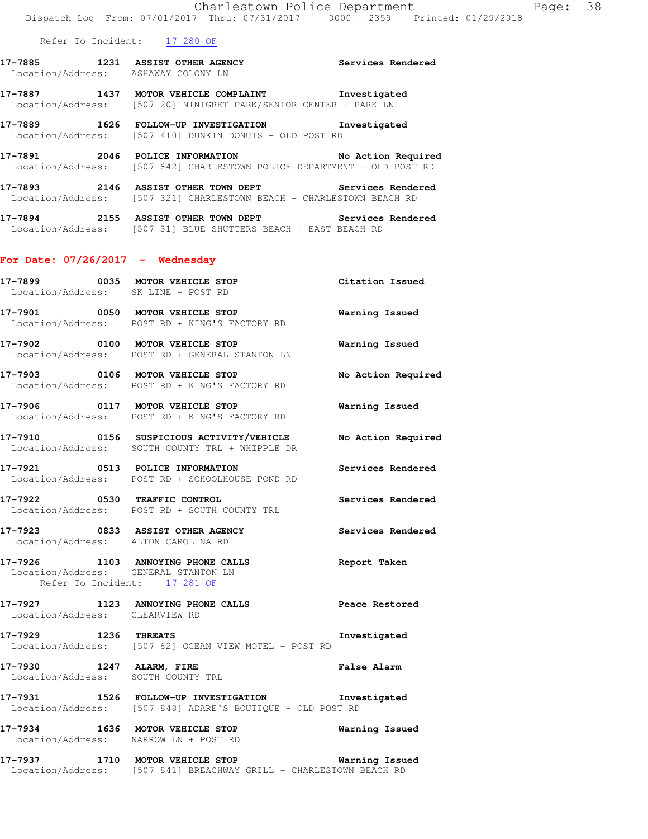Refer To Incident: 17-280-OF

| 17-7885           | 1231 ASSIST OTHER AGENCY |  | Services Rendered |  |
|-------------------|--------------------------|--|-------------------|--|
| Location/Address: | ASHAWAY COLONY LN        |  |                   |  |

**17-7887 1437 MOTOR VEHICLE COMPLAINT Investigated**  Location/Address: [507 20] NINIGRET PARK/SENIOR CENTER - PARK LN

**17-7889 1626 FOLLOW-UP INVESTIGATION Investigated**  Location/Address: [507 410] DUNKIN DONUTS - OLD POST RD

**17-7891 2046 POLICE INFORMATION No Action Required**  Location/Address: [507 642] CHARLESTOWN POLICE DEPARTMENT - OLD POST RD

**17-7893 2146 ASSIST OTHER TOWN DEPT Services Rendered**  Location/Address: [507 321] CHARLESTOWN BEACH - CHARLESTOWN BEACH RD

**17-7894 2155 ASSIST OTHER TOWN DEPT Services Rendered**  Location/Address: [507 31] BLUE SHUTTERS BEACH - EAST BEACH RD

### **For Date: 07/26/2017 - Wednesday**

|                                | 17-7899 0035 MOTOR VEHICLE STOP<br>Location/Address: SK LINE - POST RD                                                 | Citation Issued       |
|--------------------------------|------------------------------------------------------------------------------------------------------------------------|-----------------------|
|                                | 17-7901 0050 MOTOR VEHICLE STOP<br>Location/Address: POST RD + KING'S FACTORY RD                                       | <b>Warning Issued</b> |
|                                | 17-7902 0100 MOTOR VEHICLE STOP 6 Warning Issued<br>Location/Address: POST RD + GENERAL STANTON LN                     |                       |
|                                | 17-7903 0106 MOTOR VEHICLE STOP<br>Location/Address: POST RD + KING'S FACTORY RD                                       | No Action Required    |
|                                | 17-7906 0117 MOTOR VEHICLE STOP<br>Location/Address: POST RD + KING'S FACTORY RD                                       | Warning Issued        |
|                                | 17-7910 0156 SUSPICIOUS ACTIVITY/VEHICLE No Action Required<br>Location/Address: SOUTH COUNTY TRL + WHIPPLE DR         |                       |
|                                | 17-7921 0513 POLICE INFORMATION<br>Location/Address: POST RD + SCHOOLHOUSE POND RD                                     | Services Rendered     |
|                                | 17-7922 0530 TRAFFIC CONTROL<br>Location/Address: POST RD + SOUTH COUNTY TRL                                           | Services Rendered     |
|                                | 17-7923 0833 ASSIST OTHER AGENCY<br>Location/Address: ALTON CAROLINA RD                                                | Services Rendered     |
|                                | 17-7926 1103 ANNOYING PHONE CALLS<br>Location/Address: GENERAL STANTON LN<br>Refer To Incident: 17-281-OF              | Report Taken          |
| Location/Address: CLEARVIEW RD | 17-7927 1123 ANNOYING PHONE CALLS Peace Restored                                                                       |                       |
|                                | 17-7929 1236 THREATS In Location/Address: [507 62] OCEAN VIEW MOTEL - POST RD                                          | Investigated          |
| 17-7930 1247 ALARM, FIRE       | False Alarm<br>Location/Address: SOUTH COUNTY TRL                                                                      |                       |
|                                | 17-7931 1526 FOLLOW-UP INVESTIGATION Investigated<br>Location/Address: [507 848] ADARE'S BOUTIQUE - OLD POST RD        |                       |
|                                | 17-7934 1636 MOTOR VEHICLE STOP 6 Warning Issued<br>Location/Address: NARROW LN + POST RD                              |                       |
|                                | 17-7937 1710 MOTOR VEHICLE STOP 6 Warning Issued<br>Location/Address: [507 841] BREACHWAY GRILL - CHARLESTOWN BEACH RD |                       |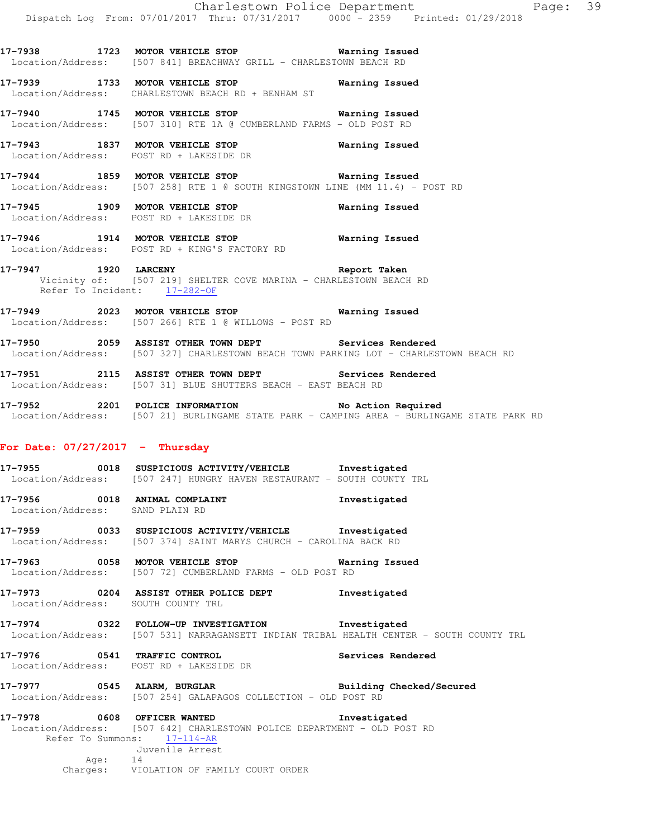**17-7938 1723 MOTOR VEHICLE STOP Warning Issued**  Location/Address: [507 841] BREACHWAY GRILL - CHARLESTOWN BEACH RD

**17-7939 1733 MOTOR VEHICLE STOP Warning Issued**  Location/Address: CHARLESTOWN BEACH RD + BENHAM ST

**17-7940 1745 MOTOR VEHICLE STOP Warning Issued**  Location/Address: [507 310] RTE 1A @ CUMBERLAND FARMS - OLD POST RD

**17-7943 1837 MOTOR VEHICLE STOP Warning Issued**  Location/Address: POST RD + LAKESIDE DR

**17-7944 1859 MOTOR VEHICLE STOP Warning Issued**  Location/Address: [507 258] RTE 1 @ SOUTH KINGSTOWN LINE (MM 11.4) - POST RD

**17-7945 1909 MOTOR VEHICLE STOP Warning Issued**  Location/Address: POST RD + LAKESIDE DR

**17-7946 1914 MOTOR VEHICLE STOP Warning Issued**  Location/Address: POST RD + KING'S FACTORY RD

**17-7947 1920 LARCENY Report Taken**  Vicinity of: [507 219] SHELTER COVE MARINA - CHARLESTOWN BEACH RD Refer To Incident: 17-282-OF

**17-7949 2023 MOTOR VEHICLE STOP Warning Issued**  Location/Address: [507 266] RTE 1 @ WILLOWS - POST RD

**17-7950 2059 ASSIST OTHER TOWN DEPT Services Rendered**  Location/Address: [507 327] CHARLESTOWN BEACH TOWN PARKING LOT - CHARLESTOWN BEACH RD

**17-7951 2115 ASSIST OTHER TOWN DEPT Services Rendered**  Location/Address: [507 31] BLUE SHUTTERS BEACH - EAST BEACH RD

**17-7952 2201 POLICE INFORMATION No Action Required**  Location/Address: [507 21] BURLINGAME STATE PARK - CAMPING AREA - BURLINGAME STATE PARK RD

### **For Date: 07/27/2017 - Thursday**

**17-7955 0018 SUSPICIOUS ACTIVITY/VEHICLE Investigated**  Location/Address: [507 247] HUNGRY HAVEN RESTAURANT - SOUTH COUNTY TRL

**17-7956 0018 ANIMAL COMPLAINT Investigated**  Location/Address: SAND PLAIN RD

**17-7959 0033 SUSPICIOUS ACTIVITY/VEHICLE Investigated**  Location/Address: [507 374] SAINT MARYS CHURCH - CAROLINA BACK RD

**17-7963 0058 MOTOR VEHICLE STOP Warning Issued**  Location/Address: [507 72] CUMBERLAND FARMS - OLD POST RD

**17-7973 0204 ASSIST OTHER POLICE DEPT Investigated**  Location/Address: SOUTH COUNTY TRL

**17-7974 0322 FOLLOW-UP INVESTIGATION Investigated**  Location/Address: [507 531] NARRAGANSETT INDIAN TRIBAL HEALTH CENTER - SOUTH COUNTY TRL

**17-7976 0541 TRAFFIC CONTROL Services Rendered**  Location/Address: POST RD + LAKESIDE DR

**17-7977 0545 ALARM, BURGLAR Building Checked/Secured**  Location/Address: [507 254] GALAPAGOS COLLECTION - OLD POST RD

**17-7978 0608 OFFICER WANTED Investigated**  Location/Address: [507 642] CHARLESTOWN POLICE DEPARTMENT - OLD POST RD Refer To Summons: 17-114-AR Juvenile Arrest Age: 14 Charges: VIOLATION OF FAMILY COURT ORDER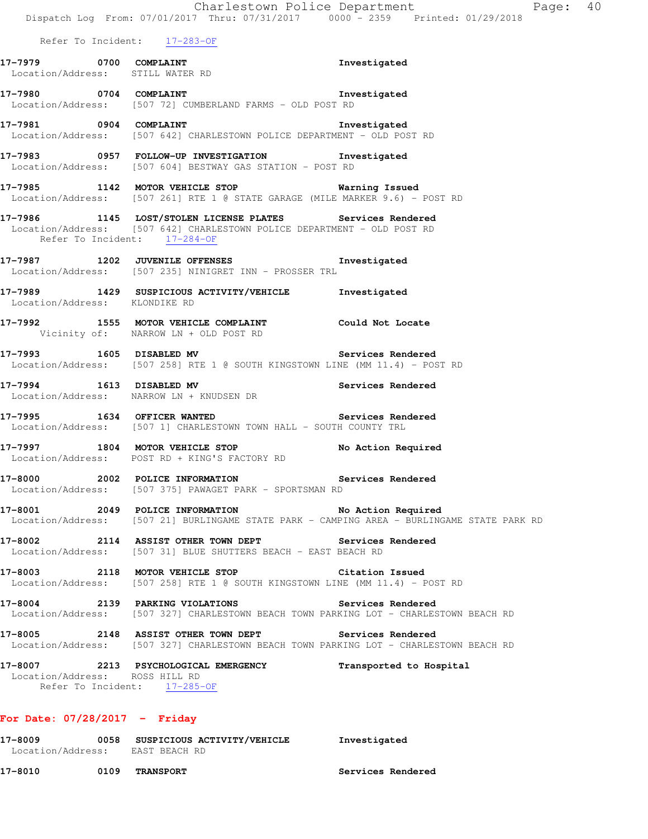|                                                            | Dispatch Log From: 07/01/2017 Thru: 07/31/2017 0000 - 2359 Printed: 01/29/2018                                                                 | Charlestown Police Department<br>Page: 40                                                  |
|------------------------------------------------------------|------------------------------------------------------------------------------------------------------------------------------------------------|--------------------------------------------------------------------------------------------|
|                                                            | Refer To Incident: 17-283-OF                                                                                                                   |                                                                                            |
| 17-7979 0700 COMPLAINT<br>Location/Address: STILL WATER RD |                                                                                                                                                | Investigated                                                                               |
|                                                            | 17-7980 0704 COMPLAINT 2000 1nvestigated<br>Location/Address: [507 72] CUMBERLAND FARMS - OLD POST RD                                          |                                                                                            |
| 17-7981 0904 COMPLAINT                                     | Location/Address: [507 642] CHARLESTOWN POLICE DEPARTMENT - OLD POST RD                                                                        | Investigated                                                                               |
|                                                            | 17-7983 0957 FOLLOW-UP INVESTIGATION Investigated<br>Location/Address: [507 604] BESTWAY GAS STATION - POST RD                                 |                                                                                            |
|                                                            | 17-7985 1142 MOTOR VEHICLE STOP <b>Warning Issued</b><br>Location/Address: [507 261] RTE 1 @ STATE GARAGE (MILE MARKER 9.6) - POST RD          |                                                                                            |
| Refer To Incident: 17-284-OF                               | 17-7986 1145 LOST/STOLEN LICENSE PLATES Services Rendered<br>Location/Address: [507 642] CHARLESTOWN POLICE DEPARTMENT - OLD POST RD           |                                                                                            |
|                                                            | 17-7987 1202 JUVENILE OFFENSES<br>Location/Address: [507 235] NINIGRET INN - PROSSER TRL                                                       | Investigated                                                                               |
| Location/Address: KLONDIKE RD                              | 17-7989 1429 SUSPICIOUS ACTIVITY/VEHICLE 1nvestigated                                                                                          |                                                                                            |
|                                                            | 17-7992 1555 MOTOR VEHICLE COMPLAINT Could Not Locate<br>Vicinity of: NARROW LN + OLD POST RD                                                  |                                                                                            |
|                                                            | 17-7993 1605 DISABLED MV 3ervices Rendered<br>Location/Address: [507 258] RTE 1 @ SOUTH KINGSTOWN LINE (MM 11.4) - POST RD                     |                                                                                            |
|                                                            | 17-7994 1613 DISABLED MV<br>Location/Address: NARROW LN + KNUDSEN DR                                                                           | Services Rendered                                                                          |
| 17-7995 1634 OFFICER WANTED                                | Services Rendered<br>Location/Address: [507 1] CHARLESTOWN TOWN HALL - SOUTH COUNTY TRL                                                        |                                                                                            |
|                                                            | 17-7997 1804 MOTOR VEHICLE STOP<br>Location/Address: POST RD + KING'S FACTORY RD                                                               | No Action Required                                                                         |
| 17–8000                                                    | 2002 POLICE INFORMATION Services Rendered<br>Location/Address: [507 375] PAWAGET PARK - SPORTSMAN RD                                           |                                                                                            |
|                                                            | 17-8001 2049 POLICE INFORMATION No Action Required                                                                                             | Location/Address: [507 21] BURLINGAME STATE PARK - CAMPING AREA - BURLINGAME STATE PARK RD |
|                                                            | 17-8002 2114 ASSIST OTHER TOWN DEPT Services Rendered<br>Location/Address: [507 31] BLUE SHUTTERS BEACH - EAST BEACH RD                        |                                                                                            |
|                                                            | 17-8003 2118 MOTOR VEHICLE STOP<br>Location/Address: [507 258] RTE 1 @ SOUTH KINGSTOWN LINE (MM 11.4) - POST RD                                | Citation Issued                                                                            |
|                                                            | 17-8004 2139 PARKING VIOLATIONS<br>Location/Address: [507 327] CHARLESTOWN BEACH TOWN PARKING LOT - CHARLESTOWN BEACH RD                       | <b>Services Rendered</b>                                                                   |
|                                                            | 17-8005 2148 ASSIST OTHER TOWN DEPT Services Rendered<br>Location/Address: [507 327] CHARLESTOWN BEACH TOWN PARKING LOT - CHARLESTOWN BEACH RD |                                                                                            |
| Location/Address: ROSS HILL RD                             | 17-8007 2213 PSYCHOLOGICAL EMERGENCY<br>Refer To Incident: 17-285-OF                                                                           | Transported to Hospital                                                                    |
| For Date: $07/28/2017$ - Friday                            |                                                                                                                                                |                                                                                            |
| 17-8009<br>Location/Address: EAST BEACH RD                 | 0058 SUSPICIOUS ACTIVITY/VEHICLE    Investigated                                                                                               |                                                                                            |

**17-8010 0109 TRANSPORT Services Rendered**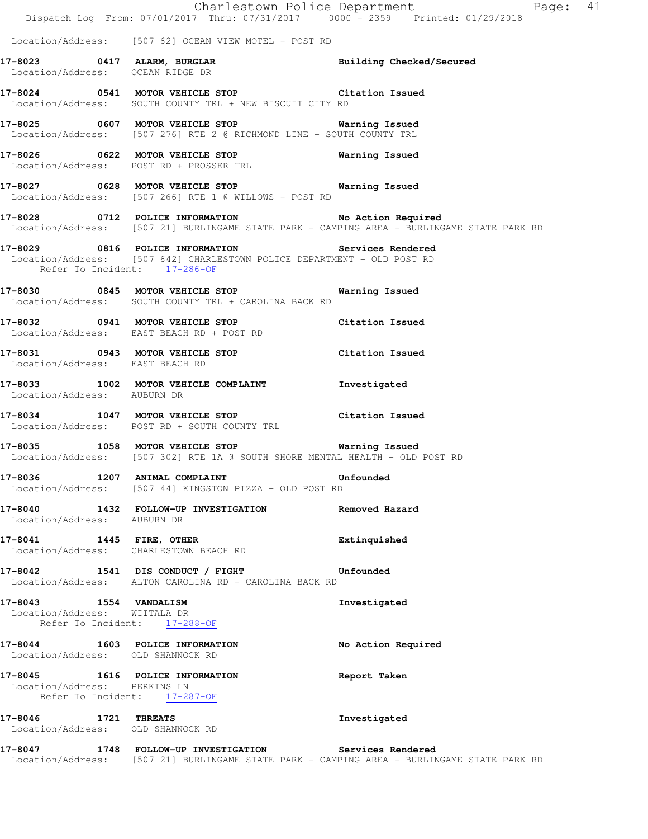|                                                                                        | Dispatch Log From: 07/01/2017 Thru: 07/31/2017 0000 - 2359 Printed: 01/29/2018                                                   | Charlestown Police Department<br>Page: 41                                                  |
|----------------------------------------------------------------------------------------|----------------------------------------------------------------------------------------------------------------------------------|--------------------------------------------------------------------------------------------|
|                                                                                        | Location/Address: [507 62] OCEAN VIEW MOTEL - POST RD                                                                            |                                                                                            |
| Location/Address: OCEAN RIDGE DR                                                       | 17-8023 0417 ALARM, BURGLAR Building Checked/Secured                                                                             |                                                                                            |
|                                                                                        | 17-8024 0541 MOTOR VEHICLE STOP Citation Issued<br>Location/Address: SOUTH COUNTY TRL + NEW BISCUIT CITY RD                      |                                                                                            |
|                                                                                        | 17-8025 0607 MOTOR VEHICLE STOP 600 Warning Issued<br>Location/Address: [507 276] RTE 2 @ RICHMOND LINE - SOUTH COUNTY TRL       |                                                                                            |
|                                                                                        | 17-8026 0622 MOTOR VEHICLE STOP Warning Issued<br>Location/Address: POST RD + PROSSER TRL                                        |                                                                                            |
|                                                                                        | 17-8027 0628 MOTOR VEHICLE STOP <b>WATER WATER</b><br>Location/Address: [507 266] RTE 1 @ WILLOWS - POST RD                      |                                                                                            |
|                                                                                        | 17-8028 0712 POLICE INFORMATION No Action Required                                                                               | Location/Address: [507 21] BURLINGAME STATE PARK - CAMPING AREA - BURLINGAME STATE PARK RD |
| Refer To Incident: 17-286-OF                                                           | 17-8029 0816 POLICE INFORMATION Services Rendered<br>Location/Address: [507 642] CHARLESTOWN POLICE DEPARTMENT - OLD POST RD     |                                                                                            |
|                                                                                        | 17-8030 0845 MOTOR VEHICLE STOP 6 Warning Issued<br>Location/Address: SOUTH COUNTY TRL + CAROLINA BACK RD                        |                                                                                            |
|                                                                                        | 17-8032 0941 MOTOR VEHICLE STOP Citation Issued<br>Location/Address: EAST BEACH RD + POST RD                                     |                                                                                            |
| Location/Address: EAST BEACH RD                                                        | 17-8031 0943 MOTOR VEHICLE STOP Citation Issued                                                                                  |                                                                                            |
| Location/Address: AUBURN DR                                                            | 17-8033 1002 MOTOR VEHICLE COMPLAINT 17-8033                                                                                     |                                                                                            |
|                                                                                        | 17-8034 1047 MOTOR VEHICLE STOP Citation Issued<br>Location/Address: POST RD + SOUTH COUNTY TRL                                  |                                                                                            |
|                                                                                        | 17-8035 1058 MOTOR VEHICLE STOP 6 Warning Issued<br>Location/Address: [507 302] RTE 1A @ SOUTH SHORE MENTAL HEALTH - OLD POST RD |                                                                                            |
|                                                                                        | 17-8036 1207 ANIMAL COMPLAINT COMPOSER Unfounded<br>Location/Address: [507 44] KINGSTON PIZZA - OLD POST RD                      |                                                                                            |
| Location/Address: AUBURN DR                                                            | 17-8040 1432 FOLLOW-UP INVESTIGATION Removed Hazard                                                                              |                                                                                            |
| Location/Address: CHARLESTOWN BEACH RD                                                 | 17-8041 1445 FIRE, OTHER                                                                                                         | Extinquished                                                                               |
|                                                                                        | 17-8042 1541 DIS CONDUCT / FIGHT Unfounded<br>Location/Address: ALTON CAROLINA RD + CAROLINA BACK RD                             |                                                                                            |
| 17-8043 1554 VANDALISM<br>Location/Address: WIITALA DR<br>Refer To Incident: 17-288-OF |                                                                                                                                  | Investigated                                                                               |
| Location/Address: OLD SHANNOCK RD                                                      | 17-8044 1603 POLICE INFORMATION                                                                                                  | No Action Required                                                                         |
| Location/Address: PERKINS LN                                                           | 17-8045 1616 POLICE INFORMATION<br>Refer To Incident: 17-287-OF                                                                  | Report Taken                                                                               |
| 17-8046 1721 THREATS<br>Location/Address: OLD SHANNOCK RD                              |                                                                                                                                  | Investigated                                                                               |
|                                                                                        | 17-8047 1748 FOLLOW-UP INVESTIGATION Services Rendered                                                                           | Location/Address: [507 21] BURLINGAME STATE PARK - CAMPING AREA - BURLINGAME STATE PARK RD |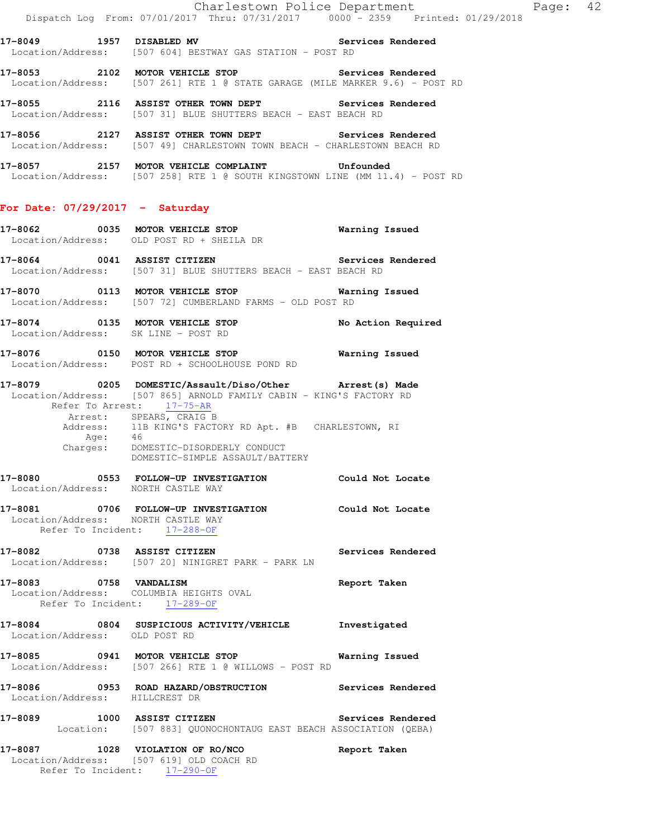17-8053 2102 MOTOR VEHICLE STOP **Services Rendered** Location/Address: [507 261] RTE 1 @ STATE GARAGE (MILE MARKER 9.6) - POST RD

**17-8055 2116 ASSIST OTHER TOWN DEPT Services Rendered**  Location/Address: [507 31] BLUE SHUTTERS BEACH - EAST BEACH RD

**17-8056 2127 ASSIST OTHER TOWN DEPT Services Rendered**  Location/Address: [507 49] CHARLESTOWN TOWN BEACH - CHARLESTOWN BEACH RD

**17-8057 2157 MOTOR VEHICLE COMPLAINT Unfounded**  Location/Address: [507 258] RTE 1 @ SOUTH KINGSTOWN LINE (MM 11.4) - POST RD

#### **For Date: 07/29/2017 - Saturday**

- **17-8062 0035 MOTOR VEHICLE STOP Warning Issued**  Location/Address: OLD POST RD + SHEILA DR
- **17-8064 0041 ASSIST CITIZEN Services Rendered**  Location/Address: [507 31] BLUE SHUTTERS BEACH - EAST BEACH RD
- **17-8070 0113 MOTOR VEHICLE STOP Warning Issued**  Location/Address: [507 72] CUMBERLAND FARMS - OLD POST RD
- **17-8074 0135 MOTOR VEHICLE STOP No Action Required**  Location/Address: SK LINE - POST RD
- **17-8076 0150 MOTOR VEHICLE STOP Warning Issued**  Location/Address: POST RD + SCHOOLHOUSE POND RD
- **17-8079 0205 DOMESTIC/Assault/Diso/Other Arrest(s) Made**  Location/Address: [507 865] ARNOLD FAMILY CABIN - KING'S FACTORY RD Refer To Arrest: 17-75-AR Arrest: SPEARS, CRAIG B Address: 11B KING'S FACTORY RD Apt. #B CHARLESTOWN, RI Age: 46<br>Charges: DOM DOMESTIC-DISORDERLY CONDUCT

DOMESTIC-SIMPLE ASSAULT/BATTERY

- **17-8080 0553 FOLLOW-UP INVESTIGATION Could Not Locate**  Location/Address: NORTH CASTLE WAY
- **17-8081 0706 FOLLOW-UP INVESTIGATION Could Not Locate**  Location/Address: NORTH CASTLE WAY Refer To Incident: 17-288-OF
- **17-8082 0738 ASSIST CITIZEN Services Rendered**  Location/Address: [507 20] NINIGRET PARK - PARK LN
- **17-8083 0758 VANDALISM Report Taken**  Location/Address: COLUMBIA HEIGHTS OVAL Refer To Incident: 17-289-OF
- **17-8084 0804 SUSPICIOUS ACTIVITY/VEHICLE Investigated**  Location/Address: OLD POST RD
- **17-8085 0941 MOTOR VEHICLE STOP Warning Issued**  Location/Address: [507 266] RTE 1 @ WILLOWS - POST RD
- **17-8086 0953 ROAD HAZARD/OBSTRUCTION Services Rendered**  Location/Address: HILLCREST DR
- **17-8089 1000 ASSIST CITIZEN Services Rendered**  Location: [507 883] QUONOCHONTAUG EAST BEACH ASSOCIATION (QEBA)
- **17-8087 1028 VIOLATION OF RO/NCO Report Taken**  Location/Address: [507 619] OLD COACH RD Refer To Incident: 17-290-OF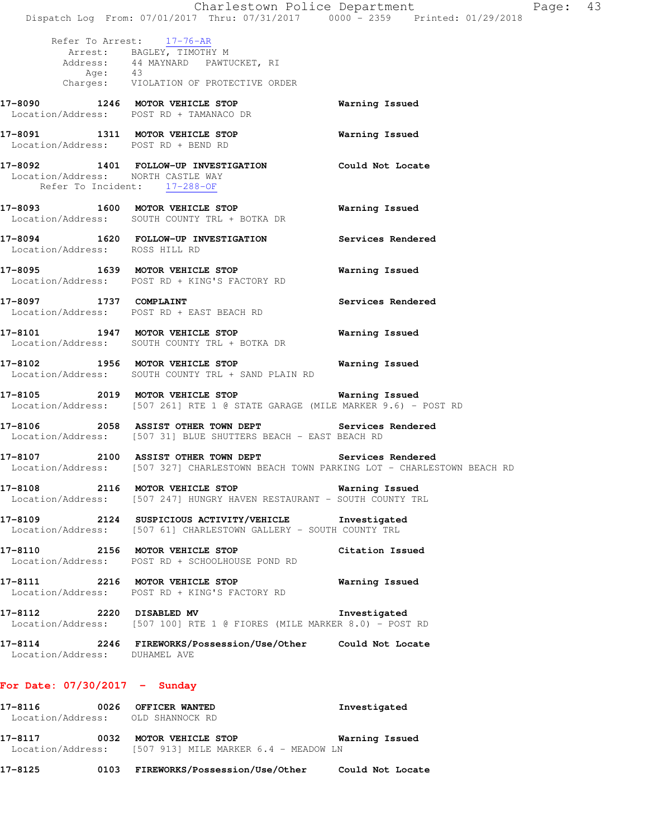Charlestown Police Department Fage: 43 Dispatch Log From: 07/01/2017 Thru: 07/31/2017 0000 - 2359 Printed: 01/29/2018 Refer To Arrest: 17-76-AR Arrest: BAGLEY, TIMOTHY M Address: 44 MAYNARD PAWTUCKET, RI Age: 43 Charges: VIOLATION OF PROTECTIVE ORDER **17-8090 1246 MOTOR VEHICLE STOP Warning Issued**  Location/Address: POST RD + TAMANACO DR **17-8091 1311 MOTOR VEHICLE STOP Warning Issued**  Location/Address: POST RD + BEND RD **17-8092 1401 FOLLOW-UP INVESTIGATION Could Not Locate**  Location/Address: NORTH CASTLE WAY Refer To Incident: 17-288-OF **17-8093 1600 MOTOR VEHICLE STOP Warning Issued**  Location/Address: SOUTH COUNTY TRL + BOTKA DR **17-8094 1620 FOLLOW-UP INVESTIGATION Services Rendered**  Location/Address: ROSS HILL RD **17-8095 1639 MOTOR VEHICLE STOP Warning Issued**  Location/Address: POST RD + KING'S FACTORY RD **17-8097 1737 COMPLAINT Services Rendered**  Location/Address: POST RD + EAST BEACH RD **17-8101 1947 MOTOR VEHICLE STOP Warning Issued**  Location/Address: SOUTH COUNTY TRL + BOTKA DR **17-8102 1956 MOTOR VEHICLE STOP Warning Issued**  Location/Address: SOUTH COUNTY TRL + SAND PLAIN RD **17-8105 2019 MOTOR VEHICLE STOP Warning Issued**  Location/Address: [507 261] RTE 1 @ STATE GARAGE (MILE MARKER 9.6) - POST RD **17-8106 2058 ASSIST OTHER TOWN DEPT Services Rendered**  Location/Address: [507 31] BLUE SHUTTERS BEACH - EAST BEACH RD **17-8107 2100 ASSIST OTHER TOWN DEPT Services Rendered**  Location/Address: [507 327] CHARLESTOWN BEACH TOWN PARKING LOT - CHARLESTOWN BEACH RD **17-8108 2116 MOTOR VEHICLE STOP Warning Issued**  Location/Address: [507 247] HUNGRY HAVEN RESTAURANT - SOUTH COUNTY TRL **17-8109 2124 SUSPICIOUS ACTIVITY/VEHICLE Investigated**  Location/Address: [507 61] CHARLESTOWN GALLERY - SOUTH COUNTY TRL **17-8110 2156 MOTOR VEHICLE STOP Citation Issued**  Location/Address: POST RD + SCHOOLHOUSE POND RD **17-8111 2216 MOTOR VEHICLE STOP Warning Issued**  Location/Address: POST RD + KING'S FACTORY RD **17-8112 2220 DISABLED MV Investigated**  Location/Address: [507 100] RTE 1 @ FIORES (MILE MARKER 8.0) - POST RD **17-8114 2246 FIREWORKS/Possession/Use/Other Could Not Locate**  Location/Address: DUHAMEL AVE **For Date: 07/30/2017 - Sunday 17-8116 0026 OFFICER WANTED Investigated**  Location/Address: OLD SHANNOCK RD **17-8117 0032 MOTOR VEHICLE STOP Warning Issued**  Location/Address: [507 913] MILE MARKER 6.4 - MEADOW LN

**17-8125 0103 FIREWORKS/Possession/Use/Other Could Not Locate**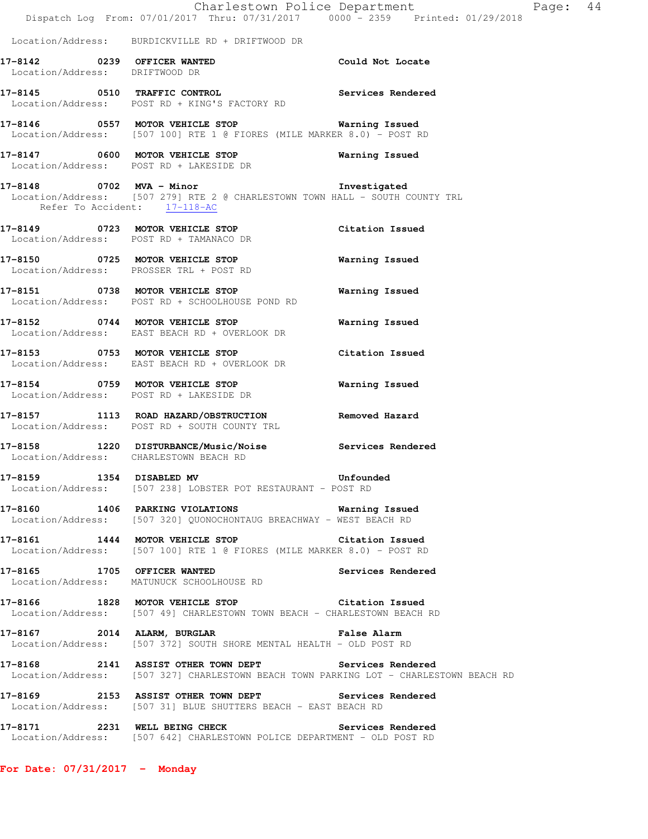|                                        | Dispatch Log From: 07/01/2017 Thru: 07/31/2017 0000 <sup>-</sup> 2359 Printed: 01/29/2018                                                        | Charlestown Police Department | Page: 44 |  |
|----------------------------------------|--------------------------------------------------------------------------------------------------------------------------------------------------|-------------------------------|----------|--|
|                                        | Location/Address: BURDICKVILLE RD + DRIFTWOOD DR                                                                                                 |                               |          |  |
| Location/Address: DRIFTWOOD DR         | 17-8142 0239 OFFICER WANTED                                                                                                                      | Could Not Locate              |          |  |
|                                        | 17-8145 0510 TRAFFIC CONTROL<br>Location/Address: POST RD + KING'S FACTORY RD                                                                    | Services Rendered             |          |  |
|                                        | 17-8146  0557 MOTOR VEHICLE STOP    Varning Issued<br>Location/Address: [507 100] RTE 1 @ FIORES (MILE MARKER 8.0) - POST RD                     |                               |          |  |
|                                        | 17-8147 0600 MOTOR VEHICLE STOP<br>Location/Address: POST RD + LAKESIDE DR                                                                       | Warning Issued                |          |  |
|                                        | 17-8148 0702 MVA - Minor<br>Location/Address: [507 279] RTE 2 @ CHARLESTOWN TOWN HALL - SOUTH COUNTY TRL Refer To Accident: $17-118-AC$          | Investigated                  |          |  |
|                                        | 17-8149 0723 MOTOR VEHICLE STOP<br>Location/Address: POST RD + TAMANACO DR                                                                       | Citation Issued               |          |  |
|                                        | 17-8150 0725 MOTOR VEHICLE STOP<br>Location/Address: PROSSER TRL + POST RD                                                                       | Warning Issued                |          |  |
|                                        | 17-8151 0738 MOTOR VEHICLE STOP<br>Location/Address: POST RD + SCHOOLHOUSE POND RD                                                               | Warning Issued                |          |  |
|                                        | 17-8152 0744 MOTOR VEHICLE STOP<br>Location/Address: EAST BEACH RD + OVERLOOK DR                                                                 | Warning Issued                |          |  |
|                                        | 17-8153 0753 MOTOR VEHICLE STOP<br>Location/Address: EAST BEACH RD + OVERLOOK DR                                                                 | Citation Issued               |          |  |
|                                        | 17-8154 0759 MOTOR VEHICLE STOP<br>Location/Address: POST RD + LAKESIDE DR                                                                       | Warning Issued                |          |  |
|                                        | 17-8157 1113 ROAD HAZARD/OBSTRUCTION<br>Location/Address: POST RD + SOUTH COUNTY TRL                                                             | Removed Hazard                |          |  |
| Location/Address: CHARLESTOWN BEACH RD | 17-8158 1220 DISTURBANCE/Music/Noise Services Rendered                                                                                           |                               |          |  |
|                                        | 17-8159 1354 DISABLED MV 17-8159<br>Location/Address: [507 238] LOBSTER POT RESTAURANT - POST RD                                                 |                               |          |  |
|                                        | 17-8160 1406 PARKING VIOLATIONS Warning Issued<br>Location/Address: [507 320] QUONOCHONTAUG BREACHWAY - WEST BEACH RD                            |                               |          |  |
|                                        | 17-8161 1444 MOTOR VEHICLE STOP Citation Issued<br>Location/Address: [507 100] RTE 1 @ FIORES (MILE MARKER 8.0) - POST RD                        |                               |          |  |
|                                        | 17-8165 1705 OFFICER WANTED<br>Location/Address: MATUNUCK SCHOOLHOUSE RD                                                                         | Services Rendered             |          |  |
|                                        | 17-8166 1828 MOTOR VEHICLE STOP 6 Citation Issued<br>Location/Address: [507 49] CHARLESTOWN TOWN BEACH - CHARLESTOWN BEACH RD                    |                               |          |  |
|                                        | 17-8167 2014 ALARM, BURGLAR CHARM False Alarm<br>Location/Address: [507 372] SOUTH SHORE MENTAL HEALTH - OLD POST RD                             |                               |          |  |
|                                        | 17-8168 2141 ASSIST OTHER TOWN DEPT Services Rendered<br>  Location/Address: [507 327] CHARLESTOWN BEACH TOWN PARKING LOT - CHARLESTOWN BEACH RD |                               |          |  |
|                                        | 17-8169 2153 ASSIST OTHER TOWN DEPT Services Rendered<br>Location/Address: [507 31] BLUE SHUTTERS BEACH - EAST BEACH RD                          |                               |          |  |
| 17-8171 2231 WELL BEING CHECK          | Location/Address: [507 642] CHARLESTOWN POLICE DEPARTMENT - OLD POST RD                                                                          | Services Rendered             |          |  |

**For Date: 07/31/2017 - Monday**